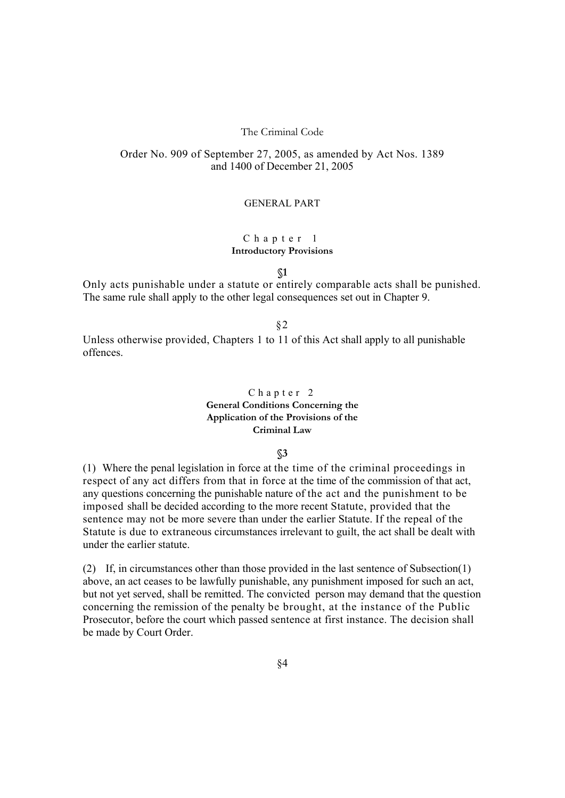# The Criminal Code

# Order No. 909 of September 27, 2005, as amended by Act Nos. 1389 and 1400 of December 21, 2005

## GENERAL PART

### Chapter 1 **Introductory Provisions**

**§1**

Only acts punishable under a statute or entirely comparable acts shall be punished. The same rule shall apply to the other legal consequences set out in Chapter 9.

§2

Unless otherwise provided, Chapters 1 to 11 of this Act shall apply to all punishable offences.

# Chapter 2 **General Conditions Concerning the Application of the Provisions of the Criminal Law**

#### **§3**

(1) Where the penal legislation in force at the time of the criminal proceedings in respect of any act differs from that in force at the time of the commission of that act, any questions concerning the punishable nature of the act and the punishment to be imposed shall be decided according to the more recent Statute, provided that the sentence may not be more severe than under the earlier Statute. If the repeal of the Statute is due to extraneous circumstances irrelevant to guilt, the act shall be dealt with under the earlier statute.

(2) If, in circumstances other than those provided in the last sentence of Subsection(1) above, an act ceases to be lawfully punishable, any punishment imposed for such an act, but not yet served, shall be remitted. The convicted person may demand that the question concerning the remission of the penalty be brought, at the instance of the Public Prosecutor, before the court which passed sentence at first instance. The decision shall be made by Court Order.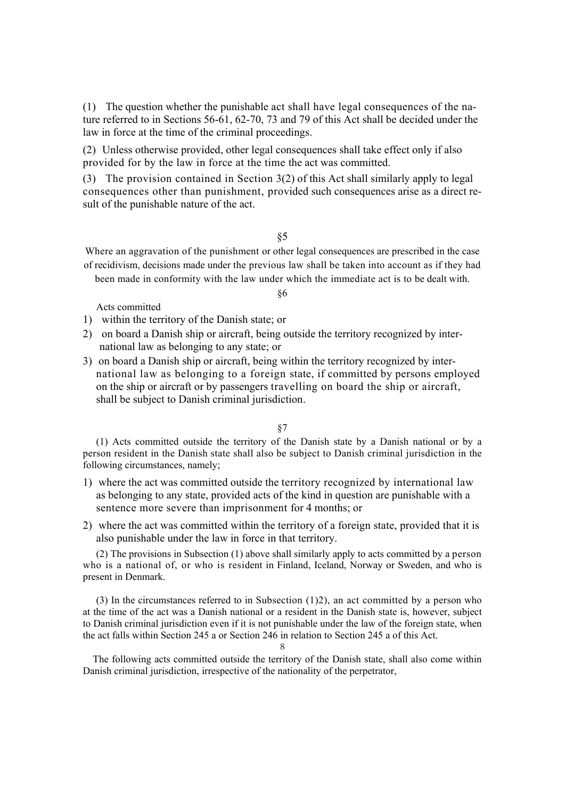(1) The question whether the punishable act shall have legal consequences of the nature referred to in Sections 56-61, 62-70, 73 and 79 of this Act shall be decided under the law in force at the time of the criminal proceedings.

(2) Unless otherwise provided, other legal consequences shall take effect only if also provided for by the law in force at the time the act was committed.

(3) The provision contained in Section 3(2) of this Act shall similarly apply to legal consequences other than punishment, provided such consequences arise as a direct result of the punishable nature of the act.

§5

Where an aggravation of the punishment or other legal consequences are prescribed in the case of recidivism, decisions made under the previous law shall be taken into account as if they had been made in conformity with the law under which the immediate act is to be dealt with.

Acts committed

- 1) within the territory of the Danish state; or
- 2) on board a Danish ship or aircraft, being outside the territory recognized by international law as belonging to any state; or
- 3) on board a Danish ship or aircraft, being within the territory recognized by international law as belonging to a foreign state, if committed by persons employed on the ship or aircraft or by passengers travelling on board the ship or aircraft, shall be subject to Danish criminal jurisdiction.

#### §7

(1) Acts committed outside the territory of the Danish state by a Danish national or by a person resident in the Danish state shall also be subject to Danish criminal jurisdiction in the following circumstances, namely;

- 1) where the act was committed outside the territory recognized by international law as belonging to any state, provided acts of the kind in question are punishable with a sentence more severe than imprisonment for 4 months; or
- 2) where the act was committed within the territory of a foreign state, provided that it is also punishable under the law in force in that territory.

(2) The provisions in Subsection (1) above shall similarly apply to acts committed by a person who is a national of, or who is resident in Finland, Iceland, Norway or Sweden, and who is present in Denmark.

(3) In the circumstances referred to in Subsection (1)2), an act committed by a person who at the time of the act was a Danish national or a resident in the Danish state is, however, subject to Danish criminal jurisdiction even if it is not punishable under the law of the foreign state, when the act falls within Section 245 a or Section 246 in relation to Section 245 a of this Act.

8

The following acts committed outside the territory of the Danish state, shall also come within Danish criminal jurisdiction, irrespective of the nationality of the perpetrator,

#### §6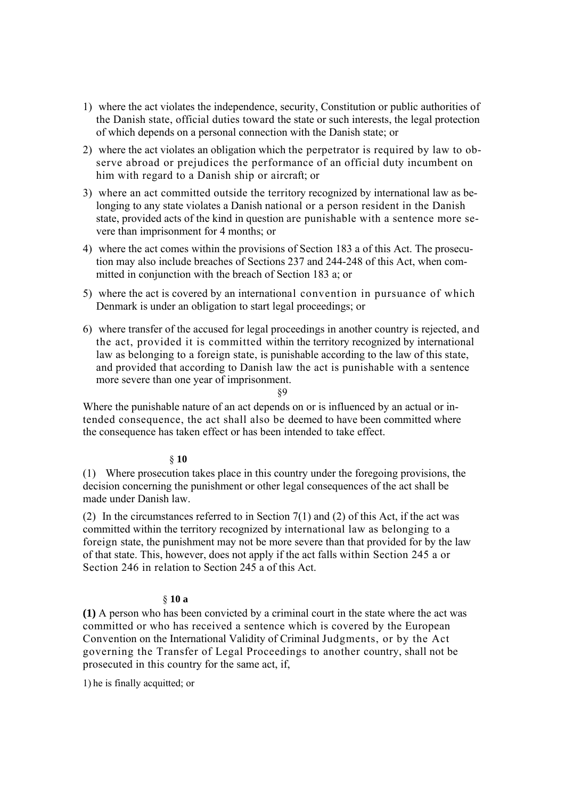- 1) where the act violates the independence, security, Constitution or public authorities of the Danish state, official duties toward the state or such interests, the legal protection of which depends on a personal connection with the Danish state; or
- 2) where the act violates an obligation which the perpetrator is required by law to observe abroad or prejudices the performance of an official duty incumbent on him with regard to a Danish ship or aircraft; or
- 3) where an act committed outside the territory recognized by international law as belonging to any state violates a Danish national or a person resident in the Danish state, provided acts of the kind in question are punishable with a sentence more severe than imprisonment for 4 months; or
- 4) where the act comes within the provisions of Section 183 a of this Act. The prosecution may also include breaches of Sections 237 and 244-248 of this Act, when committed in conjunction with the breach of Section 183 a; or
- 5) where the act is covered by an international convention in pursuance of which Denmark is under an obligation to start legal proceedings; or
- 6) where transfer of the accused for legal proceedings in another country is rejected, and the act, provided it is committed within the territory recognized by international law as belonging to a foreign state, is punishable according to the law of this state, and provided that according to Danish law the act is punishable with a sentence more severe than one year of imprisonment. §9

Where the punishable nature of an act depends on or is influenced by an actual or intended consequence, the act shall also be deemed to have been committed where the consequence has taken effect or has been intended to take effect.

# § **10**

(1) Where prosecution takes place in this country under the foregoing provisions, the decision concerning the punishment or other legal consequences of the act shall be made under Danish law.

(2) In the circumstances referred to in Section  $7(1)$  and (2) of this Act, if the act was committed within the territory recognized by international law as belonging to a foreign state, the punishment may not be more severe than that provided for by the law of that state. This, however, does not apply if the act falls within Section 245 a or Section 246 in relation to Section 245 a of this Act.

# § **10 a**

**(1)** A person who has been convicted by a criminal court in the state where the act was committed or who has received a sentence which is covered by the European Convention on the International Validity of Criminal Judgments, or by the Act governing the Transfer of Legal Proceedings to another country, shall not be prosecuted in this country for the same act, if,

1) he is finally acquitted; or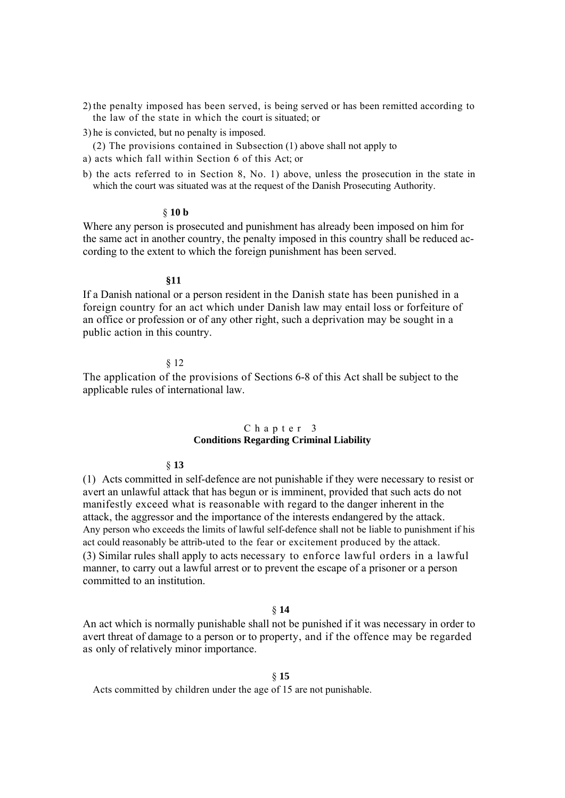- 2) the penalty imposed has been served, is being served or has been remitted according to the law of the state in which the court is situated; or
- 3) he is convicted, but no penalty is imposed.
- (2) The provisions contained in Subsection (1) above shall not apply to
- a) acts which fall within Section 6 of this Act; or
- b) the acts referred to in Section 8, No. 1) above, unless the prosecution in the state in which the court was situated was at the request of the Danish Prosecuting Authority.

#### § **10 b**

Where any person is prosecuted and punishment has already been imposed on him for the same act in another country, the penalty imposed in this country shall be reduced according to the extent to which the foreign punishment has been served.

#### **§11**

If a Danish national or a person resident in the Danish state has been punished in a foreign country for an act which under Danish law may entail loss or forfeiture of an office or profession or of any other right, such a deprivation may be sought in a public action in this country.

#### § 12

The application of the provisions of Sections 6-8 of this Act shall be subject to the applicable rules of international law.

# Chapter 3

# **Conditions Regarding Criminal Liability**

#### § **13**

(1) Acts committed in self-defence are not punishable if they were necessary to resist or avert an unlawful attack that has begun or is imminent, provided that such acts do not manifestly exceed what is reasonable with regard to the danger inherent in the attack, the aggressor and the importance of the interests endangered by the attack. Any person who exceeds the limits of lawful self-defence shall not be liable to punishment if his act could reasonably be attrib-uted to the fear or excitement produced by the attack. (3) Similar rules shall apply to acts necessary to enforce lawful orders in a lawful manner, to carry out a lawful arrest or to prevent the escape of a prisoner or a person committed to an institution.

## § **14**

An act which is normally punishable shall not be punished if it was necessary in order to avert threat of damage to a person or to property, and if the offence may be regarded as only of relatively minor importance.

#### § **15**

Acts committed by children under the age of 15 are not punishable.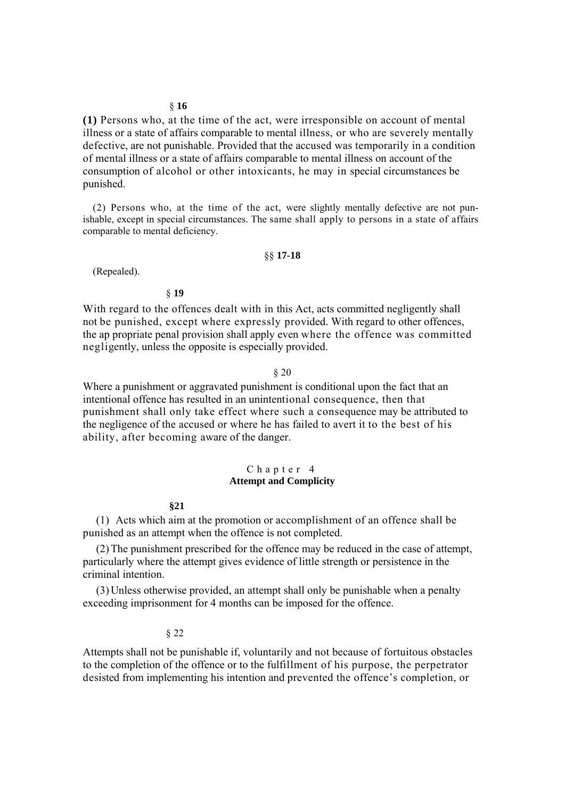**(1)** Persons who, at the time of the act, were irresponsible on account of mental illness or a state of affairs comparable to mental illness, or who are severely mentally defective, are not punishable. Provided that the accused was temporarily in a condition of mental illness or a state of affairs comparable to mental illness on account of the consumption of alcohol or other intoxicants, he may in special circumstances be punished.

(2) Persons who, at the time of the act, were slightly mentally defective are not punishable, except in special circumstances. The same shall apply to persons in a state of affairs comparable to mental deficiency.

# §§ **17-18**

(Repealed).

## § **19**

With regard to the offences dealt with in this Act, acts committed negligently shall not be punished, except where expressly provided. With regard to other offences, the ap propriate penal provision shall apply even where the offence was committed negligently, unless the opposite is especially provided.

#### § 20

Where a punishment or aggravated punishment is conditional upon the fact that an intentional offence has resulted in an unintentional consequence, then that punishment shall only take effect where such a consequence may be attributed to the negligence of the accused or where he has failed to avert it to the best of his ability, after becoming aware of the danger.

#### Chapter 4 **Attempt and Complicity**

#### **§21**

(1) Acts which aim at the promotion or accomplishment of an offence shall be punished as an attempt when the offence is not completed.

(2)The punishment prescribed for the offence may be reduced in the case of attempt, particularly where the attempt gives evidence of little strength or persistence in the criminal intention.

(3) Unless otherwise provided, an attempt shall only be punishable when a penalty exceeding imprisonment for 4 months can be imposed for the offence.

#### § 22

Attempts shall not be punishable if, voluntarily and not because of fortuitous obstacles to the completion of the offence or to the fulfillment of his purpose, the perpetrator desisted from implementing his intention and prevented the offence's completion, or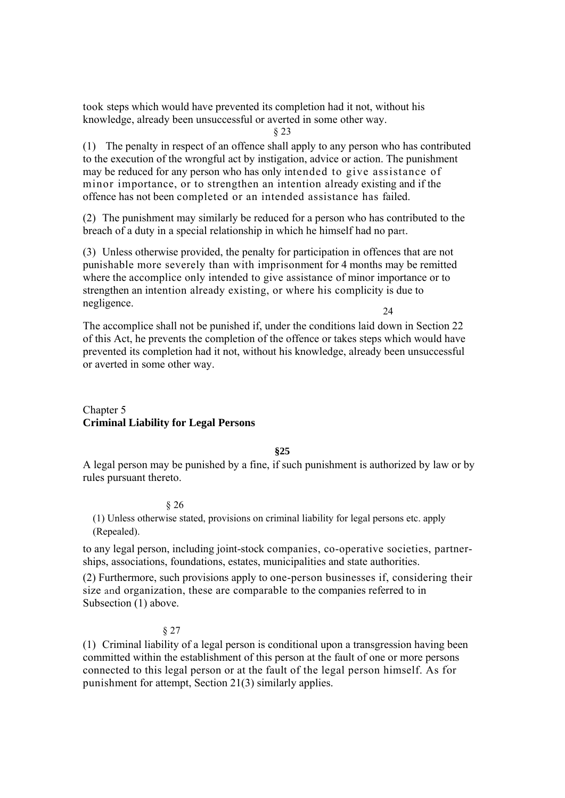took steps which would have prevented its completion had it not, without his knowledge, already been unsuccessful or averted in some other way.

§ 23

(1) The penalty in respect of an offence shall apply to any person who has contributed to the execution of the wrongful act by instigation, advice or action. The punishment may be reduced for any person who has only intended to give assistance of minor importance, or to strengthen an intention already existing and if the offence has not been completed or an intended assistance has failed.

(2) The punishment may similarly be reduced for a person who has contributed to the breach of a duty in a special relationship in which he himself had no part.

(3) Unless otherwise provided, the penalty for participation in offences that are not punishable more severely than with imprisonment for 4 months may be remitted where the accomplice only intended to give assistance of minor importance or to strengthen an intention already existing, or where his complicity is due to negligence. 24

The accomplice shall not be punished if, under the conditions laid down in Section 22 of this Act, he prevents the completion of the offence or takes steps which would have prevented its completion had it not, without his knowledge, already been unsuccessful or averted in some other way.

# Chapter 5 **Criminal Liability for Legal Persons**

**§25** 

A legal person may be punished by a fine, if such punishment is authorized by law or by rules pursuant thereto.

# § 26

(1) Unless otherwise stated, provisions on criminal liability for legal persons etc. apply (Repealed).

to any legal person, including joint-stock companies, co-operative societies, partnerships, associations, foundations, estates, municipalities and state authorities.

(2) Furthermore, such provisions apply to one-person businesses if, considering their size and organization, these are comparable to the companies referred to in Subsection (1) above.

# § 27

(1) Criminal liability of a legal person is conditional upon a transgression having been committed within the establishment of this person at the fault of one or more persons connected to this legal person or at the fault of the legal person himself. As fَor punishment for attempt, Section 21(3) similarly applies.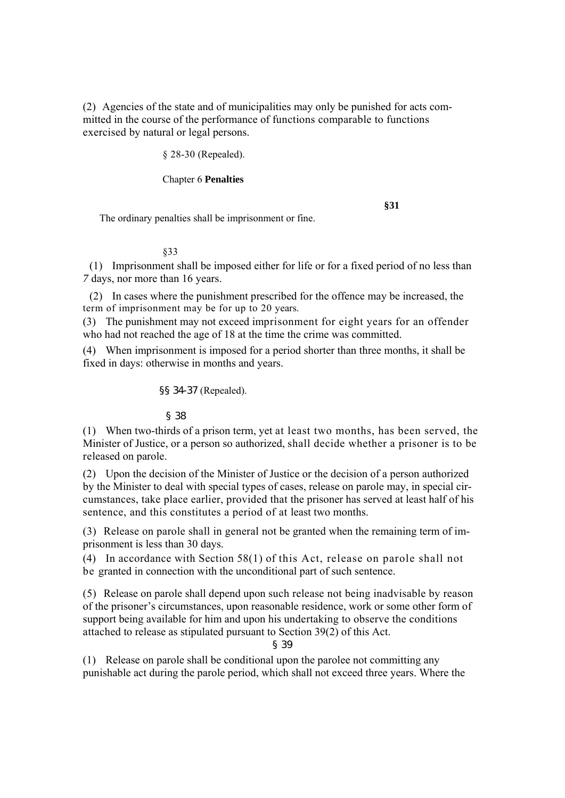(2) Agencies of the state and of municipalities may only be punished for acts committed in the course of the performance of functions comparable to functions exercised by natural or legal persons.

§ 28-30 (Repealed).

## Chapter 6 **Penalties**

#### **§31**

The ordinary penalties shall be imprisonment or fine.

#### §33

(1) Imprisonment shall be imposed either for life or for a fixed period of no less than *7* days, nor more than 16 years.

(2) In cases where the punishment prescribed for the offence may be increased, the term of imprisonment may be for up to 20 years.

(3) The punishment may not exceed imprisonment for eight years for an offender who had not reached the age of 18 at the time the crime was committed.

(4) When imprisonment is imposed for a period shorter than three months, it shall be fixed in days: otherwise in months and years.

§§ 34-37 (Repealed).

# § 38

(1) When two-thirds of a prison term, yet at least two months, has been served, the Minister of Justice, or a person so authorized, shall decide whether a prisoner is to be released on parole.

(2) Upon the decision of the Minister of Justice or the decision of a person authorized by the Minister to deal with special types of cases, release on parole may, in special circumstances, take place earlier, provided that the prisoner has served at least half of his sentence, and this constitutes a period of at least two months.

(3) Release on parole shall in general not be granted when the remaining term of imprisonment is less than 30 days.

(4) In accordance with Section 58(1) of this Act, release on parole shall not be granted in connection with the unconditional part of such sentence.

(5) Release on parole shall depend upon such release not being inadvisable by reason of the prisoner's circumstances, upon reasonable residence, work or some other form of support being available for him and upon his undertaking to observe the conditions attached to release as stipulated pursuant to Section 39(2) of this Act.

§ 39

(1) Release on parole shall be conditional upon the parolee not committing any punishable act during the parole period, which shall not exceed three years. Where the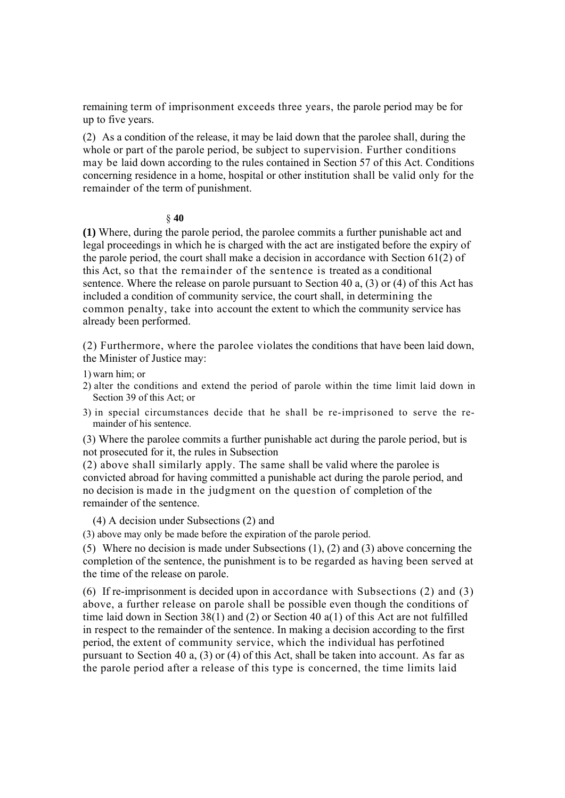remaining term of imprisonment exceeds three years, the parole period may be for up to five years.

(2) As a condition of the release, it may be laid down that the parolee shall, during the whole or part of the parole period, be subject to supervision. Further conditions may be laid down according to the rules contained in Section 57 of this Act. Conditions concerning residence in a home, hospital or other institution shall be valid only for the remainder of the term of punishment.

#### § **40**

**(1)** Where, during the parole period, the parolee commits a further punishable act and legal proceedings in which he is charged with the act are instigated before the expiry of the parole period, the court shall make a decision in accordance with Section 61(2) of this Act, so that the remainder of the sentence is treated as a conditional sentence. Where the release on parole pursuant to Section 40 a, (3) or (4) of this Act has included a condition of community service, the court shall, in determining the common penalty, take into account the extent to which the community service has already been performed.

(2) Furthermore, where the parolee violates the conditions that have been laid down, the Minister of Justice may:

1) warn him; or

- 2) alter the conditions and extend the period of parole within the time limit laid down in Section 39 of this Act; or
- 3) in special circumstances decide that he shall be re-imprisoned to serve the remainder of his sentence.

(3) Where the parolee commits a further punishable act during the parole period, but is not prosecuted for it, the rules in Subsection

(2) above shall similarly apply. The same shall be valid where the parolee is convicted abroad for having committed a punishable act during the parole period, and no decision is made in the judgment on the question of completion of the remainder of the sentence.

(4) A decision under Subsections (2) and

(3) above may only be made before the expiration of the parole period.

(5) Where no decision is made under Subsections (1), (2) and (3) above concerning the completion of the sentence, the punishment is to be regarded as having been served at the time of the release on parole.

(6) If re-imprisonment is decided upon in accordance with Subsections (2) and (3) above, a further release on parole shall be possible even though the conditions of time laid down in Section 38(1) and (2) or Section 40 a(1) of this Act are not fulfilled in respect to the remainder of the sentence. In making a decision according to the first period, the extent of community service, which the individual has perfotined pursuant to Section 40 a, (3) or (4) of this Act, shall be taken into account. As far as the parole period after a release of this type is concerned, the time limits laid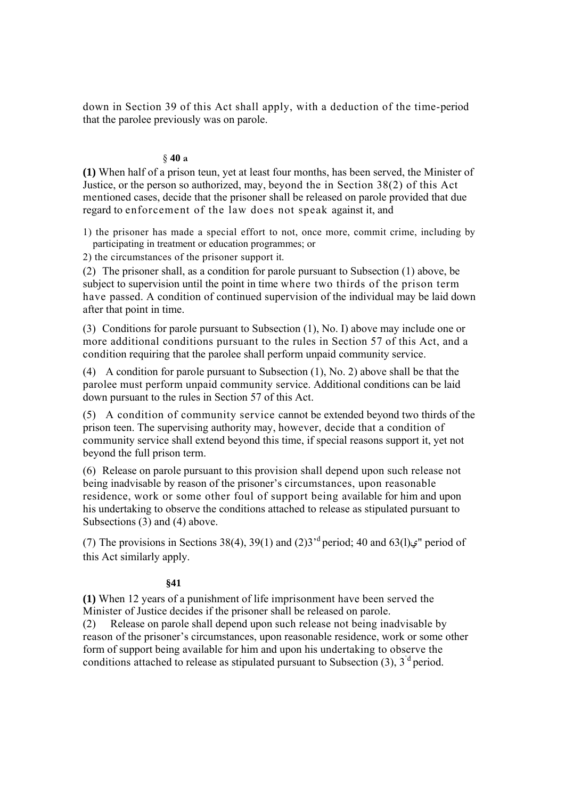down in Section 39 of this Act shall apply, with a deduction of the time-period that the parolee previously was on parole.

# § **40 a**

**(1)** When half of a prison teun, yet at least four months, has been served, the Minister of Justice, or the person so authorized, may, beyond the in Section 38(2) of this Act mentioned cases, decide that the prisoner shall be released on parole provided that due regard to enforcement of the law does not speak against it, and

1) the prisoner has made a special effort to not, once more, commit crime, including by participating in treatment or education programmes; or

2) the circumstances of the prisoner support it.

(2) The prisoner shall, as a condition for parole pursuant to Subsection (1) above, be subject to supervision until the point in time where two thirds of the prison term have passed. A condition of continued supervision of the individual may be laid down after that point in time.

(3) Conditions for parole pursuant to Subsection (1), No. I) above may include one or more additional conditions pursuant to the rules in Section 57 of this Act, and a condition requiring that the parolee shall perform unpaid community service.

(4) A condition for parole pursuant to Subsection (1), No. 2) above shall be that the parolee must perform unpaid community service. Additional conditions can be laid down pursuant to the rules in Section 57 of this Act.

(5) A condition of community service cannot be extended beyond two thirds of the prison teen. The supervising authority may, however, decide that a condition of community service shall extend beyond this time, if special reasons support it, yet not beyond the full prison term.

(6) Release on parole pursuant to this provision shall depend upon such release not being inadvisable by reason of the prisoner's circumstances, upon reasonable residence, work or some other foul of support being available for him and upon his undertaking to observe the conditions attached to release as stipulated pursuant to Subsections (3) and (4) above.

(7) The provisions in Sections 38(4), 39(1) and (2)3<sup>'d</sup> period; 40 and 63(1) $\varphi$ " period of this Act similarly apply.

# **§41**

**(1)** When 12 years of a punishment of life imprisonment have been served the Minister of Justice decides if the prisoner shall be released on parole. (2) Release on parole shall depend upon such release not being inadvisable by reason of the prisoner's circumstances, upon reasonable residence, work or some other form of support being available for him and upon his undertaking to observe the conditions attached to release as stipulated pursuant to Subsection  $(3)$ ,  $3<sup>d</sup>$  period.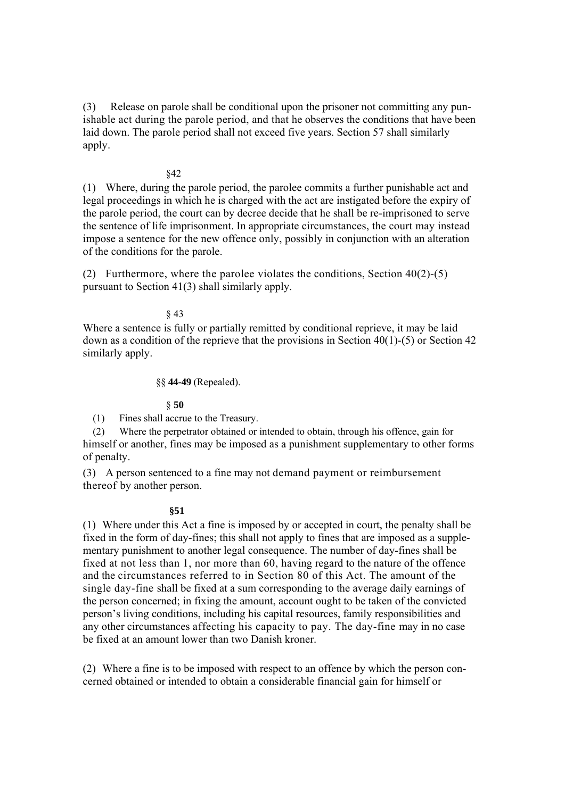(3) Release on parole shall be conditional upon the prisoner not committing any punishable act during the parole period, and that he observes the conditions that have been laid down. The parole period shall not exceed five years. Section 57 shall similarly apply.

#### §42

(1) Where, during the parole period, the parolee commits a further punishable act and legal proceedings in which he is charged with the act are instigated before the expiry of the parole period, the court can by decree decide that he shall be re-imprisoned to serve the sentence of life imprisonment. In appropriate circumstances, the court may instead impose a sentence for the new offence only, possibly in conjunction with an alteration of the conditions for the parole.

(2) Furthermore, where the parolee violates the conditions, Section  $40(2)$ -(5) pursuant to Section 41(3) shall similarly apply.

§ 43

Where a sentence is fully or partially remitted by conditional reprieve, it may be laid down as a condition of the reprieve that the provisions in Section 40(1)-(5) or Section 42 similarly apply.

# §§ **44-49** (Repealed).

#### § **50**

(1) Fines shall accrue to the Treasury.

(2) Where the perpetrator obtained or intended to obtain, through his offence, gain for himself or another, fines may be imposed as a punishment supplementary to other forms of penalty.

(3) A person sentenced to a fine may not demand payment or reimbursement thereof by another person.

#### **§51**

(1) Where under this Act a fine is imposed by or accepted in court, the penalty shall be fixed in the form of day-fines; this shall not apply to fines that are imposed as a supplementary punishment to another legal consequence. The number of day-fines shall be fixed at not less than 1, nor more than 60, having regard to the nature of the offence and the circumstances referred to in Section 80 of this Act. The amount of the single day-fine shall be fixed at a sum corresponding to the average daily earnings of the person concerned; in fixing the amount, account ought to be taken of the convicted person's living conditions, including his capital resources, family responsibilities and any other circumstances affecting his capacity to pay. The day-fine may in no case be fixed at an amount lower than two Danish kroner.

(2) Where a fine is to be imposed with respect to an offence by which the person concerned obtained or intended to obtain a considerable financial gain for himself or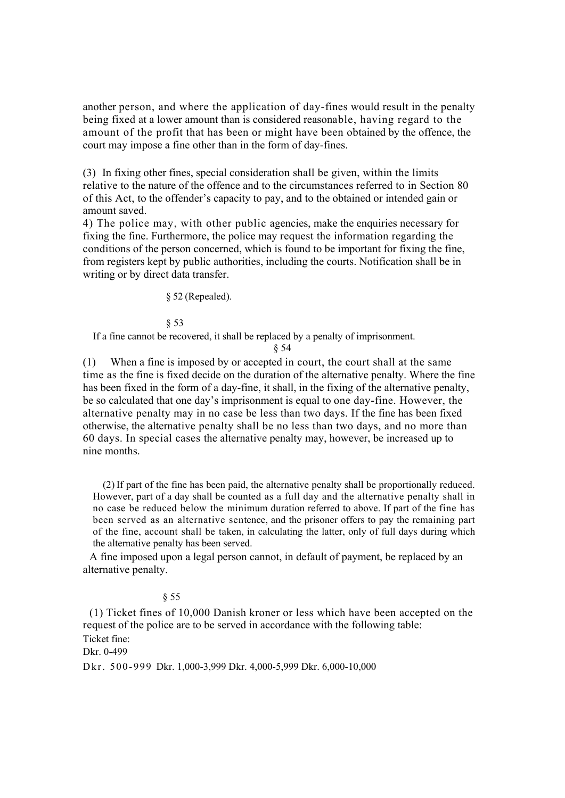another person, and where the application of day-fines would result in the penalty being fixed at a lower amount than is considered reasonable, having regard to the amount of the profit that has been or might have been obtained by the offence, the court may impose a fine other than in the form of day-fines.

(3) In fixing other fines, special consideration shall be given, within the limits relative to the nature of the offence and to the circumstances referred to in Section 80 of this Act, to the offender's capacity to pay, and to the obtained or intended gain or amount saved.

4) The police may, with other public agencies, make the enquiries necessary for fixing the fine. Furthermore, the police may request the information regarding the conditions of the person concerned, which is found to be important for fixing the fine, from registers kept by public authorities, including the courts. Notification shall be in writing or by direct data transfer.

§ 52 (Repealed).

§ 53

If a fine cannot be recovered, it shall be replaced by a penalty of imprisonment.

§ 54

(1) When a fine is imposed by or accepted in court, the court shall at the same time as the fine is fixed decide on the duration of the alternative penalty. Where the fine has been fixed in the form of a day-fine, it shall, in the fixing of the alternative penalty, be so calculated that one day's imprisonment is equal to one day-fine. However, the alternative penalty may in no case be less than two days. If the fine has been fixed otherwise, the alternative penalty shall be no less than two days, and no more than 60 days. In special cases the alternative penalty may, however, be increased up to nine months.

(2) If part of the fine has been paid, the alternative penalty shall be proportionally reduced. However, part of a day shall be counted as a full day and the alternative penalty shall in no case be reduced below the minimum duration referred to above. If part of the fine has been served as an alternative sentence, and the prisoner offers to pay the remaining part of the fine, account shall be taken, in calculating the latter, only of full days during which the alternative penalty has been served.

A fine imposed upon a legal person cannot, in default of payment, be replaced by an alternative penalty.

## § 55

(1) Ticket fines of 10,000 Danish kroner or less which have been accepted on the request of the police are to be served in accordance with the following table: Ticket fine:

Dkr. 0-499

D kr. 5 00-999 Dkr. 1,000-3,999 Dkr. 4,000-5,999 Dkr. 6,000-10,000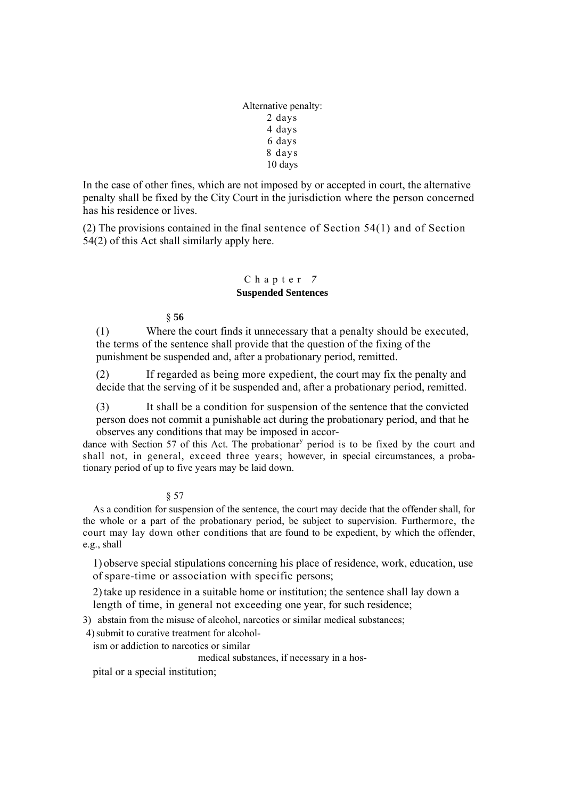Alternative penalty: 2 days 4 days 6 days 8 days 10 days

In the case of other fines, which are not imposed by or accepted in court, the alternative penalty shall be fixed by the City Court in the jurisdiction where the person concerned has his residence or lives.

(2) The provisions contained in the final sentence of Section 54(1) and of Section 54(2) of this Act shall similarly apply here.

# Chapter *7*  **Suspended Sentences**

§ **56** 

(1) Where the court finds it unnecessary that a penalty should be executed, the terms of the sentence shall provide that the question of the fixing of the punishment be suspended and, after a probationary period, remitted.

(2) If regarded as being more expedient, the court may fix the penalty and decide that the serving of it be suspended and, after a probationary period, remitted.

(3) It shall be a condition for suspension of the sentence that the convicted person does not commit a punishable act during the probationary period, and that he observes any conditions that may be imposed in accor-

dance with Section 57 of this Act. The probationar<sup>y</sup> period is to be fixed by the court and shall not, in general, exceed three years; however, in special circumstances, a probationary period of up to five years may be laid down.

§ 57

As a condition for suspension of the sentence, the court may decide that the offender shall, for the whole or a part of the probationary period, be subject to supervision. Furthermore, the court may lay down other conditions that are found to be expedient, by which the offender, e.g., shall

1) observe special stipulations concerning his place of residence, work, education, use of spare-time or association with specific persons;

2)take up residence in a suitable home or institution; the sentence shall lay down a length of time, in general not exceeding one year, for such residence;

3) abstain from the misuse of alcohol, narcotics or similar medical substances;

4) submit to curative treatment for alcohol-

ism or addiction to narcotics or similar

medical substances, if necessary in a hos-

pital or a special institution;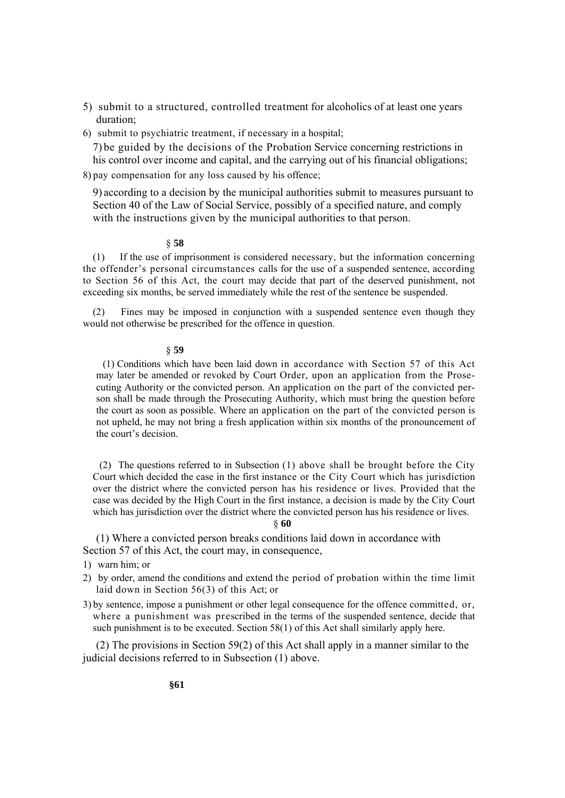- 5) submit to a structured, controlled treatment for alcoholics of at least one years duration;
- 6) submit to psychiatric treatment, if necessary in a hospital;

7) be guided by the decisions of the Probation Service concerning restrictions in his control over income and capital, and the carrying out of his financial obligations;

8) pay compensation for any loss caused by his offence;

9) according to a decision by the municipal authorities submit to measures pursuant to Section 40 of the Law of Social Service, possibly of a specified nature, and comply with the instructions given by the municipal authorities to that person.

# § **58**

(1) If the use of imprisonment is considered necessary, but the information concerning the offender's personal circumstances calls for the use of a suspended sentence, according to Section 56 of this Act, the court may decide that part of the deserved punishment, not exceeding six months, be served immediately while the rest of the sentence be suspended.

(2) Fines may be imposed in conjunction with a suspended sentence even though they would not otherwise be prescribed for the offence in question.

#### § **59**

(1) Conditions which have been laid down in accordance with Section 57 of this Act may later be amended or revoked by Court Order, upon an application from the Prosecuting Authority or the convicted person. An application on the part of the convicted person shall be made through the Prosecuting Authority, which must bring the question before the court as soon as possible. Where an application on the part of the convicted person is not upheld, he may not bring a fresh application within six months of the pronouncement of the court's decision.

(2) The questions referred to in Subsection (1) above shall be brought before the City Court which decided the case in the first instance or the City Court which has jurisdiction over the district where the convicted person has his residence or lives. Provided that the case was decided by the High Court in the first instance, a decision is made by the City Court which has jurisdiction over the district where the convicted person has his residence or lives.

### § **60**

(1) Where a convicted person breaks conditions laid down in accordance with Section 57 of this Act, the court may, in consequence,

- 1) warn him; or
- 2) by order, amend the conditions and extend the period of probation within the time limit laid down in Section 56(3) of this Act; or
- 3) by sentence, impose a punishment or other legal consequence for the offence committed, or, where a punishment was prescribed in the terms of the suspended sentence, decide that such punishment is to be executed. Section 58(1) of this Act shall similarly apply here.

(2) The provisions in Section 59(2) of this Act shall apply in a manner similar to the judicial decisions referred to in Subsection (1) above.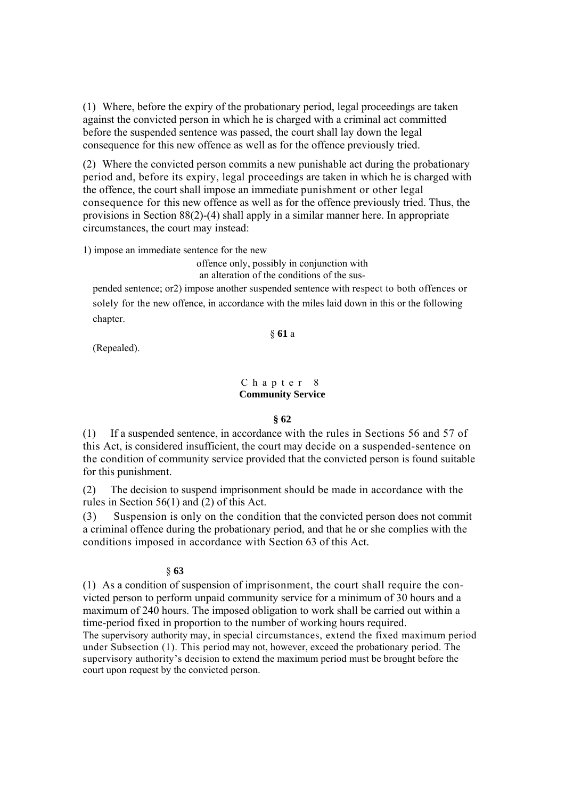(1) Where, before the expiry of the probationary period, legal proceedings are taken against the convicted person in which he is charged with a criminal act committed before the suspended sentence was passed, the court shall lay down the legal consequence for this new offence as well as for the offence previously tried.

(2) Where the convicted person commits a new punishable act during the probationary period and, before its expiry, legal proceedings are taken in which he is charged with the offence, the court shall impose an immediate punishment or other legal consequence for this new offence as well as for the offence previously tried. Thus, the provisions in Section 88(2)-(4) shall apply in a similar manner here. In appropriate circumstances, the court may instead:

1) impose an immediate sentence for the new

offence only, possibly in conjunction with

an alteration of the conditions of the sus-

pended sentence; or2) impose another suspended sentence with respect to both offences or solely for the new offence, in accordance with the miles laid down in this or the following chapter.

§ **61** a

(Repealed).

# Chapter 8 **Community Service**

#### **§ 62**

(1) If a suspended sentence, in accordance with the rules in Sections 56 and 57 of this Act, is considered insufficient, the court may decide on a suspended-sentence on the condition of community service provided that the convicted person is found suitable for this punishment.

(2) The decision to suspend imprisonment should be made in accordance with the rules in Section 56(1) and (2) of this Act.

(3) Suspension is only on the condition that the convicted person does not commit a criminal offence during the probationary period, and that he or she complies with the conditions imposed in accordance with Section 63 of this Act.

#### § **63**

(1) As a condition of suspension of imprisonment, the court shall require the convicted person to perform unpaid community service for a minimum of 30 hours and a maximum of 240 hours. The imposed obligation to work shall be carried out within a time-period fixed in proportion to the number of working hours required.

The supervisory authority may, in special circumstances, extend the fixed maximum period under Subsection (1). This period may not, however, exceed the probationary period. The supervisory authority's decision to extend the maximum period must be brought before the court upon request by the convicted person.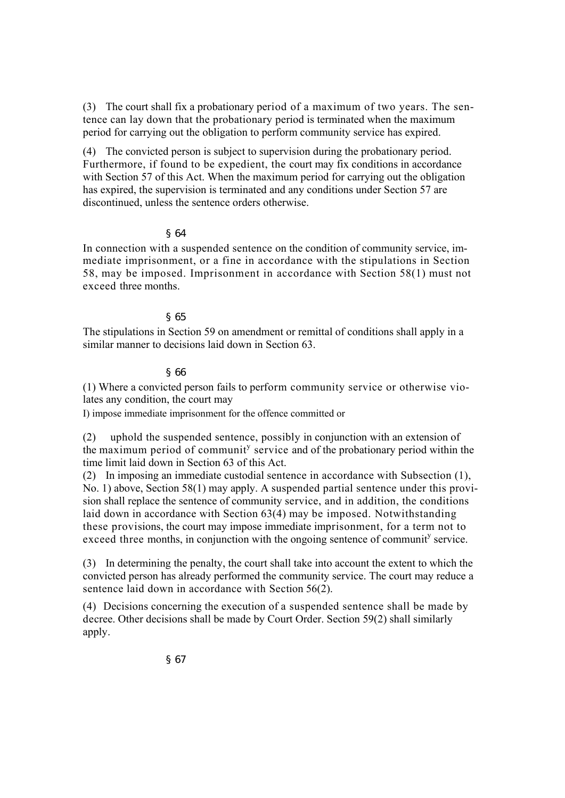(3) The court shall fix a probationary period of a maximum of two years. The sentence can lay down that the probationary period is terminated when the maximum period for carrying out the obligation to perform community service has expired.

(4) The convicted person is subject to supervision during the probationary period. Furthermore, if found to be expedient, the court may fix conditions in accordance with Section 57 of this Act. When the maximum period for carrying out the obligation has expired, the supervision is terminated and any conditions under Section 57 are discontinued, unless the sentence orders otherwise.

# § 64

In connection with a suspended sentence on the condition of community service, immediate imprisonment, or a fine in accordance with the stipulations in Section 58, may be imposed. Imprisonment in accordance with Section 58(1) must not exceed three months.

# § 65

The stipulations in Section 59 on amendment or remittal of conditions shall apply in a similar manner to decisions laid down in Section 63.

## § 66

(1) Where a convicted person fails to perform community service or otherwise violates any condition, the court may

I) impose immediate imprisonment for the offence committed or

(2) uphold the suspended sentence, possibly in conjunction with an extension of the maximum period of communit<sup>y</sup> service and of the probationary period within the time limit laid down in Section 63 of this Act.

(2) In imposing an immediate custodial sentence in accordance with Subsection (1), No. 1) above, Section 58(1) may apply. A suspended partial sentence under this provision shall replace the sentence of community service, and in addition, the conditions laid down in accordance with Section 63(4) may be imposed. Notwithstanding these provisions, the court may impose immediate imprisonment, for a term not to exceed three months, in conjunction with the ongoing sentence of communit<sup>y</sup> service.

(3) In determining the penalty, the court shall take into account the extent to which the convicted person has already performed the community service. The court may reduce a sentence laid down in accordance with Section 56(2).

(4) Decisions concerning the execution of a suspended sentence shall be made by decree. Other decisions shall be made by Court Order. Section 59(2) shall similarly apply.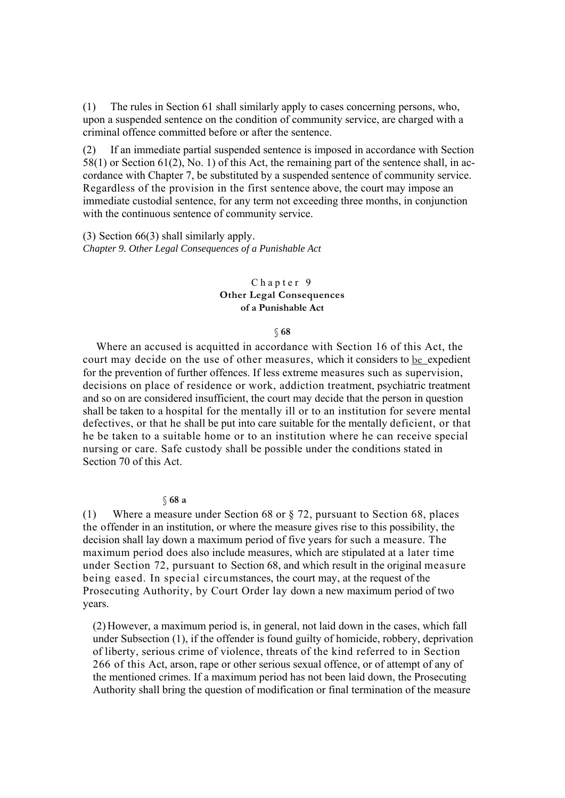(1) The rules in Section 61 shall similarly apply to cases concerning persons, who, upon a suspended sentence on the condition of community service, are charged with a criminal offence committed before or after the sentence.

(2) If an immediate partial suspended sentence is imposed in accordance with Section 58(1) or Section 61(2), No. 1) of this Act, the remaining part of the sentence shall, in accordance with Chapter 7, be substituted by a suspended sentence of community service. Regardless of the provision in the first sentence above, the court may impose an immediate custodial sentence, for any term not exceeding three months, in conjunction with the continuous sentence of community service.

(3) Section 66(3) shall similarly apply. *Chapter 9. Other Legal Consequences of a Punishable Act* 

# Chapter 9 **Other Legal Consequences of a Punishable Act**

#### § **68**

Where an accused is acquitted in accordance with Section 16 of this Act, the court may decide on the use of other measures, which it considers to be expedient for the prevention of further offences. If less extreme measures such as supervision, decisions on place of residence or work, addiction treatment, psychiatric treatment and so on are considered insufficient, the court may decide that the person in question shall be taken to a hospital for the mentally ill or to an institution for severe mental defectives, or that he shall be put into care suitable for the mentally deficient, or that he be taken to a suitable home or to an institution where he can receive special nursing or care. Safe custody shall be possible under the conditions stated in Section 70 of this Act.

#### § **68 a**

(1) Where a measure under Section 68 or § 72, pursuant to Section 68, places the offender in an institution, or where the measure gives rise to this possibility, the decision shall lay down a maximum period of five years for such a measure. The maximum period does also include measures, which are stipulated at a later time under Section 72, pursuant to Section 68, and which result in the original measure being eased. In special circumstances, the court may, at the request of the Prosecuting Authority, by Court Order lay down a new maximum period of two years.

(2) However, a maximum period is, in general, not laid down in the cases, which fall under Subsection (1), if the offender is found guilty of homicide, robbery, deprivation of liberty, serious crime of violence, threats of the kind referred to in Section 266 of this Act, arson, rape or other serious sexual offence, or of attempt of any of the mentioned crimes. If a maximum period has not been laid down, the Prosecuting Authority shall bring the question of modification or final termination of the measure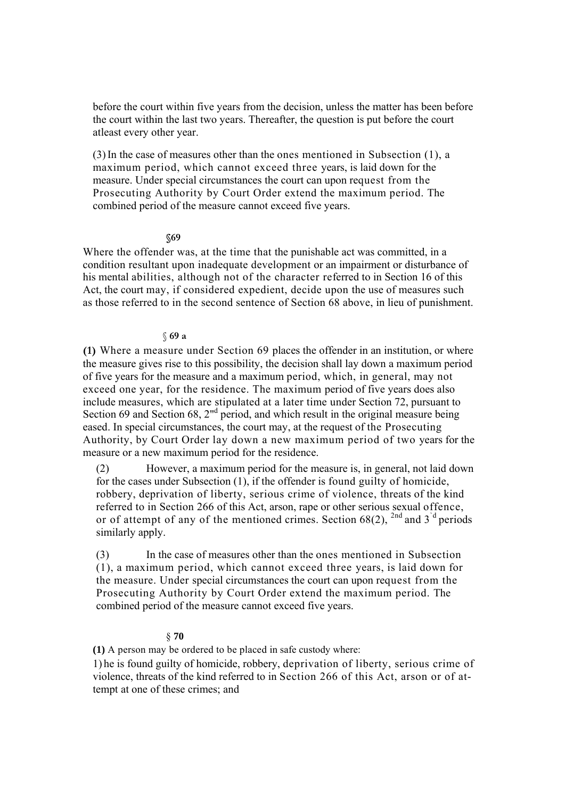before the court within five years from the decision, unless the matter has been before the court within the last two years. Thereafter, the question is put before the court atleast every other year.

(3)In the case of measures other than the ones mentioned in Subsection (1), a maximum period, which cannot exceed three years, is laid down for the measure. Under special circumstances the court can upon request from the Prosecuting Authority by Court Order extend the maximum period. The combined period of the measure cannot exceed five years.

# **§69**

Where the offender was, at the time that the punishable act was committed, in a condition resultant upon inadequate development or an impairment or disturbance of his mental abilities, although not of the character referred to in Section 16 of this Act, the court may, if considered expedient, decide upon the use of measures such as those referred to in the second sentence of Section 68 above, in lieu of punishment.

## § **69 a**

**(1)** Where a measure under Section 69 places the offender in an institution, or where the measure gives rise to this possibility, the decision shall lay down a maximum period of five years for the measure and a maximum period, which, in general, may not exceed one year, for the residence. The maximum period of five years does also include measures, which are stipulated at a later time under Section 72, pursuant to Section 69 and Section 68, 2<sup>nd</sup> period, and which result in the original measure being eased. In special circumstances, the court may, at the request of the Prosecuting Authority, by Court Order lay down a new maximum period of two years for the measure or a new maximum period for the residence.

(2) However, a maximum period for the measure is, in general, not laid down for the cases under Subsection (1), if the offender is found guilty of homicide, robbery, deprivation of liberty, serious crime of violence, threats of the kind referred to in Section 266 of this Act, arson, rape or other serious sexual offence, or of attempt of any of the mentioned crimes. Section  $68(2)$ ,  $^{2nd}$  and 3<sup>'d</sup> periods similarly apply.

(3) In the case of measures other than the ones mentioned in Subsection (1), a maximum period, which cannot exceed three years, is laid down for the measure. Under special circumstances the court can upon request from the Prosecuting Authority by Court Order extend the maximum period. The combined period of the measure cannot exceed five years.

# § **70**

**(1)** A person may be ordered to be placed in safe custody where:

1) he is found guilty of homicide, robbery, deprivation of liberty, serious crime of violence, threats of the kind referred to in Section 266 of this Act, arson or of attempt at one of these crimes; and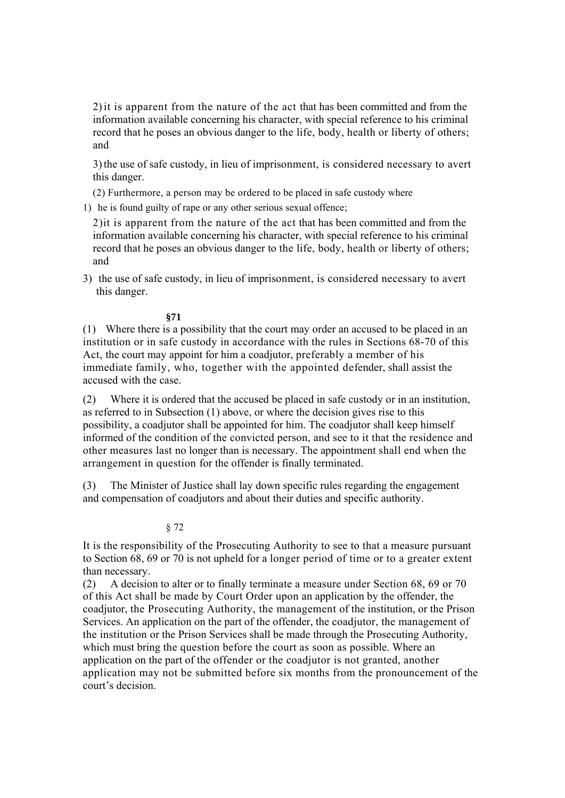2)it is apparent from the nature of the act that has been committed and from the information available concerning his character, with special reference to his criminal record that he poses an obvious danger to the life, body, health or liberty of others; and

3)the use of safe custody, in lieu of imprisonment, is considered necessary to avert this danger.

(2) Furthermore, a person may be ordered to be placed in safe custody where

1) he is found guilty of rape or any other serious sexual offence;

2)it is apparent from the nature of the act that has been committed and from the information available concerning his character, with special reference to his criminal record that he poses an obvious danger to the life, body, health or liberty of others; and

3) the use of safe custody, in lieu of imprisonment, is considered necessary to avert this danger.

# **§71**

(1) Where there is a possibility that the court may order an accused to be placed in an institution or in safe custody in accordance with the rules in Sections 68-70 of this Act, the court may appoint for him a coadjutor, preferably a member of his immediate family, who, together with the appointed defender, shall assist the accused with the case.

(2) Where it is ordered that the accused be placed in safe custody or in an institution, as referred to in Subsection (1) above, or where the decision gives rise to this possibility, a coadjutor shall be appointed for him. The coadjutor shall keep himself informed of the condition of the convicted person, and see to it that the residence and other measures last no longer than is necessary. The appointment shall end when the arrangement in question for the offender is finally terminated.

(3) The Minister of Justice shall lay down specific rules regarding the engagement and compensation of coadjutors and about their duties and specific authority.

# § 72

It is the responsibility of the Prosecuting Authority to see to that a measure pursuant to Section 68, 69 or 70 is not upheld for a longer period of time or to a greater extent than necessary.

(2) A decision to alter or to finally terminate a measure under Section 68, 69 or 70 of this Act shall be made by Court Order upon an application by the offender, the coadjutor, the Prosecuting Authority, the management of the institution, or the Prison Services. An application on the part of the offender, the coadjutor, the management of the institution or the Prison Services shall be made through the Prosecuting Authority, which must bring the question before the court as soon as possible. Where an application on the part of the offender or the coadjutor is not granted, another application may not be submitted before six months from the pronouncement of the court's decision.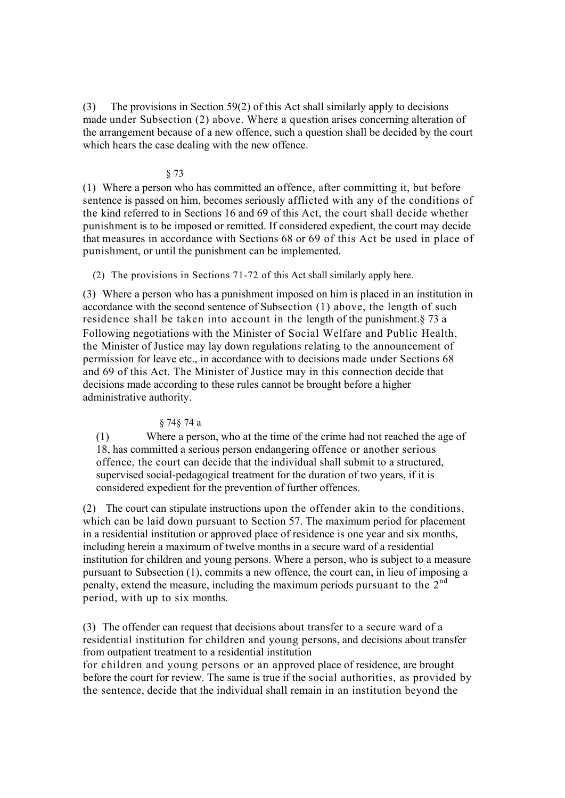(3) The provisions in Section 59(2) of this Act shall similarly apply to decisions made under Subsection (2) above. Where a question arises concerning alteration of the arrangement because of a new offence, such a question shall be decided by the court which hears the case dealing with the new offence.

# § 73

(1) Where a person who has committed an offence, after committing it, but before sentence is passed on him, becomes seriously afflicted with any of the conditions of the kind referred to in Sections 16 and 69 of this Act, the court shall decide whether punishment is to be imposed or remitted. If considered expedient, the court may decide that measures in accordance with Sections 68 or 69 of this Act be used in place of punishment, or until the punishment can be implemented.

(2) The provisions in Sections 71-72 of this Act shall similarly apply here.

(3) Where a person who has a punishment imposed on him is placed in an institution in accordance with the second sentence of Subsection (1) above, the length of such residence shall be taken into account in the length of the punishment.§ 73 a Following negotiations with the Minister of Social Welfare and Public Health, the Minister of Justice may lay down regulations relating to the announcement of permission for leave etc., in accordance with to decisions made under Sections 68 and 69 of this Act. The Minister of Justice may in this connection decide that decisions made according to these rules cannot be brought before a higher administrative authority.

# § 74§ 74 a

(1) Where a person, who at the time of the crime had not reached the age of 18, has committed a serious person endangering offence or another serious offence, the court can decide that the individual shall submit to a structured, supervised social-pedagogical treatment for the duration of two years, if it is considered expedient for the prevention of further offences.

(2) The court can stipulate instructions upon the offender akin to the conditions, which can be laid down pursuant to Section 57. The maximum period for placement in a residential institution or approved place of residence is one year and six months, including herein a maximum of twelve months in a secure ward of a residential institution for children and young persons. Where a person, who is subject to a measure pursuant to Subsection (1), commits a new offence, the court can, in lieu of imposing a penalty, extend the measure, including the maximum periods pursuant to the 2<sup>nd</sup> period, with up to six months.

(3) The offender can request that decisions about transfer to a secure ward of a residential institution for children and young persons, and decisions about transfer from outpatient treatment to a residential institution

for children and young persons or an approved place of residence, are brought before the court for review. The same is true if the social authorities, as provided by the sentence, decide that the individual shall remain in an institution beyond the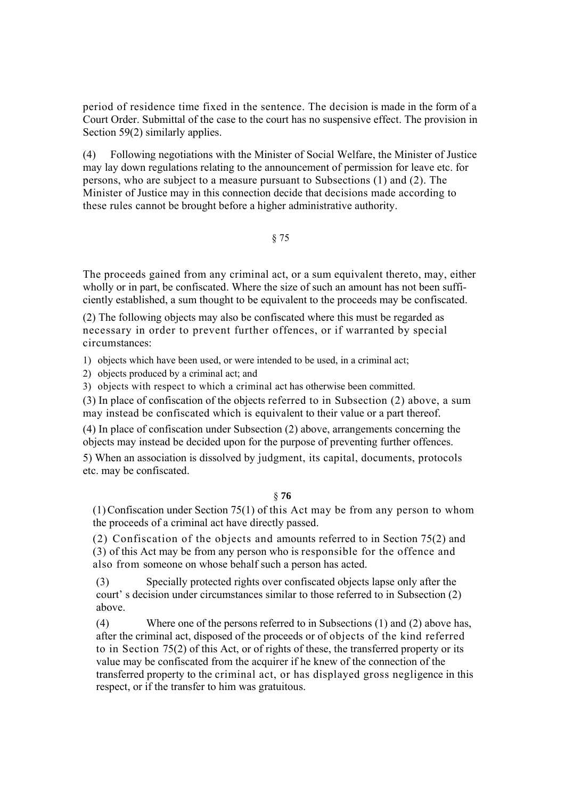period of residence time fixed in the sentence. The decision is made in the form of a Court Order. Submittal of the case to the court has no suspensive effect. The provision in Section 59(2) similarly applies.

(4) Following negotiations with the Minister of Social Welfare, the Minister of Justice may lay down regulations relating to the announcement of permission for leave etc. for persons, who are subject to a measure pursuant to Subsections (1) and (2). The Minister of Justice may in this connection decide that decisions made according to these rules cannot be brought before a higher administrative authority.

# § 75

The proceeds gained from any criminal act, or a sum equivalent thereto, may, either wholly or in part, be confiscated. Where the size of such an amount has not been sufficiently established, a sum thought to be equivalent to the proceeds may be confiscated.

(2) The following objects may also be confiscated where this must be regarded as necessary in order to prevent further offences, or if warranted by special circumstances:

1) objects which have been used, or were intended to be used, in a criminal act;

2) objects produced by a criminal act; and

3) objects with respect to which a criminal act has otherwise been committed.

(3) In place of confiscation of the objects referred to in Subsection (2) above, a sum may instead be confiscated which is equivalent to their value or a part thereof.

(4) In place of confiscation under Subsection (2) above, arrangements concerning the objects may instead be decided upon for the purpose of preventing further offences.

5) When an association is dissolved by judgment, its capital, documents, protocols etc. may be confiscated.

## § **76**

(1)Confiscation under Section 75(1) of this Act may be from any person to whom the proceeds of a criminal act have directly passed.

(2) Confiscation of the objects and amounts referred to in Section 75(2) and (3) of this Act may be from any person who is responsible for the offence and also from someone on whose behalf such a person has acted.

(3) Specially protected rights over confiscated objects lapse only after the court' s decision under circumstances similar to those referred to in Subsection (2) above.

(4) Where one of the persons referred to in Subsections (1) and (2) above has, after the criminal act, disposed of the proceeds or of objects of the kind referred to in Section 75(2) of this Act, or of rights of these, the transferred property or its value may be confiscated from the acquirer if he knew of the connection of the transferred property to the criminal act, or has displayed gross negligence in this respect, or if the transfer to him was gratuitous.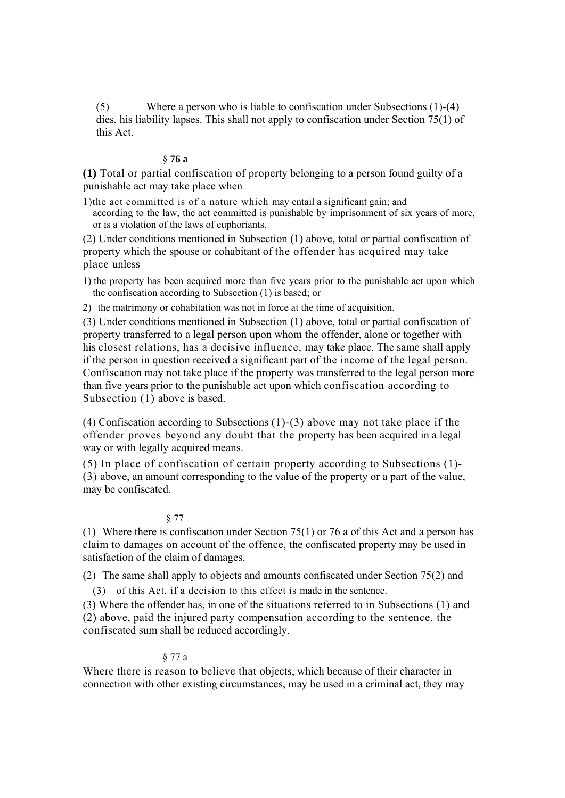(5) Where a person who is liable to confiscation under Subsections (1)-(4) dies, his liability lapses. This shall not apply to confiscation under Section 75(1) of this Act.

## § **76 a**

**(1)** Total or partial confiscation of property belonging to a person found guilty of a punishable act may take place when

1)the act committed is of a nature which may entail a significant gain; and according to the law, the act committed is punishable by imprisonment of six years of more, or is a violation of the laws of euphoriants.

(2) Under conditions mentioned in Subsection (1) above, total or partial confiscation of property which the spouse or cohabitant of the offender has acquired may take place unless

1) the property has been acquired more than five years prior to the punishable act upon which the confiscation according to Subsection (1) is based; or

2) the matrimony or cohabitation was not in force at the time of acquisition.

(3) Under conditions mentioned in Subsection (1) above, total or partial confiscation of property transferred to a legal person upon whom the offender, alone or together with his closest relations, has a decisive influence, may take place. The same shall apply if the person in question received a significant part of the income of the legal person. Confiscation may not take place if the property was transferred to the legal person more than five years prior to the punishable act upon which confiscation according to Subsection (1) above is based.

(4) Confiscation according to Subsections (1)-(3) above may not take place if the offender proves beyond any doubt that the property has been acquired in a legal way or with legally acquired means.

(5) In place of confiscation of certain property according to Subsections (1)- (3) above, an amount corresponding to the value of the property or a part of the value, may be confiscated.

#### § 77

(1) Where there is confiscation under Section 75(1) or 76 a of this Act and a person has claim to damages on account of the offence, the confiscated property may be used in satisfaction of the claim of damages.

(2) The same shall apply to objects and amounts confiscated under Section 75(2) and

(3) of this Act, if a decision to this effect is made in the sentence.

(3) Where the offender has, in one of the situations referred to in Subsections (1) and (2) above, paid the injured party compensation according to the sentence, the confiscated sum shall be reduced accordingly.

#### § 77 a

Where there is reason to believe that objects, which because of their character in connection with other existing circumstances, may be used in a criminal act, they may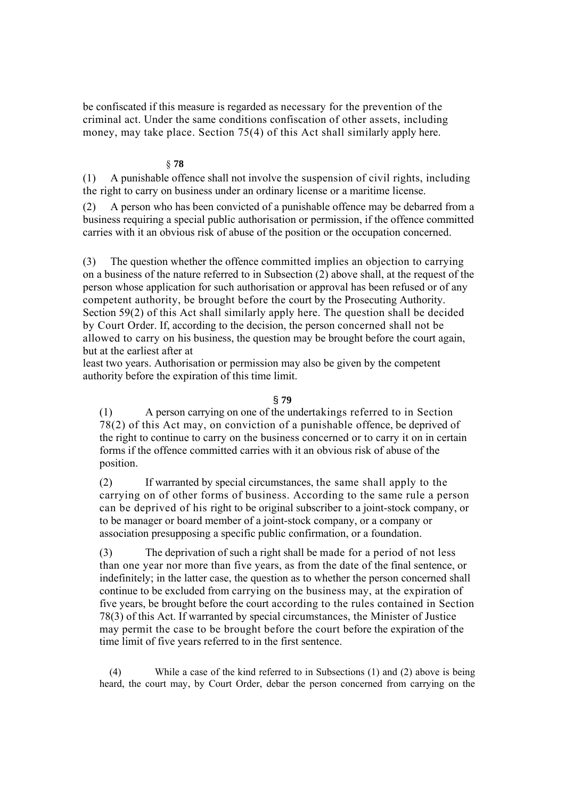be confiscated if this measure is regarded as necessary for the prevention of the criminal act. Under the same conditions confiscation of other assets, including money, may take place. Section 75(4) of this Act shall similarly apply here.

# § **78**

(1) A punishable offence shall not involve the suspension of civil rights, including the right to carry on business under an ordinary license or a maritime license.

(2) A person who has been convicted of a punishable offence may be debarred from a business requiring a special public authorisation or permission, if the offence committed carries with it an obvious risk of abuse of the position or the occupation concerned.

(3) The question whether the offence committed implies an objection to carrying on a business of the nature referred to in Subsection (2) above shall, at the request of the person whose application for such authorisation or approval has been refused or of any competent authority, be brought before the court by the Prosecuting Authority. Section 59(2) of this Act shall similarly apply here. The question shall be decided by Court Order. If, according to the decision, the person concerned shall not be allowed to carry on his business, the question may be brought before the court again, but at the earliest after at

least two years. Authorisation or permission may also be given by the competent authority before the expiration of this time limit.

# § **79**

(1) A person carrying on one of the undertakings referred to in Section 78(2) of this Act may, on conviction of a punishable offence, be deprived of the right to continue to carry on the business concerned or to carry it on in certain forms if the offence committed carries with it an obvious risk of abuse of the position.

(2) If warranted by special circumstances, the same shall apply to the carrying on of other forms of business. According to the same rule a person can be deprived of his right to be original subscriber to a joint-stock company, or to be manager or board member of a joint-stock company, or a company or association presupposing a specific public confirmation, or a foundation.

(3) The deprivation of such a right shall be made for a period of not less than one year nor more than five years, as from the date of the final sentence, or indefinitely; in the latter case, the question as to whether the person concerned shall continue to be excluded from carrying on the business may, at the expiration of five years, be brought before the court according to the rules contained in Section 78(3) of this Act. If warranted by special circumstances, the Minister of Justice may permit the case to be brought before the court before the expiration of the time limit of five years referred to in the first sentence.

(4) While a case of the kind referred to in Subsections (1) and (2) above is being heard, the court may, by Court Order, debar the person concerned from carrying on the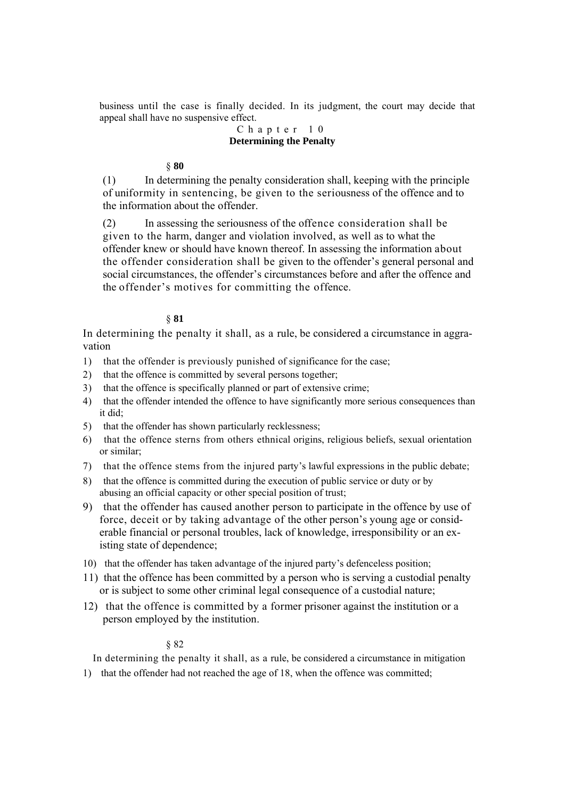business until the case is finally decided. In its judgment, the court may decide that appeal shall have no suspensive effect.

# Chapter 10 **Determining the Penalty**

# § **80**

(1) In determining the penalty consideration shall, keeping with the principle of uniformity in sentencing, be given to the seriousness of the offence and to the information about the offender.

(2) In assessing the seriousness of the offence consideration shall be given to the harm, danger and violation involved, as well as to what the offender knew or should have known thereof. In assessing the information about the offender consideration shall be given to the offender's general personal and social circumstances, the offender's circumstances before and after the offence and the offender's motives for committing the offence.

# § **81**

In determining the penalty it shall, as a rule, be considered a circumstance in aggravation

- 1) that the offender is previously punished of significance for the case;
- 2) that the offence is committed by several persons together;
- 3) that the offence is specifically planned or part of extensive crime;
- 4) that the offender intended the offence to have significantly more serious consequences than it did;
- 5) that the offender has shown particularly recklessness;
- 6) that the offence sterns from others ethnical origins, religious beliefs, sexual orientation or similar;
- 7) that the offence stems from the injured party's lawful expressions in the public debate;
- 8) that the offence is committed during the execution of public service or duty or by abusing an official capacity or other special position of trust;
- 9) that the offender has caused another person to participate in the offence by use of force, deceit or by taking advantage of the other person's young age or considerable financial or personal troubles, lack of knowledge, irresponsibility or an existing state of dependence;
- 10) that the offender has taken advantage of the injured party's defenceless position;
- 11) that the offence has been committed by a person who is serving a custodial penalty or is subject to some other criminal legal consequence of a custodial nature;
- 12) that the offence is committed by a former prisoner against the institution or a person employed by the institution.

# § 82

In determining the penalty it shall, as a rule, be considered a circumstance in mitigation

1) that the offender had not reached the age of 18, when the offence was committed;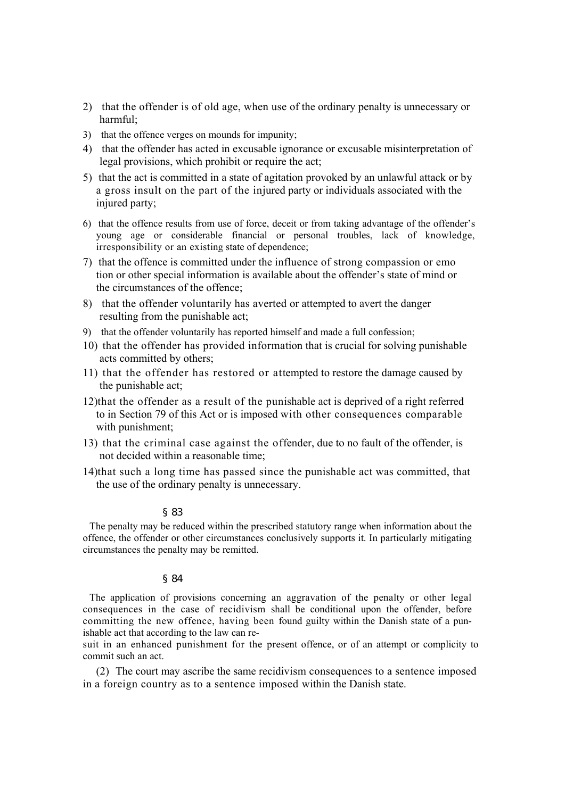- 2) that the offender is of old age, when use of the ordinary penalty is unnecessary or harmful;
- 3) that the offence verges on mounds for impunity;
- 4) that the offender has acted in excusable ignorance or excusable misinterpretation of legal provisions, which prohibit or require the act;
- 5) that the act is committed in a state of agitation provoked by an unlawful attack or by a gross insult on the part of the injured party or individuals associated with the injured party;
- 6) that the offence results from use of force, deceit or from taking advantage of the offender's young age or considerable financial or personal troubles, lack of knowledge, irresponsibility or an existing state of dependence;
- 7) that the offence is committed under the influence of strong compassion or emo tion or other special information is available about the offender's state of mind or the circumstances of the offence;
- 8) that the offender voluntarily has averted or attempted to avert the danger resulting from the punishable act;
- 9) that the offender voluntarily has reported himself and made a full confession;
- 10) that the offender has provided information that is crucial for solving punishable acts committed by others;
- 11) that the offender has restored or attempted to restore the damage caused by the punishable act;
- 12)that the offender as a result of the punishable act is deprived of a right referred to in Section 79 of this Act or is imposed with other consequences comparable with punishment;
- 13) that the criminal case against the offender, due to no fault of the offender, is not decided within a reasonable time;
- 14)that such a long time has passed since the punishable act was committed, that the use of the ordinary penalty is unnecessary.

#### § 83

The penalty may be reduced within the prescribed statutory range when information about the offence, the offender or other circumstances conclusively supports it. In particularly mitigating circumstances the penalty may be remitted.

#### § 84

The application of provisions concerning an aggravation of the penalty or other legal consequences in the case of recidivism shall be conditional upon the offender, before committing the new offence, having been found guilty within the Danish state of a punishable act that according to the law can re-

suit in an enhanced punishment for the present offence, or of an attempt or complicity to commit such an act.

(2) The court may ascribe the same recidivism consequences to a sentence imposed in a foreign country as to a sentence imposed within the Danish state.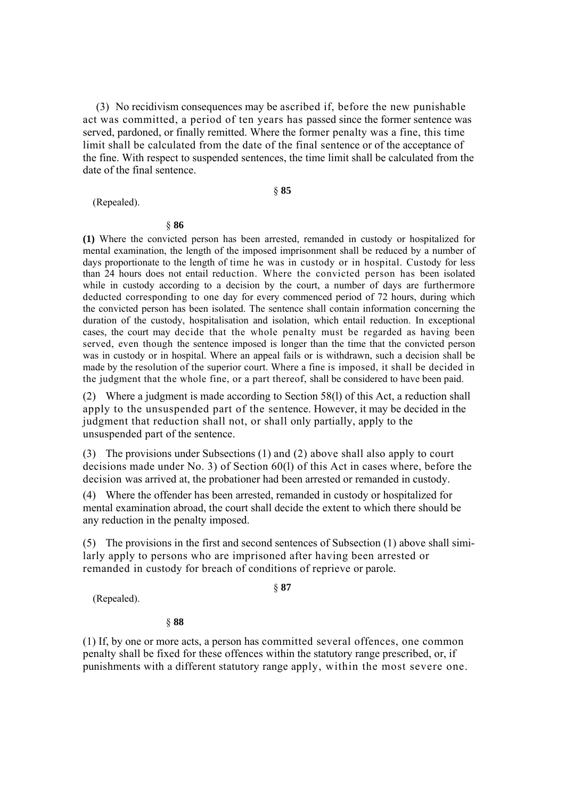(3) No recidivism consequences may be ascribed if, before the new punishable act was committed, a period of ten years has passed since the former sentence was served, pardoned, or finally remitted. Where the former penalty was a fine, this time limit shall be calculated from the date of the final sentence or of the acceptance of the fine. With respect to suspended sentences, the time limit shall be calculated from the date of the final sentence.

(Repealed).

# § **85**

#### § **86**

**(1)** Where the convicted person has been arrested, remanded in custody or hospitalized for mental examination, the length of the imposed imprisonment shall be reduced by a number of days proportionate to the length of time he was in custody or in hospital. Custody for less than 24 hours does not entail reduction. Where the convicted person has been isolated while in custody according to a decision by the court, a number of days are furthermore deducted corresponding to one day for every commenced period of 72 hours, during which the convicted person has been isolated. The sentence shall contain information concerning the duration of the custody, hospitalisation and isolation, which entail reduction. In exceptional cases, the court may decide that the whole penalty must be regarded as having been served, even though the sentence imposed is longer than the time that the convicted person was in custody or in hospital. Where an appeal fails or is withdrawn, such a decision shall be made by the resolution of the superior court. Where a fine is imposed, it shall be decided in the judgment that the whole fine, or a part thereof, shall be considered to have been paid.

(2) Where a judgment is made according to Section 58(l) of this Act, a reduction shall apply to the unsuspended part of the sentence. However, it may be decided in the judgment that reduction shall not, or shall only partially, apply to the unsuspended part of the sentence.

(3) The provisions under Subsections (1) and (2) above shall also apply to court decisions made under No. 3) of Section 60(l) of this Act in cases where, before the decision was arrived at, the probationer had been arrested or remanded in custody.

(4) Where the offender has been arrested, remanded in custody or hospitalized for mental examination abroad, the court shall decide the extent to which there should be any reduction in the penalty imposed.

(5) The provisions in the first and second sentences of Subsection (1) above shall similarly apply to persons who are imprisoned after having been arrested or remanded in custody for breach of conditions of reprieve or parole.

(Repealed).

§ **87** 

#### § **88**

(1) If, by one or more acts, a person has committed several offences, one common penalty shall be fixed for these offences within the statutory range prescribed, or, if punishments with a different statutory range apply, within the most severe one.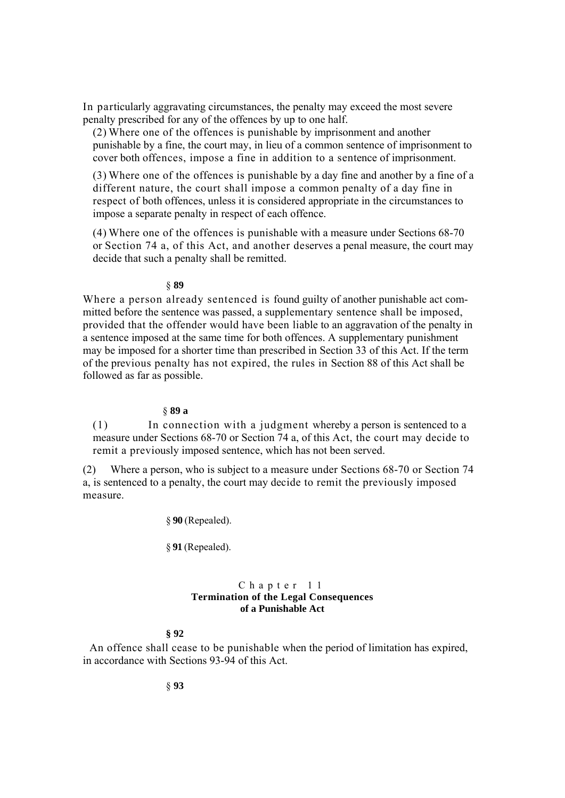In particularly aggravating circumstances, the penalty may exceed the most severe penalty prescribed for any of the offences by up to one half.

(2) Where one of the offences is punishable by imprisonment and another punishable by a fine, the court may, in lieu of a common sentence of imprisonment to cover both offences, impose a fine in addition to a sentence of imprisonment.

(3) Where one of the offences is punishable by a day fine and another by a fine of a different nature, the court shall impose a common penalty of a day fine in respect of both offences, unless it is considered appropriate in the circumstances to impose a separate penalty in respect of each offence.

(4) Where one of the offences is punishable with a measure under Sections 68-70 or Section 74 a, of this Act, and another deserves a penal measure, the court may decide that such a penalty shall be remitted.

# § **89**

Where a person already sentenced is found guilty of another punishable act committed before the sentence was passed, a supplementary sentence shall be imposed, provided that the offender would have been liable to an aggravation of the penalty in a sentence imposed at the same time for both offences. A supplementary punishment may be imposed for a shorter time than prescribed in Section 33 of this Act. If the term of the previous penalty has not expired, the rules in Section 88 of this Act shall be followed as far as possible.

### § **89 a**

(1) In connection with a judgment whereby a person is sentenced to a measure under Sections 68-70 or Section 74 a, of this Act, the court may decide to remit a previously imposed sentence, which has not been served.

(2) Where a person, who is subject to a measure under Sections 68-70 or Section 74 a, is sentenced to a penalty, the court may decide to remit the previously imposed measure.

§ **90** (Repealed).

§ **91** (Repealed).

## Chapter 11 **Termination of the Legal Consequences of a Punishable Act**

# **§ 92**

An offence shall cease to be punishable when the period of limitation has expired, in accordance with Sections 93-94 of this Act.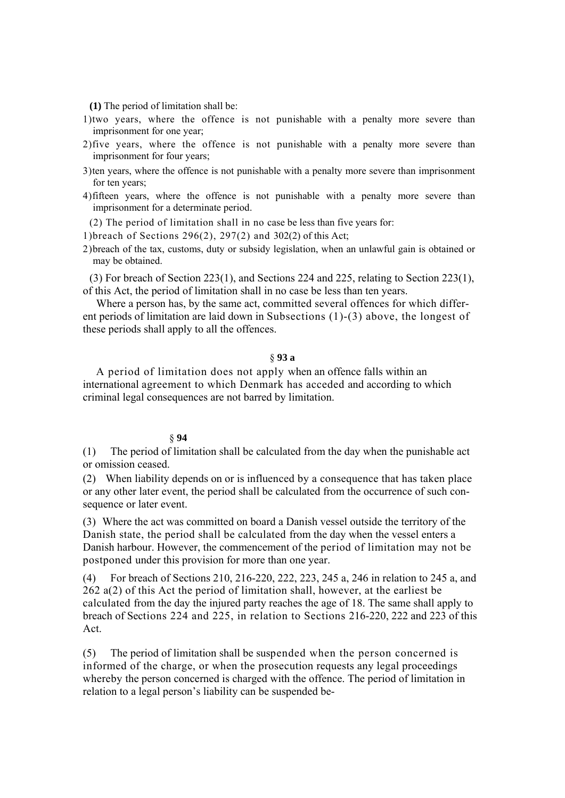**(1)** The period of limitation shall be:

- 1)two years, where the offence is not punishable with a penalty more severe than imprisonment for one year;
- 2)five years, where the offence is not punishable with a penalty more severe than imprisonment for four years;
- 3)ten years, where the offence is not punishable with a penalty more severe than imprisonment for ten years;
- 4)fifteen years, where the offence is not punishable with a penalty more severe than imprisonment for a determinate period.

(2) The period of limitation shall in no case be less than five years for:

1)breach of Sections 296(2), 297(2) and 302(2) of this Act;

2)breach of the tax, customs, duty or subsidy legislation, when an unlawful gain is obtained or may be obtained.

(3) For breach of Section 223(1), and Sections 224 and 225, relating to Section 223(1), of this Act, the period of limitation shall in no case be less than ten years.

Where a person has, by the same act, committed several offences for which different periods of limitation are laid down in Subsections (1)-(3) above, the longest of these periods shall apply to all the offences.

## § **93 a**

A period of limitation does not apply when an offence falls within an international agreement to which Denmark has acceded and according to which criminal legal consequences are not barred by limitation.

#### § **94**

(1) The period of limitation shall be calculated from the day when the punishable act or omission ceased.

(2) When liability depends on or is influenced by a consequence that has taken place or any other later event, the period shall be calculated from the occurrence of such consequence or later event.

(3) Where the act was committed on board a Danish vessel outside the territory of the Danish state, the period shall be calculated from the day when the vessel enters a Danish harbour. However, the commencement of the period of limitation may not be postponed under this provision for more than one year.

(4) For breach of Sections 210, 216-220, 222, 223, 245 a, 246 in relation to 245 a, and 262 a(2) of this Act the period of limitation shall, however, at the earliest be calculated from the day the injured party reaches the age of 18. The same shall apply to breach of Sections 224 and 225, in relation to Sections 216-220, 222 and 223 of this Act.

(5) The period of limitation shall be suspended when the person concerned is informed of the charge, or when the prosecution requests any legal proceedings whereby the person concerned is charged with the offence. The period of limitation in relation to a legal person's liability can be suspended be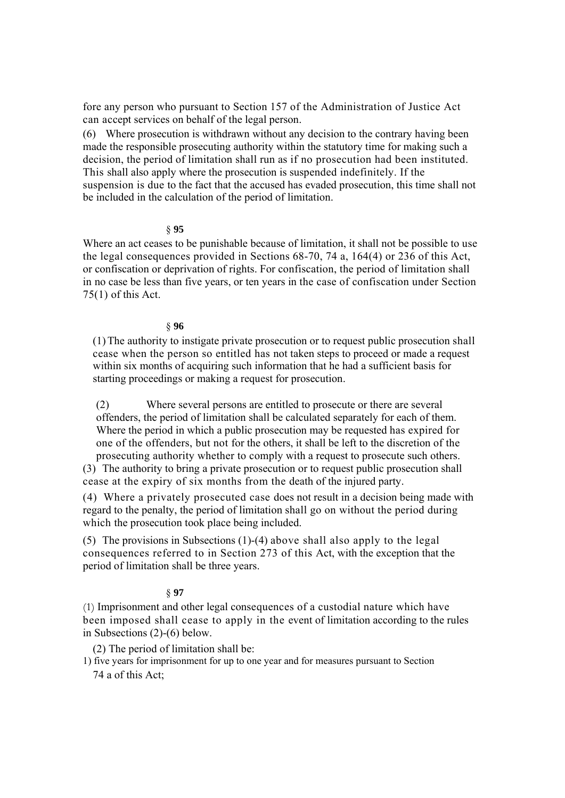fore any person who pursuant to Section 157 of the Administration of Justice Act can accept services on behalf of the legal person.

(6) Where prosecution is withdrawn without any decision to the contrary having been made the responsible prosecuting authority within the statutory time for making such a decision, the period of limitation shall run as if no prosecution had been instituted. This shall also apply where the prosecution is suspended indefinitely. If the suspension is due to the fact that the accused has evaded prosecution, this time shall not be included in the calculation of the period of limitation.

## § **95**

Where an act ceases to be punishable because of limitation, it shall not be possible to use the legal consequences provided in Sections 68-70, 74 a, 164(4) or 236 of this Act, or confiscation or deprivation of rights. For confiscation, the period of limitation shall in no case be less than five years, or ten years in the case of confiscation under Section  $75(1)$  of this Act.

## § **96**

(1)The authority to instigate private prosecution or to request public prosecution shall cease when the person so entitled has not taken steps to proceed or made a request within six months of acquiring such information that he had a sufficient basis for starting proceedings or making a request for prosecution.

(2) Where several persons are entitled to prosecute or there are several offenders, the period of limitation shall be calculated separately for each of them. Where the period in which a public prosecution may be requested has expired for one of the offenders, but not for the others, it shall be left to the discretion of the

prosecuting authority whether to comply with a request to prosecute such others. (3) The authority to bring a private prosecution or to request public prosecution shall cease at the expiry of six months from the death of the injured party.

(4) Where a privately prosecuted case does not result in a decision being made with regard to the penalty, the period of limitation shall go on without the period during which the prosecution took place being included.

(5) The provisions in Subsections (1)-(4) above shall also apply to the legal consequences referred to in Section 273 of this Act, with the exception that the period of limitation shall be three years.

#### § **97**

(1) Imprisonment and other legal consequences of a custodial nature which have been imposed shall cease to apply in the event of limitation according to the rules in Subsections (2)-(6) below.

(2) The period of limitation shall be:

1) five years for imprisonment for up to one year and for measures pursuant to Section 74 a of this Act;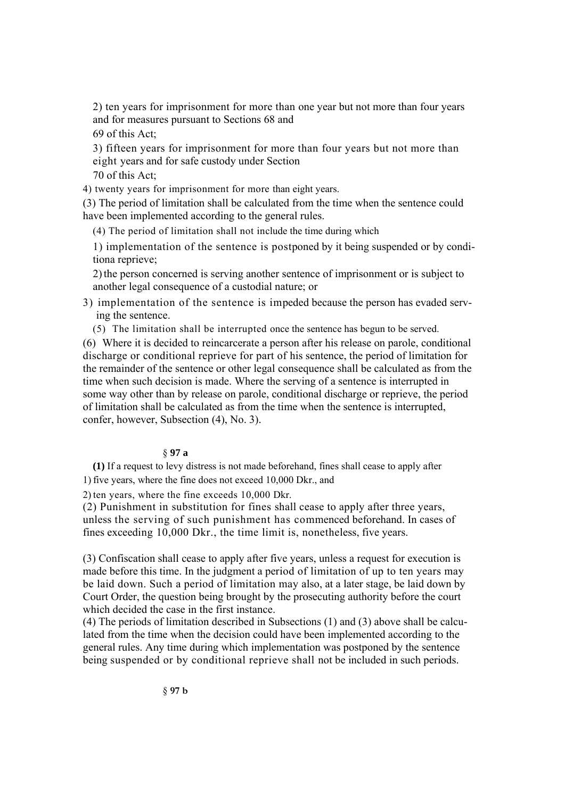2) ten years for imprisonment for more than one year but not more than four years and for measures pursuant to Sections 68 and

69 of this Act;

3) fifteen years for imprisonment for more than four years but not more than eight years and for safe custody under Section

70 of this Act;

4) twenty years for imprisonment for more than eight years.

(3) The period of limitation shall be calculated from the time when the sentence could have been implemented according to the general rules.

(4) The period of limitation shall not include the time during which

1) implementation of the sentence is postponed by it being suspended or by conditiona reprieve;

2)the person concerned is serving another sentence of imprisonment or is subject to another legal consequence of a custodial nature; or

3) implementation of the sentence is impeded because the person has evaded serving the sentence.

(5) The limitation shall be interrupted once the sentence has begun to be served.

(6) Where it is decided to reincarcerate a person after his release on parole, conditional discharge or conditional reprieve for part of his sentence, the period of limitation for the remainder of the sentence or other legal consequence shall be calculated as from the time when such decision is made. Where the serving of a sentence is interrupted in some way other than by release on parole, conditional discharge or reprieve, the period of limitation shall be calculated as from the time when the sentence is interrupted, confer, however, Subsection (4), No. 3).

# § **97 a**

**(1)** If a request to levy distress is not made beforehand, fines shall cease to apply after 1) five years, where the fine does not exceed 10,000 Dkr., and

2) ten years, where the fine exceeds 10,000 Dkr.

(2) Punishment in substitution for fines shall cease to apply after three years, unless the serving of such punishment has commenced beforehand. In cases of fines exceeding 10,000 Dkr., the time limit is, nonetheless, five years.

(3) Confiscation shall cease to apply after five years, unless a request for execution is made before this time. In the judgment a period of limitation of up to ten years may be laid down. Such a period of limitation may also, at a later stage, be laid down by Court Order, the question being brought by the prosecuting authority before the court which decided the case in the first instance.

(4) The periods of limitation described in Subsections (1) and (3) above shall be calculated from the time when the decision could have been implemented according to the general rules. Any time during which implementation was postponed by the sentence being suspended or by conditional reprieve shall not be included in such periods.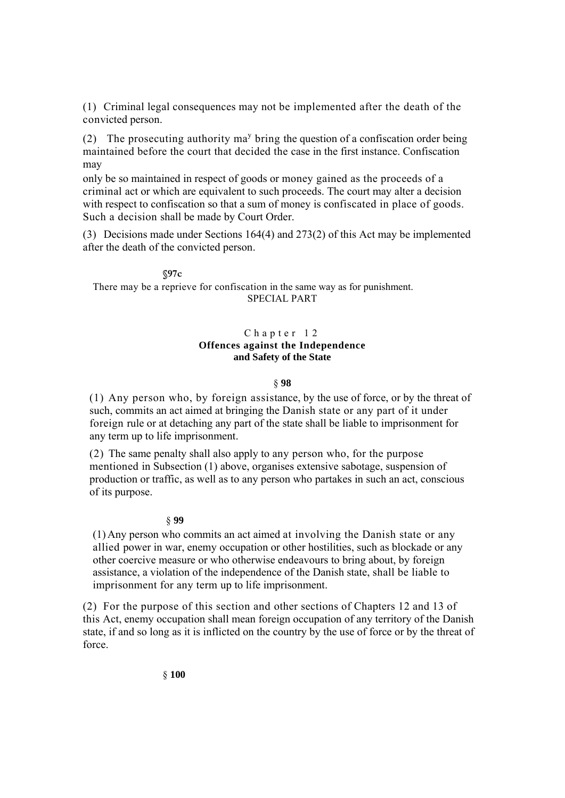(1) Criminal legal consequences may not be implemented after the death of the convicted person.

(2) The prosecuting authority  $ma<sup>y</sup>$  bring the question of a confiscation order being maintained before the court that decided the case in the first instance. Confiscation may

only be so maintained in respect of goods or money gained as the proceeds of a criminal act or which are equivalent to such proceeds. The court may alter a decision with respect to confiscation so that a sum of money is confiscated in place of goods. Such a decision shall be made by Court Order.

(3) Decisions made under Sections 164(4) and 273(2) of this Act may be implemented after the death of the convicted person.

**§97c**  There may be a reprieve for confiscation in the same way as for punishment. SPECIAL PART

# Chapter 12 **Offences against the Independence and Safety of the State**

## § **98**

(1) Any person who, by foreign assistance, by the use of force, or by the threat of such, commits an act aimed at bringing the Danish state or any part of it under foreign rule or at detaching any part of the state shall be liable to imprisonment for any term up to life imprisonment.

(2) The same penalty shall also apply to any person who, for the purpose mentioned in Subsection (1) above, organises extensive sabotage, suspension of production or traffic, as well as to any person who partakes in such an act, conscious of its purpose.

#### § **99**

(1) Any person who commits an act aimed at involving the Danish state or any allied power in war, enemy occupation or other hostilities, such as blockade or any other coercive measure or who otherwise endeavours to bring about, by foreign assistance, a violation of the independence of the Danish state, shall be liable to imprisonment for any term up to life imprisonment.

(2) For the purpose of this section and other sections of Chapters 12 and 13 of this Act, enemy occupation shall mean foreign occupation of any territory of the Danish state, if and so long as it is inflicted on the country by the use of force or by the threat of force.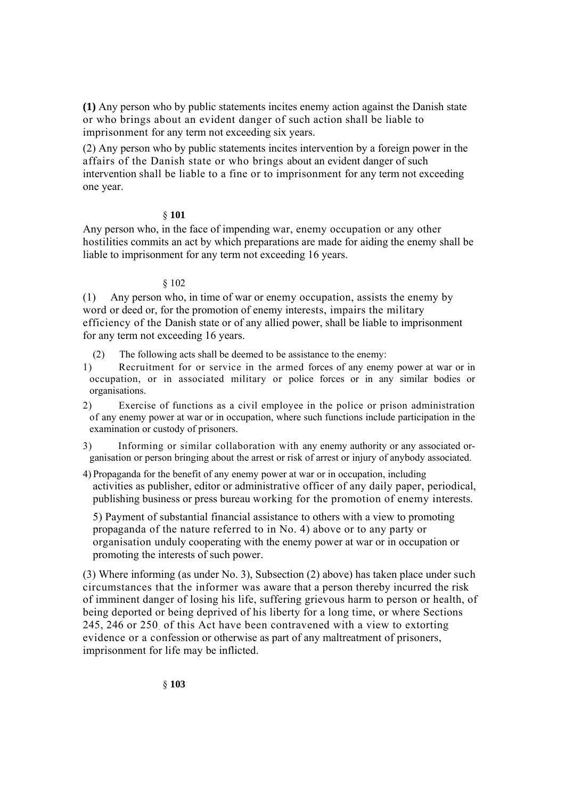**(1)** Any person who by public statements incites enemy action against the Danish state or who brings about an evident danger of such action shall be liable to imprisonment for any term not exceeding six years.

(2) Any person who by public statements incites intervention by a foreign power in the affairs of the Danish state or who brings about an evident danger of such intervention shall be liable to a fine or to imprisonment for any term not exceeding one year.

# § **101**

Any person who, in the face of impending war, enemy occupation or any other hostilities commits an act by which preparations are made for aiding the enemy shall be liable to imprisonment for any term not exceeding 16 years.

## § 102

(1) Any person who, in time of war or enemy occupation, assists the enemy by word or deed or, for the promotion of enemy interests, impairs the military efficiency of the Danish state or of any allied power, shall be liable to imprisonment for any term not exceeding 16 years.

- (2) The following acts shall be deemed to be assistance to the enemy:
- 1) Recruitment for or service in the armed forces of any enemy power at war or in occupation, or in associated military or police forces or in any similar bodies or organisations.

2) Exercise of functions as a civil employee in the police or prison administration of any enemy power at war or in occupation, where such functions include participation in the examination or custody of prisoners.

- 3) Informing or similar collaboration with any enemy authority or any associated organisation or person bringing about the arrest or risk of arrest or injury of anybody associated.
- 4) Propaganda for the benefit of any enemy power at war or in occupation, including activities as publisher, editor or administrative officer of any daily paper, periodical, publishing business or press bureau working for the promotion of enemy interests.

5) Payment of substantial financial assistance to others with a view to promoting propaganda of the nature referred to in No. 4) above or to any party or organisation unduly cooperating with the enemy power at war or in occupation or promoting the interests of such power.

(3) Where informing (as under No. 3), Subsection (2) above) has taken place under such circumstances that the informer was aware that a person thereby incurred the risk of imminent danger of losing his life, suffering grievous harm to person or health, of being deported or being deprived of his liberty for a long time, or where Sections 245, 246 or 250. of this Act have been contravened with a view to extorting evidence or a confession or otherwise as part of any maltreatment of prisoners, imprisonment for life may be inflicted.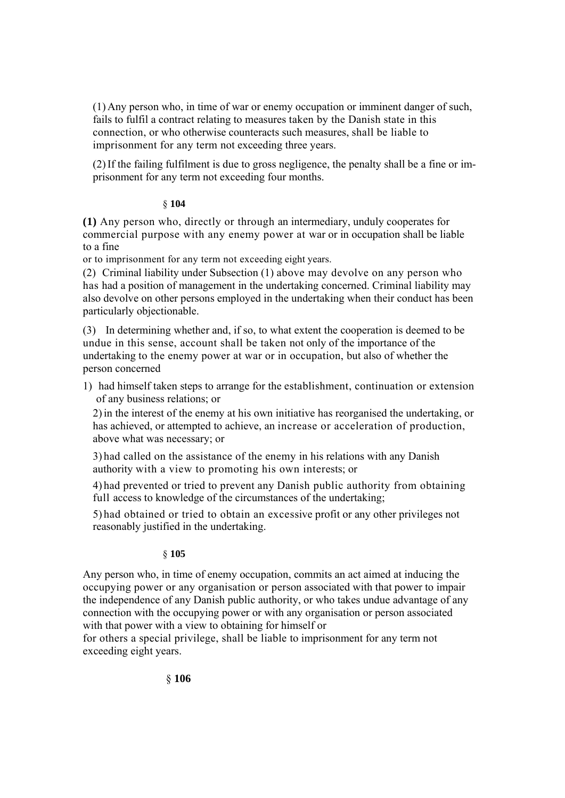(1) Any person who, in time of war or enemy occupation or imminent danger of such, fails to fulfil a contract relating to measures taken by the Danish state in this connection, or who otherwise counteracts such measures, shall be liable to imprisonment for any term not exceeding three years.

(2)If the failing fulfilment is due to gross negligence, the penalty shall be a fine or imprisonment for any term not exceeding four months.

# § **104**

**(1)** Any person who, directly or through an intermediary, unduly cooperates for commercial purpose with any enemy power at war or in occupation shall be liable to a fine

or to imprisonment for any term not exceeding eight years.

(2) Criminal liability under Subsection (1) above may devolve on any person who has had a position of management in the undertaking concerned. Criminal liability may also devolve on other persons employed in the undertaking when their conduct has been particularly objectionable.

(3) In determining whether and, if so, to what extent the cooperation is deemed to be undue in this sense, account shall be taken not only of the importance of the undertaking to the enemy power at war or in occupation, but also of whether the person concerned

1) had himself taken steps to arrange for the establishment, continuation or extension of any business relations; or

2)in the interest of the enemy at his own initiative has reorganised the undertaking, or has achieved, or attempted to achieve, an increase or acceleration of production, above what was necessary; or

3) had called on the assistance of the enemy in his relations with any Danish authority with a view to promoting his own interests; or

4) had prevented or tried to prevent any Danish public authority from obtaining full access to knowledge of the circumstances of the undertaking;

5) had obtained or tried to obtain an excessive profit or any other privileges not reasonably justified in the undertaking.

# § **105**

Any person who, in time of enemy occupation, commits an act aimed at inducing the occupying power or any organisation or person associated with that power to impair the independence of any Danish public authority, or who takes undue advantage of any connection with the occupying power or with any organisation or person associated with that power with a view to obtaining for himself or

for others a special privilege, shall be liable to imprisonment for any term not exceeding eight years.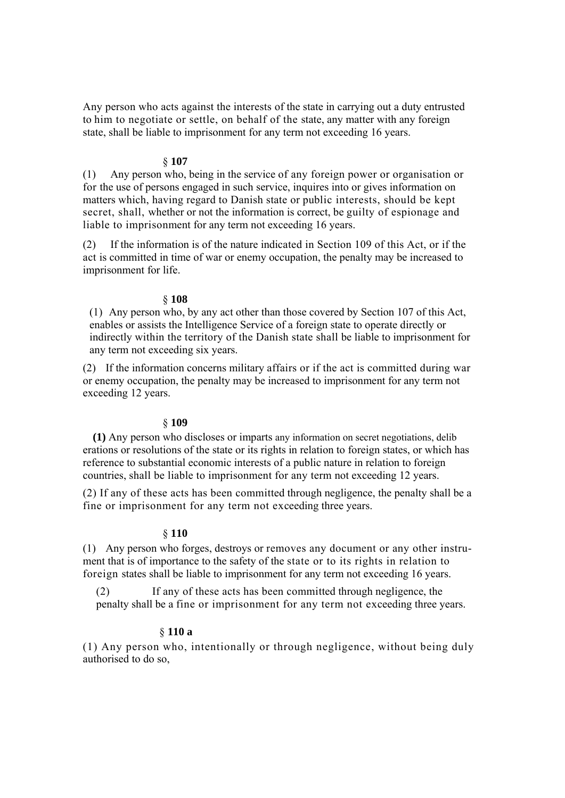Any person who acts against the interests of the state in carrying out a duty entrusted to him to negotiate or settle, on behalf of the state, any matter with any foreign state, shall be liable to imprisonment for any term not exceeding 16 years.

## § **107**

(1) Any person who, being in the service of any foreign power or organisation or for the use of persons engaged in such service, inquires into or gives information on matters which, having regard to Danish state or public interests, should be kept secret, shall, whether or not the information is correct, be guilty of espionage and liable to imprisonment for any term not exceeding 16 years.

(2) If the information is of the nature indicated in Section 109 of this Act, or if the act is committed in time of war or enemy occupation, the penalty may be increased to imprisonment for life.

#### § **108**

(1) Any person who, by any act other than those covered by Section 107 of this Act, enables or assists the Intelligence Service of a foreign state to operate directly or indirectly within the territory of the Danish state shall be liable to imprisonment for any term not exceeding six years.

(2) If the information concerns military affairs or if the act is committed during war or enemy occupation, the penalty may be increased to imprisonment for any term not exceeding 12 years.

#### § **109**

**(1)** Any person who discloses or imparts any information on secret negotiations, delib erations or resolutions of the state or its rights in relation to foreign states, or which has reference to substantial economic interests of a public nature in relation to foreign countries, shall be liable to imprisonment for any term not exceeding 12 years.

(2) If any of these acts has been committed through negligence, the penalty shall be a fine or imprisonment for any term not exceeding three years.

# § **110**

(1) Any person who forges, destroys or removes any document or any other instrument that is of importance to the safety of the state or to its rights in relation to foreign states shall be liable to imprisonment for any term not exceeding 16 years.

(2) If any of these acts has been committed through negligence, the penalty shall be a fine or imprisonment for any term not exceeding three years.

# § **110 a**

(1) Any person who, intentionally or through negligence, without being duly authorised to do so,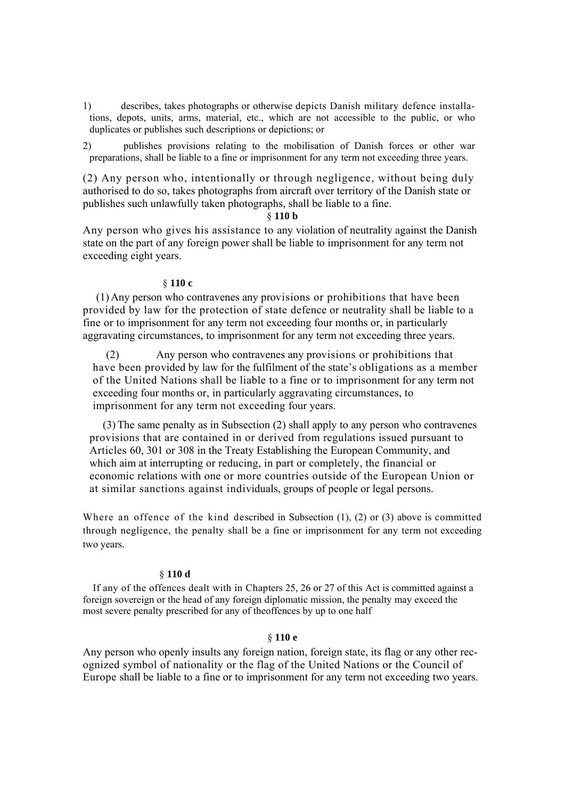1) describes, takes photographs or otherwise depicts Danish military defence installations, depots, units, arms, material, etc., which are not accessible to the public, or who duplicates or publishes such descriptions or depictions; or

2) publishes provisions relating to the mobilisation of Danish forces or other war preparations, shall be liable to a fine or imprisonment for any term not exceeding three years.

(2) Any person who, intentionally or through negligence, without being duly authorised to do so, takes photographs from aircraft over territory of the Danish state or publishes such unlawfully taken photographs, shall be liable to a fine.

## § **110 b**

Any person who gives his assistance to any violation of neutrality against the Danish state on the part of any foreign power shall be liable to imprisonment for any term not exceeding eight years.

## § **110 c**

(1) Any person who contravenes any provisions or prohibitions that have been provided by law for the protection of state defence or neutrality shall be liable to a fine or to imprisonment for any term not exceeding four months or, in particularly aggravating circumstances, to imprisonment for any term not exceeding three years.

(2) Any person who contravenes any provisions or prohibitions that have been provided by law for the fulfilment of the state's obligations as a member of the United Nations shall be liable to a fine or to imprisonment for any term not exceeding four months or, in particularly aggravating circumstances, to imprisonment for any term not exceeding four years.

(3)The same penalty as in Subsection (2) shall apply to any person who contravenes provisions that are contained in or derived from regulations issued pursuant to Articles 60, 301 or 308 in the Treaty Establishing the European Community, and which aim at interrupting or reducing, in part or completely, the financial or economic relations with one or more countries outside of the European Union or at similar sanctions against individuals, groups of people or legal persons.

Where an offence of the kind described in Subsection (1), (2) or (3) above is committed through negligence, the penalty shall be a fine or imprisonment for any term not exceeding two years.

#### § **110 d**

If any of the offences dealt with in Chapters 25, 26 or 27 of this Act is committed against a foreign sovereign or the head of any foreign diplomatic mission, the penalty may exceed the most severe penalty prescribed for any of theoffences by up to one half

## § **110 e**

Any person who openly insults any foreign nation, foreign state, its flag or any other recognized symbol of nationality or the flag of the United Nations or the Council of Europe shall be liable to a fine or to imprisonment for any term not exceeding two years.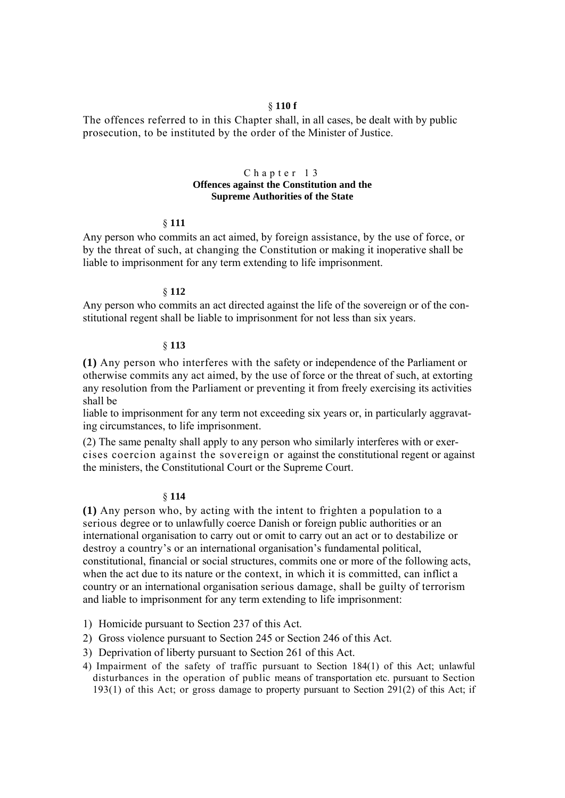# § **110 f**

The offences referred to in this Chapter shall, in all cases, be dealt with by public prosecution, to be instituted by the order of the Minister of Justice.

## Chapter 13 **Offences against the Constitution and the Supreme Authorities of the State**

#### § **111**

Any person who commits an act aimed, by foreign assistance, by the use of force, or by the threat of such, at changing the Constitution or making it inoperative shall be liable to imprisonment for any term extending to life imprisonment.

#### § **112**

Any person who commits an act directed against the life of the sovereign or of the constitutional regent shall be liable to imprisonment for not less than six years.

#### § **113**

**(1)** Any person who interferes with the safety or independence of the Parliament or otherwise commits any act aimed, by the use of force or the threat of such, at extorting any resolution from the Parliament or preventing it from freely exercising its activities shall be

liable to imprisonment for any term not exceeding six years or, in particularly aggravating circumstances, to life imprisonment.

(2) The same penalty shall apply to any person who similarly interferes with or exercises coercion against the sovereign or against the constitutional regent or against the ministers, the Constitutional Court or the Supreme Court.

## § **114**

**(1)** Any person who, by acting with the intent to frighten a population to a serious degree or to unlawfully coerce Danish or foreign public authorities or an international organisation to carry out or omit to carry out an act or to destabilize or destroy a country's or an international organisation's fundamental political, constitutional, financial or social structures, commits one or more of the following acts, when the act due to its nature or the context, in which it is committed, can inflict a country or an international organisation serious damage, shall be guilty of terrorism and liable to imprisonment for any term extending to life imprisonment:

- 1) Homicide pursuant to Section 237 of this Act.
- 2) Gross violence pursuant to Section 245 or Section 246 of this Act.
- 3) Deprivation of liberty pursuant to Section 261 of this Act.
- 4) Impairment of the safety of traffic pursuant to Section 184(1) of this Act; unlawful disturbances in the operation of public means of transportation etc. pursuant to Section 193(1) of this Act; or gross damage to property pursuant to Section 291(2) of this Act; if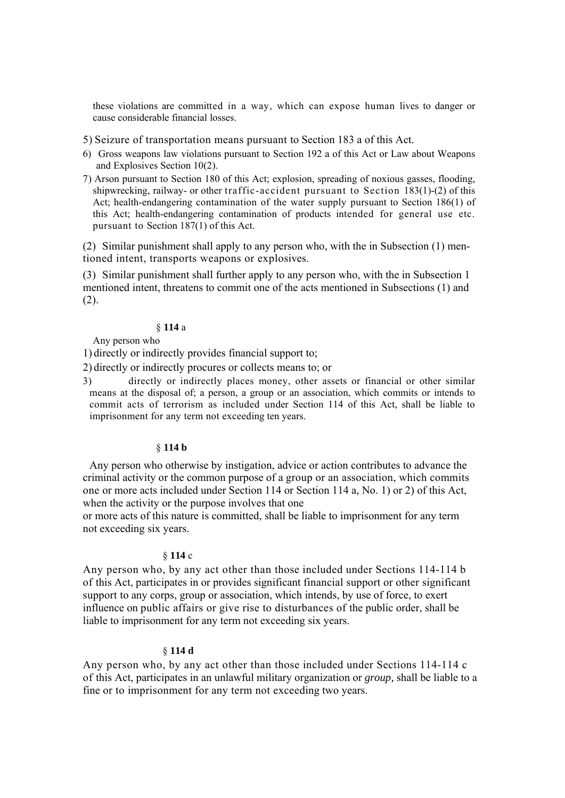these violations are committed in a way, which can expose human lives to danger or cause considerable financial losses.

5) Seizure of transportation means pursuant to Section 183 a of this Act.

- 6) Gross weapons law violations pursuant to Section 192 a of this Act or Law about Weapons and Explosives Section 10(2).
- 7) Arson pursuant to Section 180 of this Act; explosion, spreading of noxious gasses, flooding, shipwrecking, railway- or other traffic-accident pursuant to Section 183(1)-(2) of this Act; health-endangering contamination of the water supply pursuant to Section 186(1) of this Act; health-endangering contamination of products intended for general use etc. pursuant to Section 187(1) of this Act.

(2) Similar punishment shall apply to any person who, with the in Subsection (1) mentioned intent, transports weapons or explosives.

(3) Similar punishment shall further apply to any person who, with the in Subsection 1 mentioned intent, threatens to commit one of the acts mentioned in Subsections (1) and  $(2)$ .

## § **114** a

Any person who

1) directly or indirectly provides financial support to;

2) directly or indirectly procures or collects means to; or

3) directly or indirectly places money, other assets or financial or other similar means at the disposal of; a person, a group or an association, which commits or intends to commit acts of terrorism as included under Section 114 of this Act, shall be liable to imprisonment for any term not exceeding ten years.

#### § **114 b**

Any person who otherwise by instigation, advice or action contributes to advance the criminal activity or the common purpose of a group or an association, which commits one or more acts included under Section 114 or Section 114 a, No. 1) or 2) of this Act, when the activity or the purpose involves that one

or more acts of this nature is committed, shall be liable to imprisonment for any term not exceeding six years.

#### § **114** c

Any person who, by any act other than those included under Sections 114-114 b of this Act, participates in or provides significant financial support or other significant support to any corps, group or association, which intends, by use of force, to exert influence on public affairs or give rise to disturbances of the public order, shall be liable to imprisonment for any term not exceeding six years.

#### § **114 d**

Any person who, by any act other than those included under Sections 114-114 c of this Act, participates in an unlawful military organization or *group,* shall be liable to a fine or to imprisonment for any term not exceeding two years.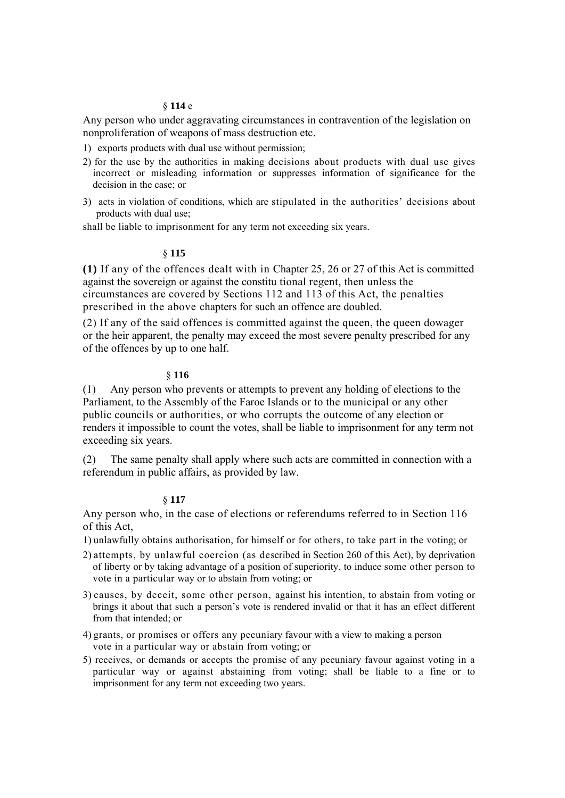### § **114** e

Any person who under aggravating circumstances in contravention of the legislation on nonproliferation of weapons of mass destruction etc.

- 1) exports products with dual use without permission;
- 2) for the use by the authorities in making decisions about products with dual use gives incorrect or misleading information or suppresses information of significance for the decision in the case; or
- 3) acts in violation of conditions, which are stipulated in the authorities' decisions about products with dual use;

shall be liable to imprisonment for any term not exceeding six years.

## § **115**

**(1)** If any of the offences dealt with in Chapter 25, 26 or 27 of this Act is committed against the sovereign or against the constitu tional regent, then unless the circumstances are covered by Sections 112 and 113 of this Act, the penalties prescribed in the above chapters for such an offence are doubled.

(2) If any of the said offences is committed against the queen, the queen dowager or the heir apparent, the penalty may exceed the most severe penalty prescribed for any of the offences by up to one half.

# § **116**

(1) Any person who prevents or attempts to prevent any holding of elections to the Parliament, to the Assembly of the Faroe Islands or to the municipal or any other public councils or authorities, or who corrupts the outcome of any election or renders it impossible to count the votes, shall be liable to imprisonment for any term not exceeding six years.

(2) The same penalty shall apply where such acts are committed in connection with a referendum in public affairs, as provided by law.

## § **117**

Any person who, in the case of elections or referendums referred to in Section 116 of this Act,

- 1) unlawfully obtains authorisation, for himself or for others, to take part in the voting; or
- 2) attempts, by unlawful coercion (as described in Section 260 of this Act), by deprivation of liberty or by taking advantage of a position of superiority, to induce some other person to vote in a particular way or to abstain from voting; or
- 3) causes, by deceit, some other person, against his intention, to abstain from voting or brings it about that such a person's vote is rendered invalid or that it has an effect different from that intended; or
- 4) grants, or promises or offers any pecuniary favour with a view to making a person vote in a particular way or abstain from voting; or
- 5) receives, or demands or accepts the promise of any pecuniary favour against voting in a particular way or against abstaining from voting; shall be liable to a fine or to imprisonment for any term not exceeding two years.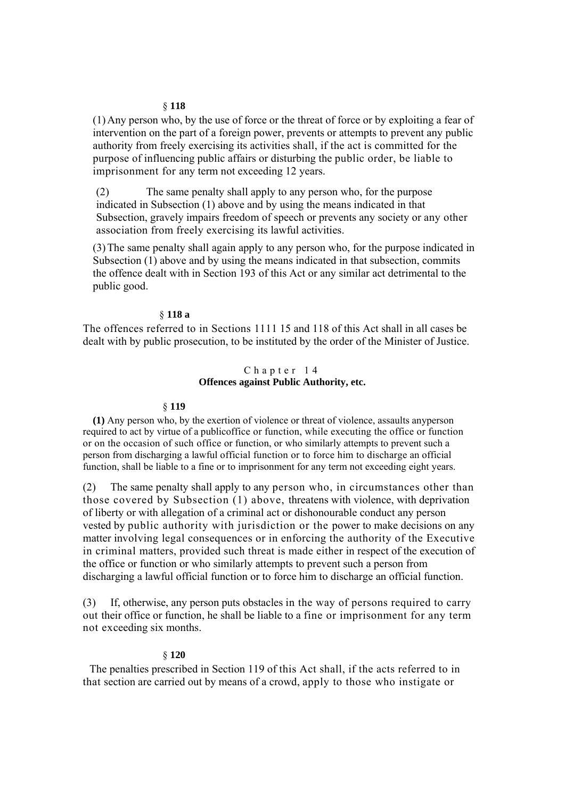### § **118**

(1)Any person who, by the use of force or the threat of force or by exploiting a fear of intervention on the part of a foreign power, prevents or attempts to prevent any public authority from freely exercising its activities shall, if the act is committed for the purpose of influencing public affairs or disturbing the public order, be liable to imprisonment for any term not exceeding 12 years.

(2) The same penalty shall apply to any person who, for the purpose indicated in Subsection (1) above and by using the means indicated in that Subsection, gravely impairs freedom of speech or prevents any society or any other association from freely exercising its lawful activities.

(3)The same penalty shall again apply to any person who, for the purpose indicated in Subsection (1) above and by using the means indicated in that subsection, commits the offence dealt with in Section 193 of this Act or any similar act detrimental to the public good.

## § **118 a**

The offences referred to in Sections 1111 15 and 118 of this Act shall in all cases be dealt with by public prosecution, to be instituted by the order of the Minister of Justice.

# Chapter 14 **Offences against Public Authority, etc.**

### § **119**

**(1)** Any person who, by the exertion of violence or threat of violence, assaults anyperson required to act by virtue of a publicoffice or function, while executing the office or function or on the occasion of such office or function, or who similarly attempts to prevent such a person from discharging a lawful official function or to force him to discharge an official function, shall be liable to a fine or to imprisonment for any term not exceeding eight years.

(2) The same penalty shall apply to any person who, in circumstances other than those covered by Subsection (1) above, threatens with violence, with deprivation of liberty or with allegation of a criminal act or dishonourable conduct any person vested by public authority with jurisdiction or the power to make decisions on any matter involving legal consequences or in enforcing the authority of the Executive in criminal matters, provided such threat is made either in respect of the execution of the office or function or who similarly attempts to prevent such a person from discharging a lawful official function or to force him to discharge an official function.

(3) If, otherwise, any person puts obstacles in the way of persons required to carry out their office or function, he shall be liable to a fine or imprisonment for any term not exceeding six months.

### § **120**

The penalties prescribed in Section 119 of this Act shall, if the acts referred to in that section are carried out by means of a crowd, apply to those who instigate or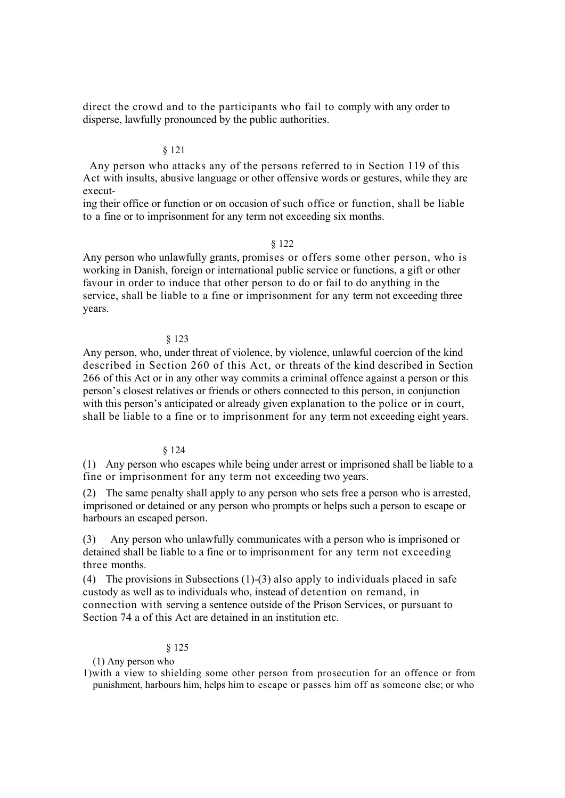direct the crowd and to the participants who fail to comply with any order to disperse, lawfully pronounced by the public authorities.

# § 121

Any person who attacks any of the persons referred to in Section 119 of this Act with insults, abusive language or other offensive words or gestures, while they are execut-

ing their office or function or on occasion of such office or function, shall be liable to a fine or to imprisonment for any term not exceeding six months.

# § 122

Any person who unlawfully grants, promises or offers some other person, who is working in Danish, foreign or international public service or functions, a gift or other favour in order to induce that other person to do or fail to do anything in the service, shall be liable to a fine or imprisonment for any term not exceeding three years.

## § 123

Any person, who, under threat of violence, by violence, unlawful coercion of the kind described in Section 260 of this Act, or threats of the kind described in Section 266 of this Act or in any other way commits a criminal offence against a person or this person's closest relatives or friends or others connected to this person, in conjunction with this person's anticipated or already given explanation to the police or in court, shall be liable to a fine or to imprisonment for any term not exceeding eight years.

### § 124

(1) Any person who escapes while being under arrest or imprisoned shall be liable to a fine or imprisonment for any term not exceeding two years.

(2) The same penalty shall apply to any person who sets free a person who is arrested, imprisoned or detained or any person who prompts or helps such a person to escape or harbours an escaped person.

(3) Any person who unlawfully communicates with a person who is imprisoned or detained shall be liable to a fine or to imprisonment for any term not exceeding three months.

(4) The provisions in Subsections (1)-(3) also apply to individuals placed in safe custody as well as to individuals who, instead of detention on remand, in connection with serving a sentence outside of the Prison Services, or pursuant to Section 74 a of this Act are detained in an institution etc.

## § 125

(1) Any person who

1)with a view to shielding some other person from prosecution for an offence or from punishment, harbours him, helps him to escape or passes him off as someone else; or who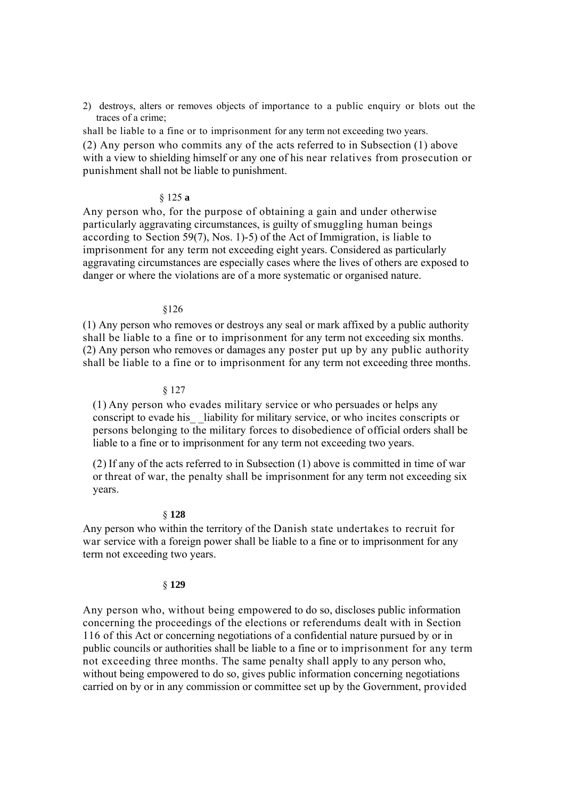2) destroys, alters or removes objects of importance to a public enquiry or blots out the traces of a crime;

shall be liable to a fine or to imprisonment for any term not exceeding two years. (2) Any person who commits any of the acts referred to in Subsection (1) above with a view to shielding himself or any one of his near relatives from prosecution or punishment shall not be liable to punishment.

# § 125 **a**

Any person who, for the purpose of obtaining a gain and under otherwise particularly aggravating circumstances, is guilty of smuggling human beings according to Section 59(7), Nos. 1)-5) of the Act of Immigration, is liable to imprisonment for any term not exceeding eight years. Considered as particularly aggravating circumstances are especially cases where the lives of others are exposed to danger or where the violations are of a more systematic or organised nature.

### §126

(1) Any person who removes or destroys any seal or mark affixed by a public authority shall be liable to a fine or to imprisonment for any term not exceeding six months. (2) Any person who removes or damages any poster put up by any public authority shall be liable to a fine or to imprisonment for any term not exceeding three months.

### § 127

(1) Any person who evades military service or who persuades or helps any conscript to evade his liability for military service, or who incites conscripts or persons belonging to the military forces to disobedience of official orders shall be liable to a fine or to imprisonment for any term not exceeding two years.

(2) If any of the acts referred to in Subsection (1) above is committed in time of war or threat of war, the penalty shall be imprisonment for any term not exceeding six years.

## § **128**

Any person who within the territory of the Danish state undertakes to recruit for war service with a foreign power shall be liable to a fine or to imprisonment for any term not exceeding two years.

## § **129**

Any person who, without being empowered to do so, discloses public information concerning the proceedings of the elections or referendums dealt with in Section 116 of this Act or concerning negotiations of a confidential nature pursued by or in public councils or authorities shall be liable to a fine or to imprisonment for any term not exceeding three months. The same penalty shall apply to any person who, without being empowered to do so, gives public information concerning negotiations carried on by or in any commission or committee set up by the Government, provided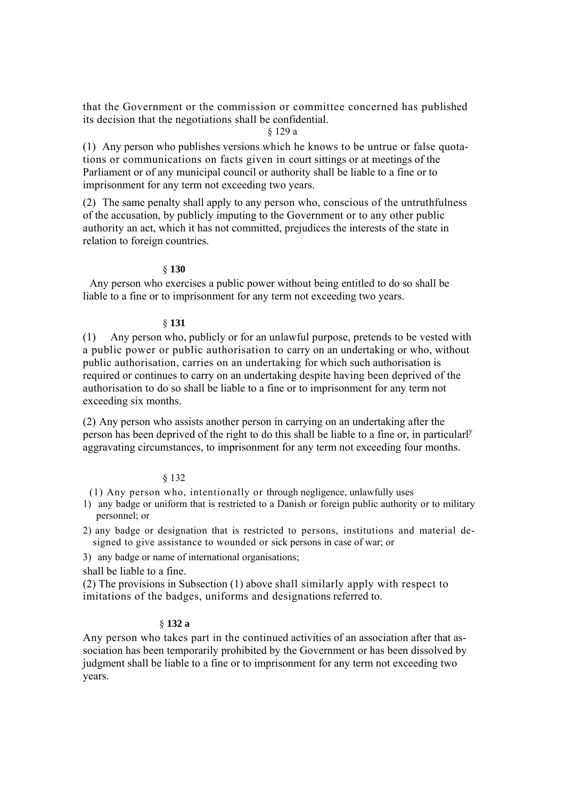that the Government or the commission or committee concerned has published its decision that the negotiations shall be confidential.

# § 129 a

(1) Any person who publishes versions which he knows to be untrue or false quotations or communications on facts given in court sittings or at meetings of the Parliament or of any municipal council or authority shall be liable to a fine or to imprisonment for any term not exceeding two years.

(2) The same penalty shall apply to any person who, conscious of the untruthfulness of the accusation, by publicly imputing to the Government or to any other public authority an act, which it has not committed, prejudices the interests of the state in relation to foreign countries.

## § **130**

Any person who exercises a public power without being entitled to do so shall be liable to a fine or to imprisonment for any term not exceeding two years.

## § **131**

(1) Any person who, publicly or for an unlawful purpose, pretends to be vested with a public power or public authorisation to carry on an undertaking or who, without public authorisation, carries on an undertaking for which such authorisation is required or continues to carry on an undertaking despite having been deprived of the authorisation to do so shall be liable to a fine or to imprisonment for any term not exceeding six months.

(2) Any person who assists another person in carrying on an undertaking after the person has been deprived of the right to do this shall be liable to a fine or, in particularly aggravating circumstances, to imprisonment for any term not exceeding four months.

# § 132

(1) Any person who, intentionally or through negligence, unlawfully uses

- 1) any badge or uniform that is restricted to a Danish or foreign public authority or to military personnel; or
- 2) any badge or designation that is restricted to persons, institutions and material designed to give assistance to wounded or sick persons in case of war; or
- 3) any badge or name of international organisations;

shall be liable to a fine.

(2) The provisions in Subsection (1) above shall similarly apply with respect to imitations of the badges, uniforms and designations referred to.

# § **132 a**

Any person who takes part in the continued activities of an association after that association has been temporarily prohibited by the Government or has been dissolved by judgment shall be liable to a fine or to imprisonment for any term not exceeding two years.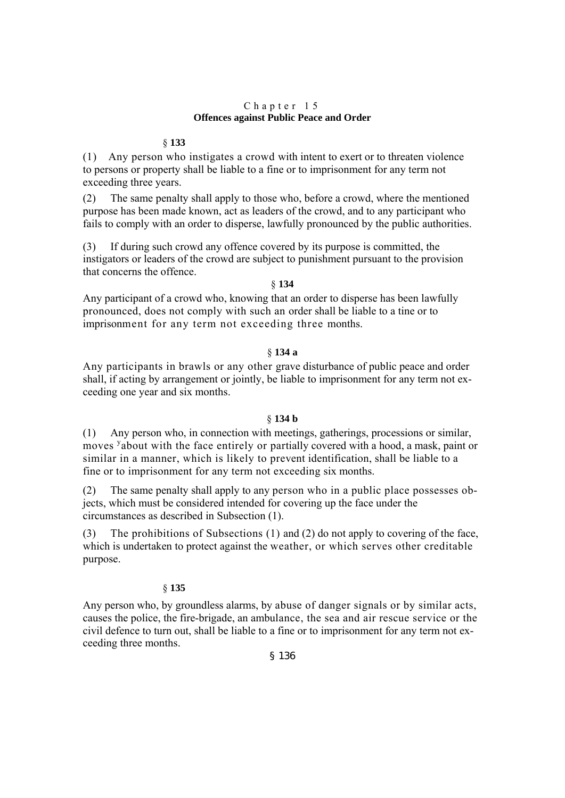# Chapter 15 **Offences against Public Peace and Order**

# § **133**

(1) Any person who instigates a crowd with intent to exert or to threaten violence to persons or property shall be liable to a fine or to imprisonment for any term not exceeding three years.

(2) The same penalty shall apply to those who, before a crowd, where the mentioned purpose has been made known, act as leaders of the crowd, and to any participant who fails to comply with an order to disperse, lawfully pronounced by the public authorities.

(3) If during such crowd any offence covered by its purpose is committed, the instigators or leaders of the crowd are subject to punishment pursuant to the provision that concerns the offence.

# § **134**

Any participant of a crowd who, knowing that an order to disperse has been lawfully pronounced, does not comply with such an order shall be liable to a tine or to imprisonment for any term not exceeding three months.

# § **134 a**

Any participants in brawls or any other grave disturbance of public peace and order shall, if acting by arrangement or jointly, be liable to imprisonment for any term not exceeding one year and six months.

# § **134 b**

(1) Any person who, in connection with meetings, gatherings, processions or similar, moves <sup>y</sup>about with the face entirely or partially covered with a hood, a mask, paint or similar in a manner, which is likely to prevent identification, shall be liable to a fine or to imprisonment for any term not exceeding six months.

(2) The same penalty shall apply to any person who in a public place possesses objects, which must be considered intended for covering up the face under the circumstances as described in Subsection (1).

(3) The prohibitions of Subsections (1) and (2) do not apply to covering of the face, which is undertaken to protect against the weather, or which serves other creditable purpose.

# § **135**

Any person who, by groundless alarms, by abuse of danger signals or by similar acts, causes the police, the fire-brigade, an ambulance, the sea and air rescue service or the civil defence to turn out, shall be liable to a fine or to imprisonment for any term not exceeding three months.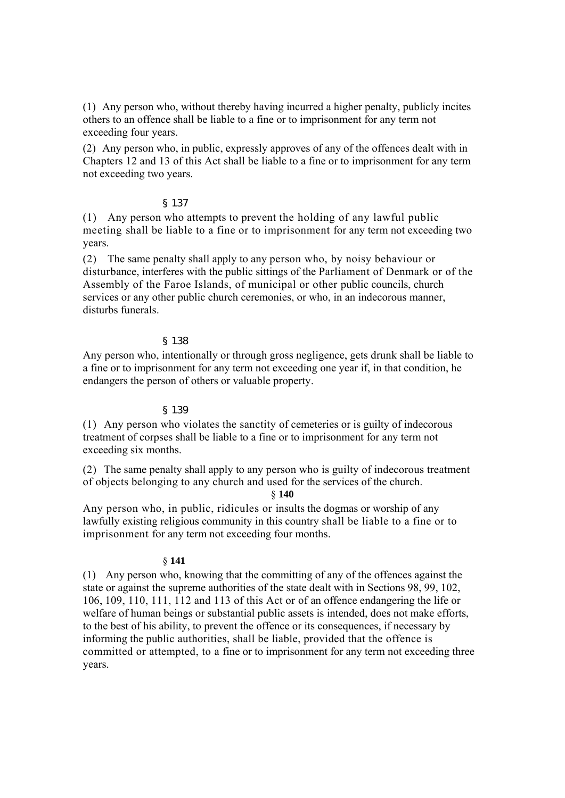(1) Any person who, without thereby having incurred a higher penalty, publicly incites others to an offence shall be liable to a fine or to imprisonment for any term not exceeding four years.

(2) Any person who, in public, expressly approves of any of the offences dealt with in Chapters 12 and 13 of this Act shall be liable to a fine or to imprisonment for any term not exceeding two years.

# § 137

(1) Any person who attempts to prevent the holding of any lawful public meeting shall be liable to a fine or to imprisonment for any term not exceeding two years.

(2) The same penalty shall apply to any person who, by noisy behaviour or disturbance, interferes with the public sittings of the Parliament of Denmark or of the Assembly of the Faroe Islands, of municipal or other public councils, church services or any other public church ceremonies, or who, in an indecorous manner, disturbs funerals

# § 138

Any person who, intentionally or through gross negligence, gets drunk shall be liable to a fine or to imprisonment for any term not exceeding one year if, in that condition, he endangers the person of others or valuable property.

# § 139

(1) Any person who violates the sanctity of cemeteries or is guilty of indecorous treatment of corpses shall be liable to a fine or to imprisonment for any term not exceeding six months.

(2) The same penalty shall apply to any person who is guilty of indecorous treatment of objects belonging to any church and used for the services of the church.

§ **140** 

Any person who, in public, ridicules or insults the dogmas or worship of any lawfully existing religious community in this country shall be liable to a fine or to imprisonment for any term not exceeding four months.

## § **141**

(1) Any person who, knowing that the committing of any of the offences against the state or against the supreme authorities of the state dealt with in Sections 98, 99, 102, 106, 109, 110, 111, 112 and 113 of this Act or of an offence endangering the life or welfare of human beings or substantial public assets is intended, does not make efforts, to the best of his ability, to prevent the offence or its consequences, if necessary by informing the public authorities, shall be liable, provided that the offence is committed or attempted, to a fine or to imprisonment for any term not exceeding three years.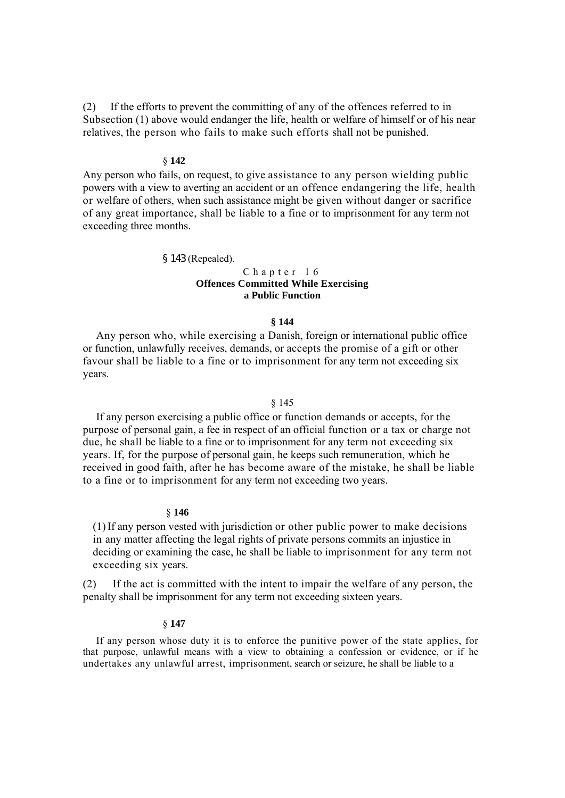(2) If the efforts to prevent the committing of any of the offences referred to in Subsection (1) above would endanger the life, health or welfare of himself or of his near relatives, the person who fails to make such efforts shall not be punished.

# § **142**

Any person who fails, on request, to give assistance to any person wielding public powers with a view to averting an accident or an offence endangering the life, health or welfare of others, when such assistance might be given without danger or sacrifice of any great importance, shall be liable to a fine or to imprisonment for any term not exceeding three months.

### § 143 (Repealed).

# Chapter 16 **Offences Committed While Exercising a Public Function**

### **§ 144**

Any person who, while exercising a Danish, foreign or international public office or function, unlawfully receives, demands, or accepts the promise of a gift or other favour shall be liable to a fine or to imprisonment for any term not exceeding six years.

# § 145

If any person exercising a public office or function demands or accepts, for the purpose of personal gain, a fee in respect of an official function or a tax or charge not due, he shall be liable to a fine or to imprisonment for any term not exceeding six years. If, for the purpose of personal gain, he keeps such remuneration, which he received in good faith, after he has become aware of the mistake, he shall be liable to a fine or to imprisonment for any term not exceeding two years.

## § **146**

(1)If any person vested with jurisdiction or other public power to make decisions in any matter affecting the legal rights of private persons commits an injustice in deciding or examining the case, he shall be liable to imprisonment for any term not exceeding six years.

(2) If the act is committed with the intent to impair the welfare of any person, the penalty shall be imprisonment for any term not exceeding sixteen years.

#### § **147**

If any person whose duty it is to enforce the punitive power of the state applies, for that purpose, unlawful means with a view to obtaining a confession or evidence, or if he undertakes any unlawful arrest, imprisonment, search or seizure, he shall be liable to a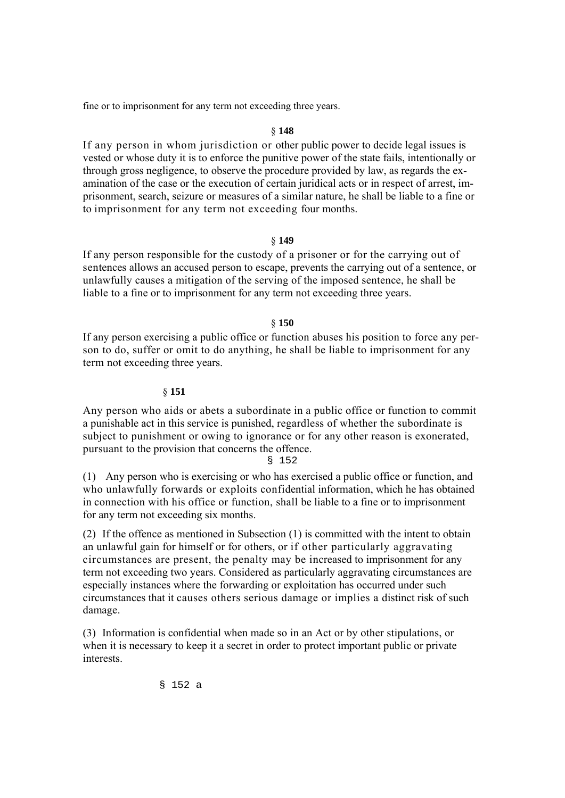fine or to imprisonment for any term not exceeding three years.

# § **148**

If any person in whom jurisdiction or other public power to decide legal issues is vested or whose duty it is to enforce the punitive power of the state fails, intentionally or through gross negligence, to observe the procedure provided by law, as regards the examination of the case or the execution of certain juridical acts or in respect of arrest, imprisonment, search, seizure or measures of a similar nature, he shall be liable to a fine or to imprisonment for any term not exceeding four months.

# § **149**

If any person responsible for the custody of a prisoner or for the carrying out of sentences allows an accused person to escape, prevents the carrying out of a sentence, or unlawfully causes a mitigation of the serving of the imposed sentence, he shall be liable to a fine or to imprisonment for any term not exceeding three years.

# § **150**

If any person exercising a public office or function abuses his position to force any person to do, suffer or omit to do anything, he shall be liable to imprisonment for any term not exceeding three years.

## § **151**

Any person who aids or abets a subordinate in a public office or function to commit a punishable act in this service is punished, regardless of whether the subordinate is subject to punishment or owing to ignorance or for any other reason is exonerated, pursuant to the provision that concerns the offence.

## § 152

(1) Any person who is exercising or who has exercised a public office or function, and who unlawfully forwards or exploits confidential information, which he has obtained in connection with his office or function, shall be liable to a fine or to imprisonment for any term not exceeding six months.

(2) If the offence as mentioned in Subsection (1) is committed with the intent to obtain an unlawful gain for himself or for others, or if other particularly aggravating circumstances are present, the penalty may be increased to imprisonment for any term not exceeding two years. Considered as particularly aggravating circumstances are especially instances where the forwarding or exploitation has occurred under such circumstances that it causes others serious damage or implies a distinct risk of such damage.

(3) Information is confidential when made so in an Act or by other stipulations, or when it is necessary to keep it a secret in order to protect important public or private interests.

§ 152 a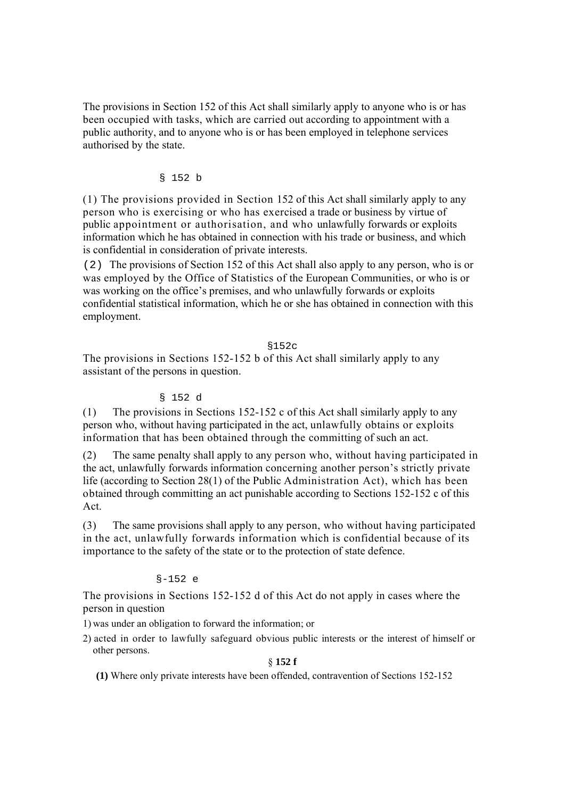The provisions in Section 152 of this Act shall similarly apply to anyone who is or has been occupied with tasks, which are carried out according to appointment with a public authority, and to anyone who is or has been employed in telephone services authorised by the state.

# § 152 b

(1) The provisions provided in Section 152 of this Act shall similarly apply to any person who is exercising or who has exercised a trade or business by virtue of public appointment or authorisation, and who unlawfully forwards or exploits information which he has obtained in connection with his trade or business, and which is confidential in consideration of private interests.

(2) The provisions of Section 152 of this Act shall also apply to any person, who is or was employed by the Office of Statistics of the European Communities, or who is or was working on the office's premises, and who unlawfully forwards or exploits confidential statistical information, which he or she has obtained in connection with this employment.

## §152c

The provisions in Sections 152-152 b of this Act shall similarly apply to any assistant of the persons in question.

## § 152 d

(1) The provisions in Sections 152-152 c of this Act shall similarly apply to any person who, without having participated in the act, unlawfully obtains or exploits information that has been obtained through the committing of such an act.

(2) The same penalty shall apply to any person who, without having participated in the act, unlawfully forwards information concerning another person's strictly private life (according to Section 28(1) of the Public Administration Act), which has been obtained through committing an act punishable according to Sections 152-152 c of this Act.

(3) The same provisions shall apply to any person, who without having participated in the act, unlawfully forwards information which is confidential because of its importance to the safety of the state or to the protection of state defence.

# §-152 e

The provisions in Sections 152-152 d of this Act do not apply in cases where the person in question

1) was under an obligation to forward the information; or

2) acted in order to lawfully safeguard obvious public interests or the interest of himself or other persons.

## § **152 f**

**(1)** Where only private interests have been offended, contravention of Sections 152-152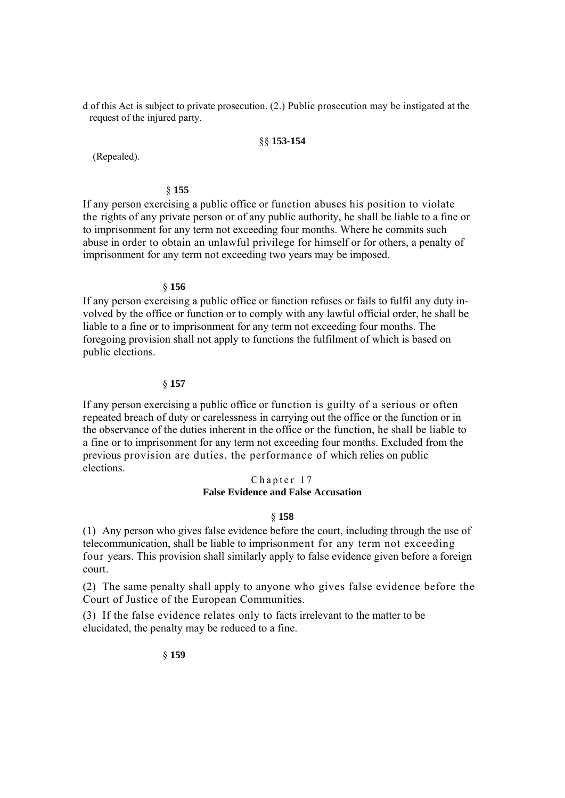d of this Act is subject to private prosecution. (2.) Public prosecution may be instigated at the request of the injured party.

### §§ **153-154**

(Repealed).

## § **155**

If any person exercising a public office or function abuses his position to violate the rights of any private person or of any public authority, he shall be liable to a fine or to imprisonment for any term not exceeding four months. Where he commits such abuse in order to obtain an unlawful privilege for himself or for others, a penalty of imprisonment for any term not exceeding two years may be imposed.

### § **156**

If any person exercising a public office or function refuses or fails to fulfil any duty involved by the office or function or to comply with any lawful official order, he shall be liable to a fine or to imprisonment for any term not exceeding four months. The foregoing provision shall not apply to functions the fulfilment of which is based on public elections.

## § **157**

If any person exercising a public office or function is guilty of a serious or often repeated breach of duty or carelessness in carrying out the office or the function or in the observance of the duties inherent in the office or the function, he shall be liable to a fine or to imprisonment for any term not exceeding four months. Excluded from the previous provision are duties, the performance of which relies on public elections.

# Chapter 17 **False Evidence and False Accusation**

# § **158**

(1) Any person who gives false evidence before the court, including through the use of telecommunication, shall be liable to imprisonment for any term not exceeding four years. This provision shall similarly apply to false evidence given before a foreign court.

(2) The same penalty shall apply to anyone who gives false evidence before the Court of Justice of the European Communities.

(3) If the false evidence relates only to facts irrelevant to the matter to be elucidated, the penalty may be reduced to a fine.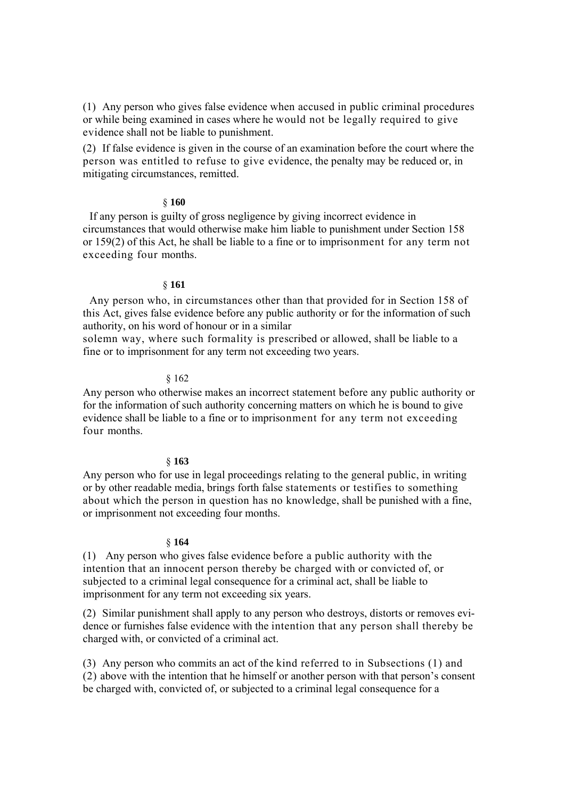(1) Any person who gives false evidence when accused in public criminal procedures or while being examined in cases where he would not be legally required to give evidence shall not be liable to punishment.

(2) If false evidence is given in the course of an examination before the court where the person was entitled to refuse to give evidence, the penalty may be reduced or, in mitigating circumstances, remitted.

## § **160**

If any person is guilty of gross negligence by giving incorrect evidence in circumstances that would otherwise make him liable to punishment under Section 158 or 159(2) of this Act, he shall be liable to a fine or to imprisonment for any term not exceeding four months.

# § **161**

Any person who, in circumstances other than that provided for in Section 158 of this Act, gives false evidence before any public authority or for the information of such authority, on his word of honour or in a similar

solemn way, where such formality is prescribed or allowed, shall be liable to a fine or to imprisonment for any term not exceeding two years.

## § 162

Any person who otherwise makes an incorrect statement before any public authority or for the information of such authority concerning matters on which he is bound to give evidence shall be liable to a fine or to imprisonment for any term not exceeding four months.

## § **163**

Any person who for use in legal proceedings relating to the general public, in writing or by other readable media, brings forth false statements or testifies to something about which the person in question has no knowledge, shall be punished with a fine, or imprisonment not exceeding four months.

## § **164**

(1) Any person who gives false evidence before a public authority with the intention that an innocent person thereby be charged with or convicted of, or subjected to a criminal legal consequence for a criminal act, shall be liable to imprisonment for any term not exceeding six years.

(2) Similar punishment shall apply to any person who destroys, distorts or removes evidence or furnishes false evidence with the intention that any person shall thereby be charged with, or convicted of a criminal act.

(3) Any person who commits an act of the kind referred to in Subsections (1) and (2) above with the intention that he himself or another person with that person's consent be charged with, convicted of, or subjected to a criminal legal consequence for a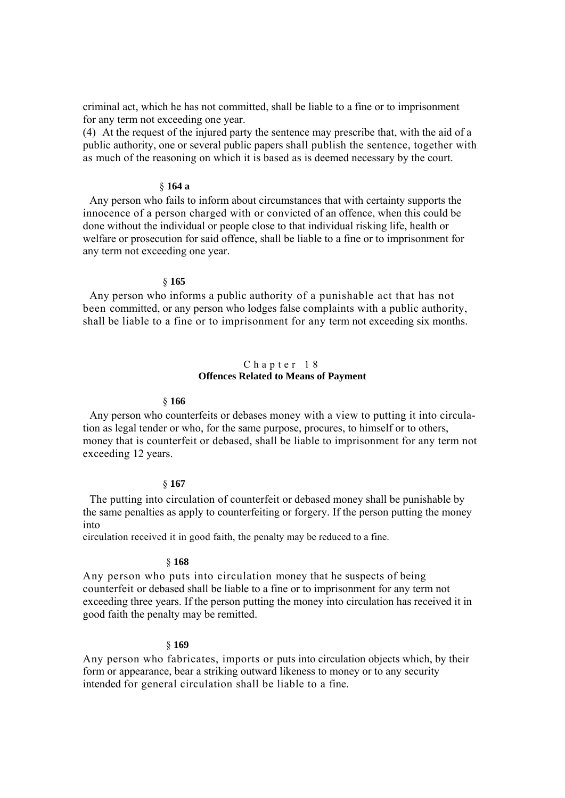criminal act, which he has not committed, shall be liable to a fine or to imprisonment for any term not exceeding one year.

(4) At the request of the injured party the sentence may prescribe that, with the aid of a public authority, one or several public papers shall publish the sentence, together with as much of the reasoning on which it is based as is deemed necessary by the court.

## § **164 a**

Any person who fails to inform about circumstances that with certainty supports the innocence of a person charged with or convicted of an offence, when this could be done without the individual or people close to that individual risking life, health or welfare or prosecution for said offence, shall be liable to a fine or to imprisonment for any term not exceeding one year.

### § **165**

Any person who informs a public authority of a punishable act that has not been committed, or any person who lodges false complaints with a public authority, shall be liable to a fine or to imprisonment for any term not exceeding six months.

## Chapter 18 **Offences Related to Means of Payment**

### § **166**

Any person who counterfeits or debases money with a view to putting it into circulation as legal tender or who, for the same purpose, procures, to himself or to others, money that is counterfeit or debased, shall be liable to imprisonment for any term not exceeding 12 years.

## § **167**

The putting into circulation of counterfeit or debased money shall be punishable by the same penalties as apply to counterfeiting or forgery. If the person putting the money into

circulation received it in good faith, the penalty may be reduced to a fine.

### § **168**

Any person who puts into circulation money that he suspects of being counterfeit or debased shall be liable to a fine or to imprisonment for any term not exceeding three years. If the person putting the money into circulation has received it in good faith the penalty may be remitted.

### § **169**

Any person who fabricates, imports or puts into circulation objects which, by their form or appearance, bear a striking outward likeness to money or to any security intended for general circulation shall be liable to a fine.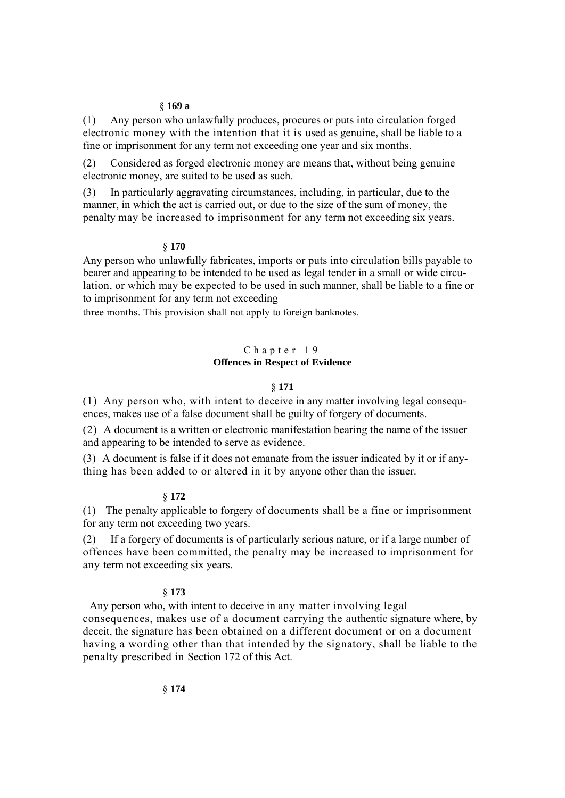### § **169 a**

(1) Any person who unlawfully produces, procures or puts into circulation forged electronic money with the intention that it is used as genuine, shall be liable to a fine or imprisonment for any term not exceeding one year and six months.

(2) Considered as forged electronic money are means that, without being genuine electronic money, are suited to be used as such.

(3) In particularly aggravating circumstances, including, in particular, due to the manner, in which the act is carried out, or due to the size of the sum of money, the penalty may be increased to imprisonment for any term not exceeding six years.

# § **170**

Any person who unlawfully fabricates, imports or puts into circulation bills payable to bearer and appearing to be intended to be used as legal tender in a small or wide circulation, or which may be expected to be used in such manner, shall be liable to a fine or to imprisonment for any term not exceeding

three months. This provision shall not apply to foreign banknotes.

# Chapter 19 **Offences in Respect of Evidence**

## § **171**

(1) Any person who, with intent to deceive in any matter involving legal consequences, makes use of a false document shall be guilty of forgery of documents.

(2) A document is a written or electronic manifestation bearing the name of the issuer and appearing to be intended to serve as evidence.

(3) A document is false if it does not emanate from the issuer indicated by it or if anything has been added to or altered in it by anyone other than the issuer.

### § **172**

(1) The penalty applicable to forgery of documents shall be a fine or imprisonment for any term not exceeding two years.

(2) If a forgery of documents is of particularly serious nature, or if a large number of offences have been committed, the penalty may be increased to imprisonment for any term not exceeding six years.

## § **173**

Any person who, with intent to deceive in any matter involving legal consequences, makes use of a document carrying the authentic signature where, by deceit, the signature has been obtained on a different document or on a document having a wording other than that intended by the signatory, shall be liable to the penalty prescribed in Section 172 of this Act.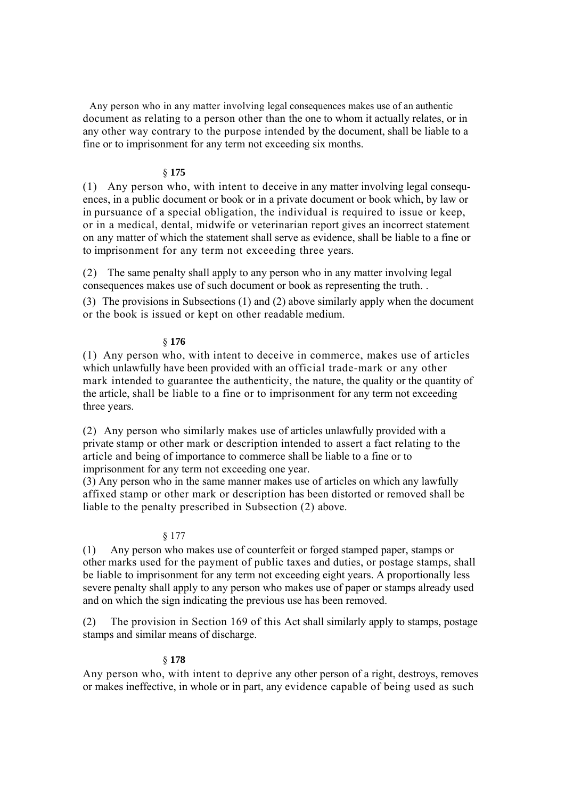Any person who in any matter involving legal consequences makes use of an authentic document as relating to a person other than the one to whom it actually relates, or in any other way contrary to the purpose intended by the document, shall be liable to a fine or to imprisonment for any term not exceeding six months.

# § **175**

(1) Any person who, with intent to deceive in any matter involving legal consequences, in a public document or book or in a private document or book which, by law or in pursuance of a special obligation, the individual is required to issue or keep, or in a medical, dental, midwife or veterinarian report gives an incorrect statement on any matter of which the statement shall serve as evidence, shall be liable to a fine or to imprisonment for any term not exceeding three years.

(2) The same penalty shall apply to any person who in any matter involving legal consequences makes use of such document or book as representing the truth. .

(3) The provisions in Subsections (1) and (2) above similarly apply when the document or the book is issued or kept on other readable medium.

# § **176**

(1) Any person who, with intent to deceive in commerce, makes use of articles which unlawfully have been provided with an official trade-mark or any other mark intended to guarantee the authenticity, the nature, the quality or the quantity of the article, shall be liable to a fine or to imprisonment for any term not exceeding three years.

(2) Any person who similarly makes use of articles unlawfully provided with a private stamp or other mark or description intended to assert a fact relating to the article and being of importance to commerce shall be liable to a fine or to imprisonment for any term not exceeding one year.

(3) Any person who in the same manner makes use of articles on which any lawfully affixed stamp or other mark or description has been distorted or removed shall be liable to the penalty prescribed in Subsection (2) above.

# § 177

(1) Any person who makes use of counterfeit or forged stamped paper, stamps or other marks used for the payment of public taxes and duties, or postage stamps, shall be liable to imprisonment for any term not exceeding eight years. A proportionally less severe penalty shall apply to any person who makes use of paper or stamps already used and on which the sign indicating the previous use has been removed.

(2) The provision in Section 169 of this Act shall similarly apply to stamps, postage stamps and similar means of discharge.

### § **178**

Any person who, with intent to deprive any other person of a right, destroys, removes or makes ineffective, in whole or in part, any evidence capable of being used as such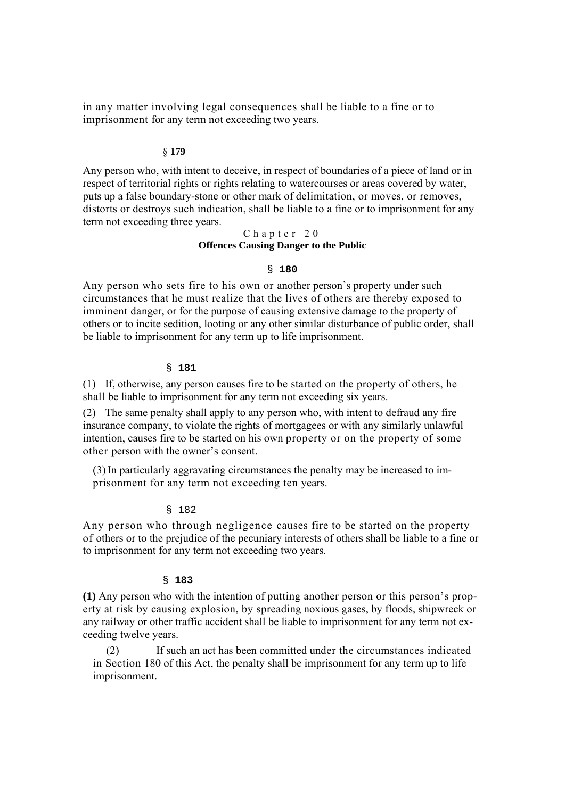in any matter involving legal consequences shall be liable to a fine or to imprisonment for any term not exceeding two years.

## § **179**

Any person who, with intent to deceive, in respect of boundaries of a piece of land or in respect of territorial rights or rights relating to watercourses or areas covered by water, puts up a false boundary-stone or other mark of delimitation, or moves, or removes, distorts or destroys such indication, shall be liable to a fine or to imprisonment for any term not exceeding three years.

# Chapter 20 **Offences Causing Danger to the Public**

# § **180**

Any person who sets fire to his own or another person's property under such circumstances that he must realize that the lives of others are thereby exposed to imminent danger, or for the purpose of causing extensive damage to the property of others or to incite sedition, looting or any other similar disturbance of public order, shall be liable to imprisonment for any term up to life imprisonment.

## § **181**

(1) If, otherwise, any person causes fire to be started on the property of others, he shall be liable to imprisonment for any term not exceeding six years.

(2) The same penalty shall apply to any person who, with intent to defraud any fire insurance company, to violate the rights of mortgagees or with any similarly unlawful intention, causes fire to be started on his own property or on the property of some other person with the owner's consent.

(3)In particularly aggravating circumstances the penalty may be increased to imprisonment for any term not exceeding ten years.

# § 182

Any person who through negligence causes fire to be started on the property of others or to the prejudice of the pecuniary interests of others shall be liable to a fine or to imprisonment for any term not exceeding two years.

### § **183**

**(1)** Any person who with the intention of putting another person or this person's property at risk by causing explosion, by spreading noxious gases, by floods, shipwreck or any railway or other traffic accident shall be liable to imprisonment for any term not exceeding twelve years.

(2) If such an act has been committed under the circumstances indicated in Section 180 of this Act, the penalty shall be imprisonment for any term up to life imprisonment.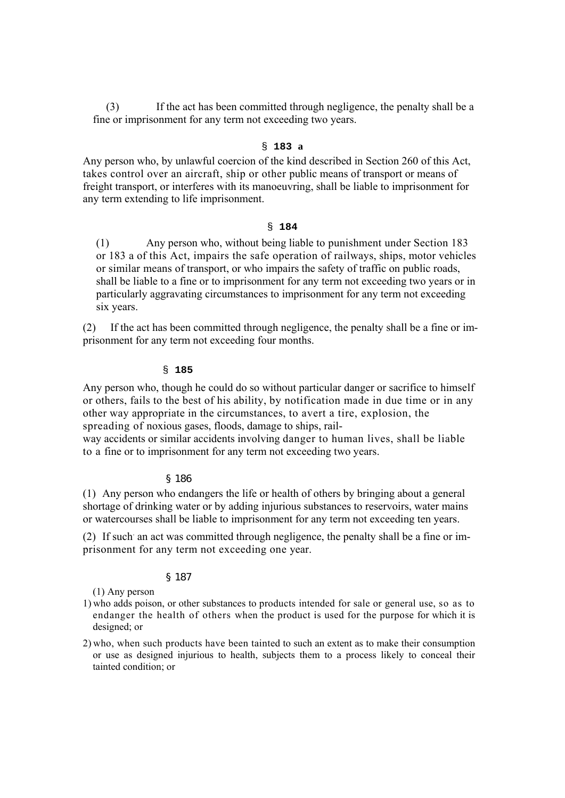(3) If the act has been committed through negligence, the penalty shall be a fine or imprisonment for any term not exceeding two years.

# § **183 a**

Any person who, by unlawful coercion of the kind described in Section 260 of this Act, takes control over an aircraft, ship or other public means of transport or means of freight transport, or interferes with its manoeuvring, shall be liable to imprisonment for any term extending to life imprisonment.

## § **184**

(1) Any person who, without being liable to punishment under Section 183 or 183 a of this Act, impairs the safe operation of railways, ships, motor vehicles or similar means of transport, or who impairs the safety of traffic on public roads, shall be liable to a fine or to imprisonment for any term not exceeding two years or in particularly aggravating circumstances to imprisonment for any term not exceeding six years.

(2) If the act has been committed through negligence, the penalty shall be a fine or imprisonment for any term not exceeding four months.

## § **185**

Any person who, though he could do so without particular danger or sacrifice to himself or others, fails to the best of his ability, by notification made in due time or in any other way appropriate in the circumstances, to avert a tire, explosion, the spreading of noxious gases, floods, damage to ships, rail-

way accidents or similar accidents involving danger to human lives, shall be liable to a fine or to imprisonment for any term not exceeding two years.

## § 186

(1) Any person who endangers the life or health of others by bringing about a general shortage of drinking water or by adding injurious substances to reservoirs, water mains or watercourses shall be liable to imprisonment for any term not exceeding ten years.

(2) If such an act was committed through negligence, the penalty shall be a fine or imprisonment for any term not exceeding one year.

# § 187

(1) Any person

- 1) who adds poison, or other substances to products intended for sale or general use, so as to endanger the health of others when the product is used for the purpose for which it is designed; or
- 2) who, when such products have been tainted to such an extent as to make their consumption or use as designed injurious to health, subjects them to a process likely to conceal their tainted condition; or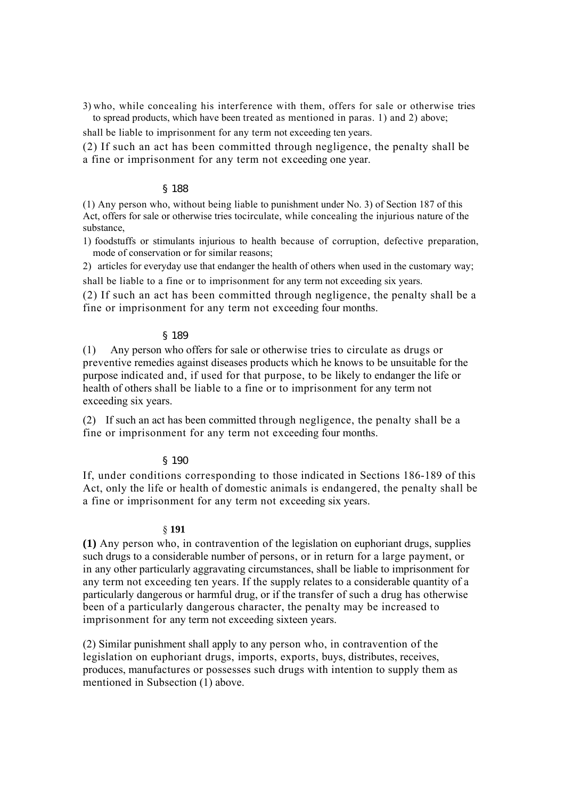3) who, while concealing his interference with them, offers for sale or otherwise tries to spread products, which have been treated as mentioned in paras. 1) and 2) above;

shall be liable to imprisonment for any term not exceeding ten years.

(2) If such an act has been committed through negligence, the penalty shall be a fine or imprisonment for any term not exceeding one year.

## § 188

(1) Any person who, without being liable to punishment under No. 3) of Section 187 of this Act, offers for sale or otherwise tries tocirculate, while concealing the injurious nature of the substance,

1) foodstuffs or stimulants injurious to health because of corruption, defective preparation, mode of conservation or for similar reasons;

2) articles for everyday use that endanger the health of others when used in the customary way; shall be liable to a fine or to imprisonment for any term not exceeding six years.

(2) If such an act has been committed through negligence, the penalty shall be a fine or imprisonment for any term not exceeding four months.

# § 189

(1) Any person who offers for sale or otherwise tries to circulate as drugs or preventive remedies against diseases products which he knows to be unsuitable for the purpose indicated and, if used for that purpose, to be likely to endanger the life or health of others shall be liable to a fine or to imprisonment for any term not exceeding six years.

(2) If such an act has been committed through negligence, the penalty shall be a fine or imprisonment for any term not exceeding four months.

## § 190

If, under conditions corresponding to those indicated in Sections 186-189 of this Act, only the life or health of domestic animals is endangered, the penalty shall be a fine or imprisonment for any term not exceeding six years.

## § **191**

**(1)** Any person who, in contravention of the legislation on euphoriant drugs, supplies such drugs to a considerable number of persons, or in return for a large payment, or in any other particularly aggravating circumstances, shall be liable to imprisonment for any term not exceeding ten years. If the supply relates to a considerable quantity of a particularly dangerous or harmful drug, or if the transfer of such a drug has otherwise been of a particularly dangerous character, the penalty may be increased to imprisonment for any term not exceeding sixteen years.

(2) Similar punishment shall apply to any person who, in contravention of the legislation on euphoriant drugs, imports, exports, buys, distributes, receives, produces, manufactures or possesses such drugs with intention to supply them as mentioned in Subsection (1) above.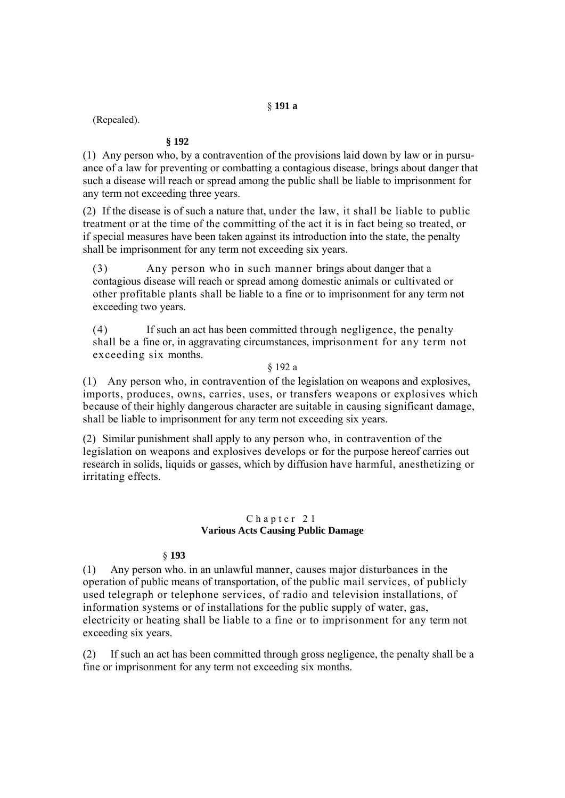# § **191 a**

(Repealed).

# **§ 192**

(1) Any person who, by a contravention of the provisions laid down by law or in pursuance of a law for preventing or combatting a contagious disease, brings about danger that such a disease will reach or spread among the public shall be liable to imprisonment for any term not exceeding three years.

(2) If the disease is of such a nature that, under the law, it shall be liable to public treatment or at the time of the committing of the act it is in fact being so treated, or if special measures have been taken against its introduction into the state, the penalty shall be imprisonment for any term not exceeding six years.

(3) Any person who in such manner brings about danger that a contagious disease will reach or spread among domestic animals or cultivated or other profitable plants shall be liable to a fine or to imprisonment for any term not exceeding two years.

(4) If such an act has been committed through negligence, the penalty shall be a fine or, in aggravating circumstances, imprisonment for any term not exceeding six months.

# § 192 a

(1) Any person who, in contravention of the legislation on weapons and explosives, imports, produces, owns, carries, uses, or transfers weapons or explosives which because of their highly dangerous character are suitable in causing significant damage, shall be liable to imprisonment for any term not exceeding six years.

(2) Similar punishment shall apply to any person who, in contravention of the legislation on weapons and explosives develops or for the purpose hereof carries out research in solids, liquids or gasses, which by diffusion have harmful, anesthetizing or irritating effects.

## Chapter 21 **Various Acts Causing Public Damage**

# § **193**

(1) Any person who. in an unlawful manner, causes major disturbances in the operation of public means of transportation, of the public mail services, of publicly used telegraph or telephone services, of radio and television installations, of information systems or of installations for the public supply of water, gas, electricity or heating shall be liable to a fine or to imprisonment for any term not exceeding six years.

(2) If such an act has been committed through gross negligence, the penalty shall be a fine or imprisonment for any term not exceeding six months.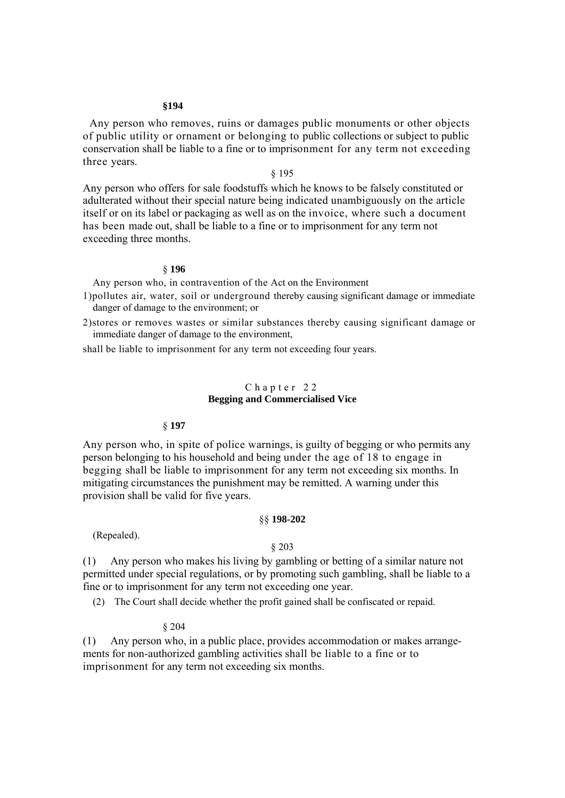### **§194**

Any person who removes, ruins or damages public monuments or other objects of public utility or ornament or belonging to public collections or subject to public conservation shall be liable to a fine or to imprisonment for any term not exceeding three years.

# § 195

Any person who offers for sale foodstuffs which he knows to be falsely constituted or adulterated without their special nature being indicated unambiguously on the article itself or on its label or packaging as well as on the invoice, where such a document has been made out, shall be liable to a fine or to imprisonment for any term not exceeding three months.

### § **196**

Any person who, in contravention of the Act on the Environment

- 1)pollutes air, water, soil or underground thereby causing significant damage or immediate danger of damage to the environment; or
- 2)stores or removes wastes or similar substances thereby causing significant damage or immediate danger of damage to the environment,

shall be liable to imprisonment for any term not exceeding four years.

### Chapter 22 **Begging and Commercialised Vice**

### § **197**

Any person who, in spite of police warnings, is guilty of begging or who permits any person belonging to his household and being under the age of 18 to engage in begging shall be liable to imprisonment for any term not exceeding six months. In mitigating circumstances the punishment may be remitted. A warning under this provision shall be valid for five years.

### §§ **198-202**

(Repealed).

### § 203

(1) Any person who makes his living by gambling or betting of a similar nature not permitted under special regulations, or by promoting such gambling, shall be liable to a fine or to imprisonment for any term not exceeding one year.

(2) The Court shall decide whether the profit gained shall be confiscated or repaid.

§ 204

(1) Any person who, in a public place, provides accommodation or makes arrangements for non-authorized gambling activities shall be liable to a fine or to imprisonment for any term not exceeding six months.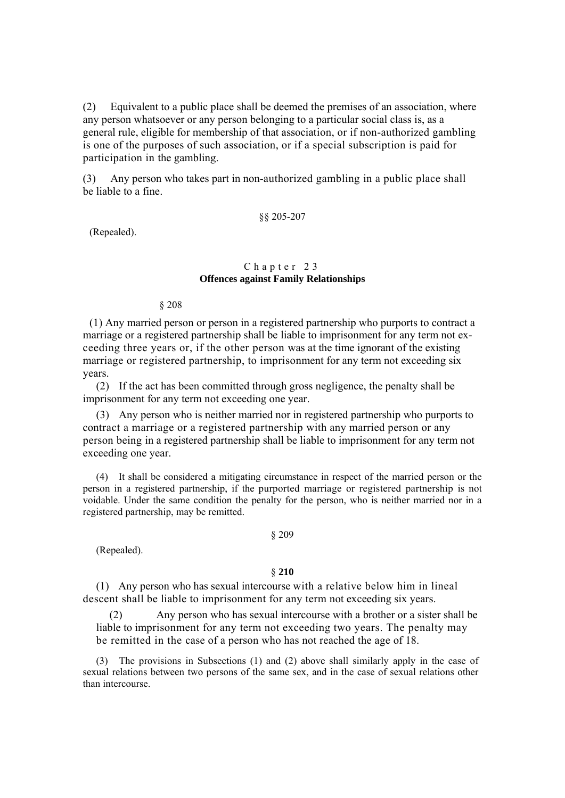(2) Equivalent to a public place shall be deemed the premises of an association, where any person whatsoever or any person belonging to a particular social class is, as a general rule, eligible for membership of that association, or if non-authorized gambling is one of the purposes of such association, or if a special subscription is paid for participation in the gambling.

(3) Any person who takes part in non-authorized gambling in a public place shall be liable to a fine.

# §§ 205-207

(Repealed).

# Chapter 23 **Offences against Family Relationships**

§ 208

(1) Any married person or person in a registered partnership who purports to contract a marriage or a registered partnership shall be liable to imprisonment for any term not exceeding three years or, if the other person was at the time ignorant of the existing marriage or registered partnership, to imprisonment for any term not exceeding six years.

(2) If the act has been committed through gross negligence, the penalty shall be imprisonment for any term not exceeding one year.

(3) Any person who is neither married nor in registered partnership who purports to contract a marriage or a registered partnership with any married person or any person being in a registered partnership shall be liable to imprisonment for any term not exceeding one year.

(4) It shall be considered a mitigating circumstance in respect of the married person or the person in a registered partnership, if the purported marriage or registered partnership is not voidable. Under the same condition the penalty for the person, who is neither married nor in a registered partnership, may be remitted.

#### § 209

(Repealed).

### § **210**

(1) Any person who has sexual intercourse with a relative below him in lineal descent shall be liable to imprisonment for any term not exceeding six years.

(2) Any person who has sexual intercourse with a brother or a sister shall be liable to imprisonment for any term not exceeding two years. The penalty may be remitted in the case of a person who has not reached the age of 18.

(3) The provisions in Subsections (1) and (2) above shall similarly apply in the case of sexual relations between two persons of the same sex, and in the case of sexual relations other than intercourse.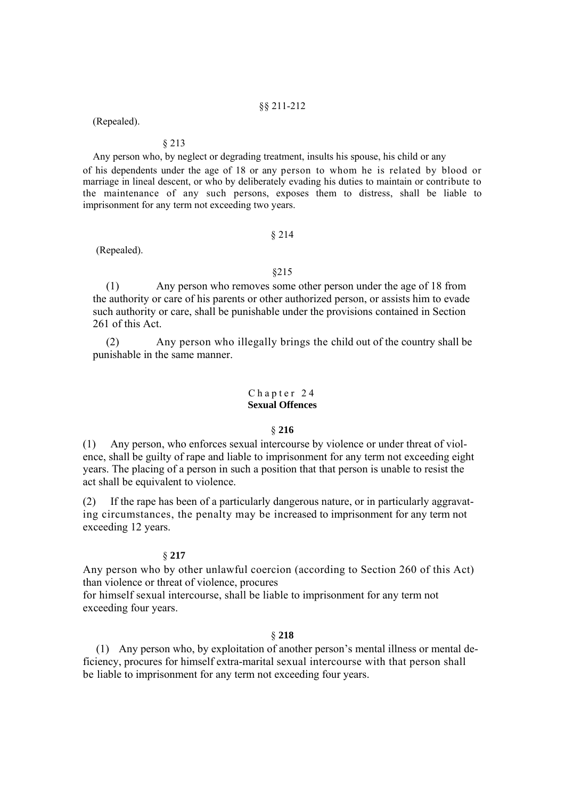## §§ 211-212

(Repealed).

# § 213

Any person who, by neglect or degrading treatment, insults his spouse, his child or any of his dependents under the age of 18 or any person to whom he is related by blood or marriage in lineal descent, or who by deliberately evading his duties to maintain or contribute to the maintenance of any such persons, exposes them to distress, shall be liable to imprisonment for any term not exceeding two years.

## § 214

(Repealed).

### §215

(1) Any person who removes some other person under the age of 18 from the authority or care of his parents or other authorized person, or assists him to evade such authority or care, shall be punishable under the provisions contained in Section 261 of this Act.

(2) Any person who illegally brings the child out of the country shall be punishable in the same manner.

## Chapter 24 **Sexual Offences**

### § **216**

(1) Any person, who enforces sexual intercourse by violence or under threat of violence, shall be guilty of rape and liable to imprisonment for any term not exceeding eight years. The placing of a person in such a position that that person is unable to resist the act shall be equivalent to violence.

(2) If the rape has been of a particularly dangerous nature, or in particularly aggravating circumstances, the penalty may be increased to imprisonment for any term not exceeding 12 years.

### § **217**

Any person who by other unlawful coercion (according to Section 260 of this Act) than violence or threat of violence, procures

for himself sexual intercourse, shall be liable to imprisonment for any term not exceeding four years.

# § **218**

(1) Any person who, by exploitation of another person's mental illness or mental deficiency, procures for himself extra-marital sexual intercourse with that person shall be liable to imprisonment for any term not exceeding four years.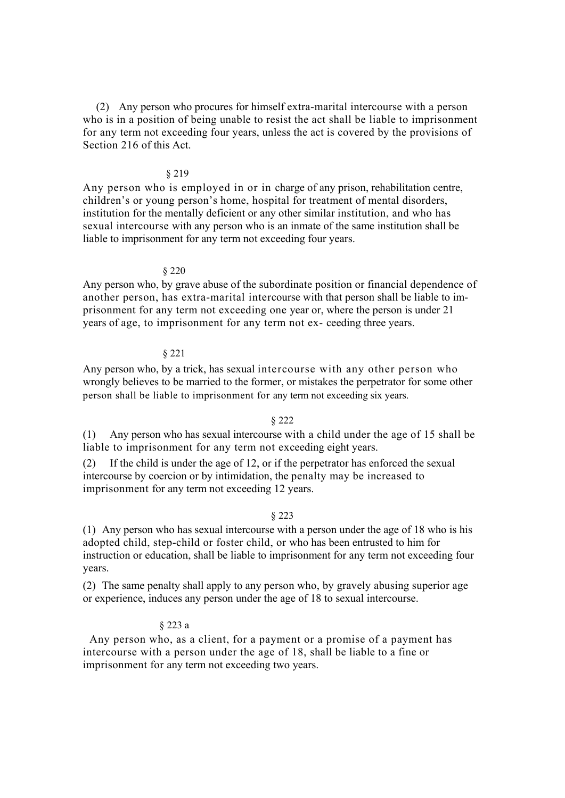(2) Any person who procures for himself extra-marital intercourse with a person who is in a position of being unable to resist the act shall be liable to imprisonment for any term not exceeding four years, unless the act is covered by the provisions of Section 216 of this Act.

## § 219

Any person who is employed in or in charge of any prison, rehabilitation centre, children's or young person's home, hospital for treatment of mental disorders, institution for the mentally deficient or any other similar institution, and who has sexual intercourse with any person who is an inmate of the same institution shall be liable to imprisonment for any term not exceeding four years.

#### § 220

Any person who, by grave abuse of the subordinate position or financial dependence of another person, has extra-marital intercourse with that person shall be liable to imprisonment for any term not exceeding one year or, where the person is under 21 years of age, to imprisonment for any term not ex- ceeding three years.

## § 221

Any person who, by a trick, has sexual intercourse with any other person who wrongly believes to be married to the former, or mistakes the perpetrator for some other person shall be liable to imprisonment for any term not exceeding six years.

## § 222

(1) Any person who has sexual intercourse with a child under the age of 15 shall be liable to imprisonment for any term not exceeding eight years.

(2) If the child is under the age of 12, or if the perpetrator has enforced the sexual intercourse by coercion or by intimidation, the penalty may be increased to imprisonment for any term not exceeding 12 years.

# § 223

(1) Any person who has sexual intercourse with a person under the age of 18 who is his adopted child, step-child or foster child, or who has been entrusted to him for instruction or education, shall be liable to imprisonment for any term not exceeding four years.

(2) The same penalty shall apply to any person who, by gravely abusing superior age or experience, induces any person under the age of 18 to sexual intercourse.

## § 223 a

Any person who, as a client, for a payment or a promise of a payment has intercourse with a person under the age of 18, shall be liable to a fine or imprisonment for any term not exceeding two years.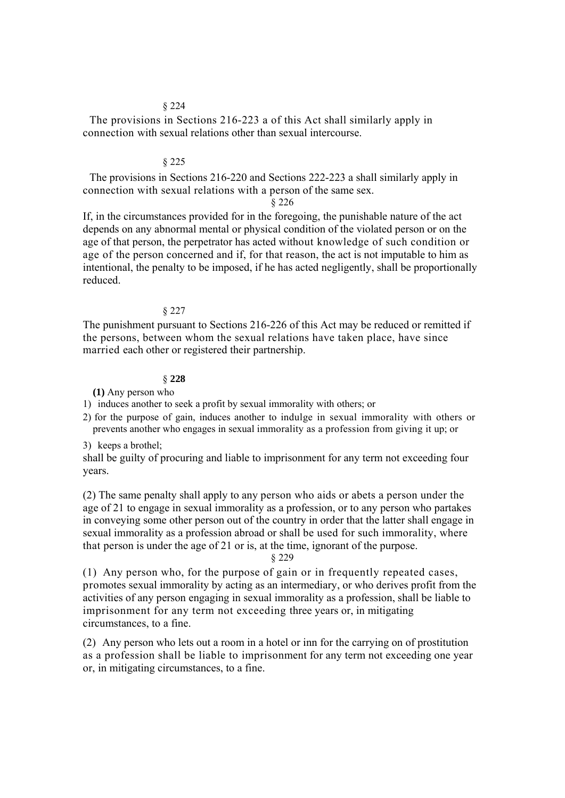## § 224

The provisions in Sections 216-223 a of this Act shall similarly apply in connection with sexual relations other than sexual intercourse.

## § 225

The provisions in Sections 216-220 and Sections 222-223 a shall similarly apply in connection with sexual relations with a person of the same sex.

§ 226

If, in the circumstances provided for in the foregoing, the punishable nature of the act depends on any abnormal mental or physical condition of the violated person or on the age of that person, the perpetrator has acted without knowledge of such condition or age of the person concerned and if, for that reason, the act is not imputable to him as intentional, the penalty to be imposed, if he has acted negligently, shall be proportionally reduced.

## § 227

The punishment pursuant to Sections 216-226 of this Act may be reduced or remitted if the persons, between whom the sexual relations have taken place, have since married each other or registered their partnership.

# § **228**

**(1)** Any person who

1) induces another to seek a profit by sexual immorality with others; or

2) for the purpose of gain, induces another to indulge in sexual immorality with others or prevents another who engages in sexual immorality as a profession from giving it up; or

### 3) keeps a brothel;

shall be guilty of procuring and liable to imprisonment for any term not exceeding four years.

(2) The same penalty shall apply to any person who aids or abets a person under the age of 21 to engage in sexual immorality as a profession, or to any person who partakes in conveying some other person out of the country in order that the latter shall engage in sexual immorality as a profession abroad or shall be used for such immorality, where that person is under the age of 21 or is, at the time, ignorant of the purpose.

# § 229

(1) Any person who, for the purpose of gain or in frequently repeated cases, promotes sexual immorality by acting as an intermediary, or who derives profit from the activities of any person engaging in sexual immorality as a profession, shall be liable to imprisonment for any term not exceeding three years or, in mitigating circumstances, to a fine.

(2) Any person who lets out a room in a hotel or inn for the carrying on of prostitution as a profession shall be liable to imprisonment for any term not exceeding one year or, in mitigating circumstances, to a fine.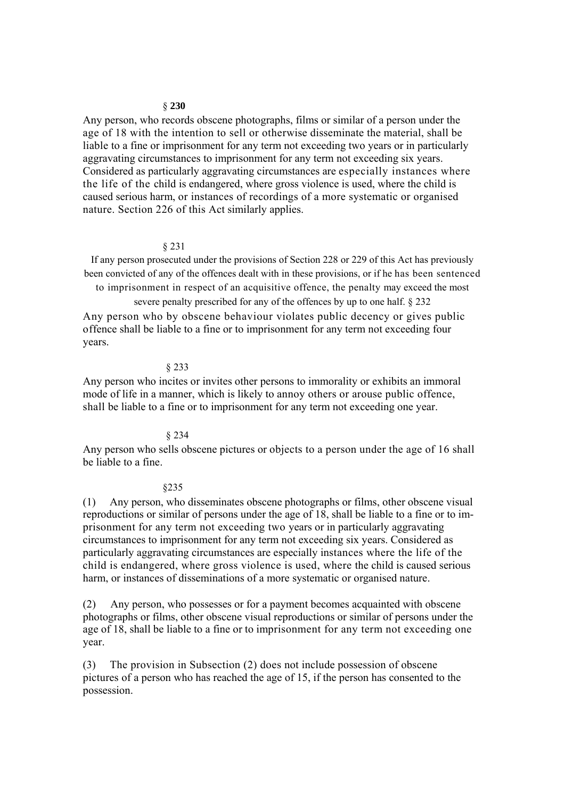### § **230**

Any person, who records obscene photographs, films or similar of a person under the age of 18 with the intention to sell or otherwise disseminate the material, shall be liable to a fine or imprisonment for any term not exceeding two years or in particularly aggravating circumstances to imprisonment for any term not exceeding six years. Considered as particularly aggravating circumstances are especially instances where the life of the child is endangered, where gross violence is used, where the child is caused serious harm, or instances of recordings of a more systematic or organised nature. Section 226 of this Act similarly applies.

### § 231

If any person prosecuted under the provisions of Section 228 or 229 of this Act has previously been convicted of any of the offences dealt with in these provisions, or if he has been sentenced to imprisonment in respect of an acquisitive offence, the penalty may exceed the most

severe penalty prescribed for any of the offences by up to one half. § 232 Any person who by obscene behaviour violates public decency or gives public offence shall be liable to a fine or to imprisonment for any term not exceeding four years.

## § 233

Any person who incites or invites other persons to immorality or exhibits an immoral mode of life in a manner, which is likely to annoy others or arouse public offence, shall be liable to a fine or to imprisonment for any term not exceeding one year.

### § 234

Any person who sells obscene pictures or objects to a person under the age of 16 shall be liable to a fine.

### §235

(1) Any person, who disseminates obscene photographs or films, other obscene visual reproductions or similar of persons under the age of 18, shall be liable to a fine or to imprisonment for any term not exceeding two years or in particularly aggravating circumstances to imprisonment for any term not exceeding six years. Considered as particularly aggravating circumstances are especially instances where the life of the child is endangered, where gross violence is used, where the child is caused serious harm, or instances of disseminations of a more systematic or organised nature.

(2) Any person, who possesses or for a payment becomes acquainted with obscene photographs or films, other obscene visual reproductions or similar of persons under the age of 18, shall be liable to a fine or to imprisonment for any term not exceeding one year.

(3) The provision in Subsection (2) does not include possession of obscene pictures of a person who has reached the age of 15, if the person has consented to the possession.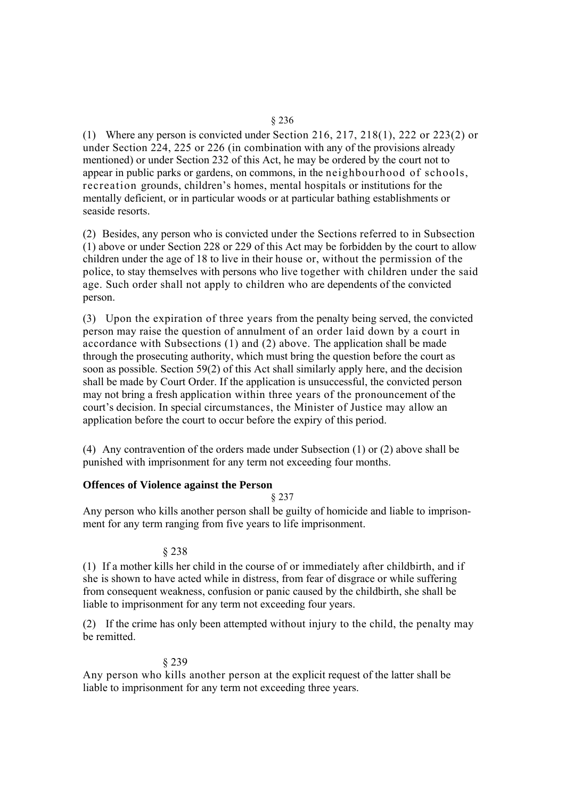(1) Where any person is convicted under Section 216, 217, 218(1), 222 or 223(2) or under Section 224, 225 or 226 (in combination with any of the provisions already mentioned) or under Section 232 of this Act, he may be ordered by the court not to appear in public parks or gardens, on commons, in the neighbourhood of schools, recreation grounds, children's homes, mental hospitals or institutions for the mentally deficient, or in particular woods or at particular bathing establishments or seaside resorts.

(2) Besides, any person who is convicted under the Sections referred to in Subsection (1) above or under Section 228 or 229 of this Act may be forbidden by the court to allow children under the age of 18 to live in their house or, without the permission of the police, to stay themselves with persons who live together with children under the said age. Such order shall not apply to children who are dependents of the convicted person.

(3) Upon the expiration of three years from the penalty being served, the convicted person may raise the question of annulment of an order laid down by a court in accordance with Subsections (1) and (2) above. The application shall be made through the prosecuting authority, which must bring the question before the court as soon as possible. Section 59(2) of this Act shall similarly apply here, and the decision shall be made by Court Order. If the application is unsuccessful, the convicted person may not bring a fresh application within three years of the pronouncement of the court's decision. In special circumstances, the Minister of Justice may allow an application before the court to occur before the expiry of this period.

(4) Any contravention of the orders made under Subsection (1) or (2) above shall be punished with imprisonment for any term not exceeding four months.

# **Offences of Violence against the Person**

§ 237

Any person who kills another person shall be guilty of homicide and liable to imprisonment for any term ranging from five years to life imprisonment.

# § 238

(1) If a mother kills her child in the course of or immediately after childbirth, and if she is shown to have acted while in distress, from fear of disgrace or while suffering from consequent weakness, confusion or panic caused by the childbirth, she shall be liable to imprisonment for any term not exceeding four years.

(2) If the crime has only been attempted without injury to the child, the penalty may be remitted.

# § 239

Any person who kills another person at the explicit request of the latter shall be liable to imprisonment for any term not exceeding three years.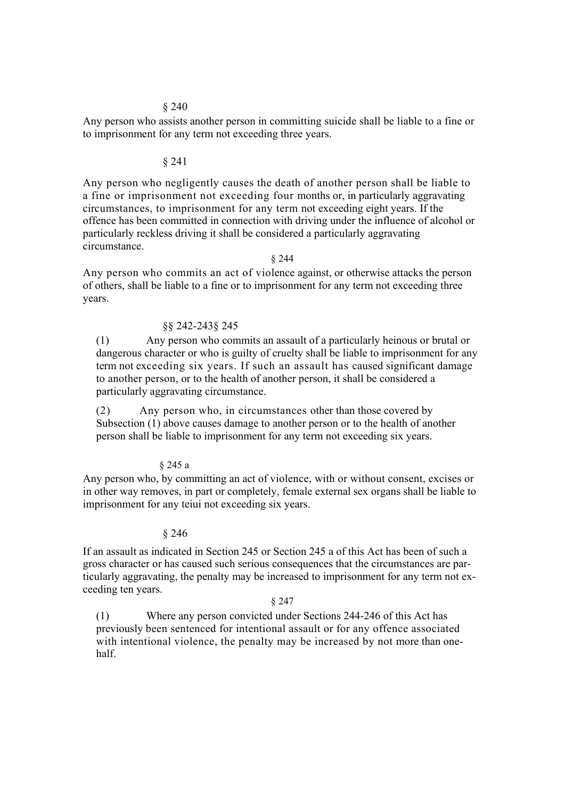# § 240

Any person who assists another person in committing suicide shall be liable to a fine or to imprisonment for any term not exceeding three years.

### § 241

Any person who negligently causes the death of another person shall be liable to a fine or imprisonment not exceeding four months or, in particularly aggravating circumstances, to imprisonment for any term not exceeding eight years. If the offence has been committed in connection with driving under the influence of alcohol or particularly reckless driving it shall be considered a particularly aggravating circumstance.

§ 244

Any person who commits an act of violence against, or otherwise attacks the person of others, shall be liable to a fine or to imprisonment for any term not exceeding three years.

## §§ 242-243§ 245

(1) Any person who commits an assault of a particularly heinous or brutal or dangerous character or who is guilty of cruelty shall be liable to imprisonment for any term not exceeding six years. If such an assault has caused significant damage to another person, or to the health of another person, it shall be considered a particularly aggravating circumstance.

(2) Any person who, in circumstances other than those covered by Subsection (1) above causes damage to another person or to the health of another person shall be liable to imprisonment for any term not exceeding six years.

# § 245 a

Any person who, by committing an act of violence, with or without consent, excises or in other way removes, in part or completely, female external sex organs shall be liable to imprisonment for any teiui not exceeding six years.

# § 246

If an assault as indicated in Section 245 or Section 245 a of this Act has been of such a gross character or has caused such serious consequences that the circumstances are particularly aggravating, the penalty may be increased to imprisonment for any term not exceeding ten years.

#### § 247

(1) Where any person convicted under Sections 244-246 of this Act has previously been sentenced for intentional assault or for any offence associated with intentional violence, the penalty may be increased by not more than onehalf.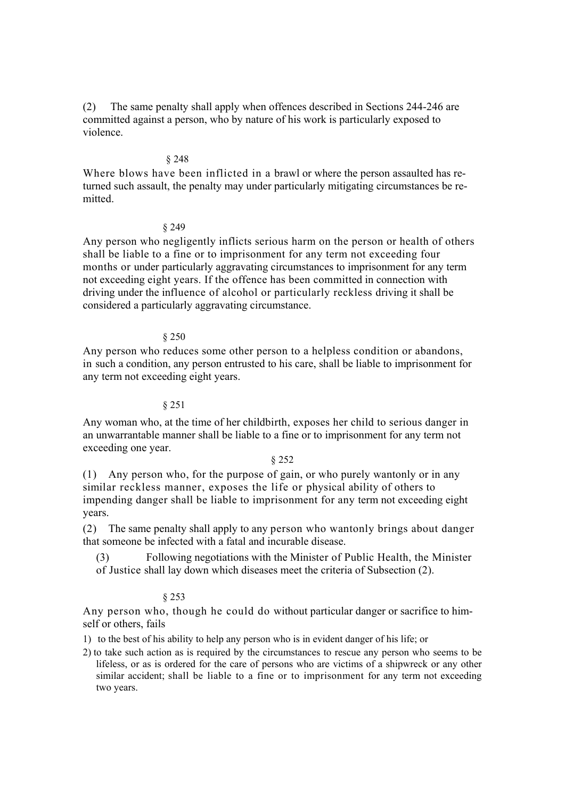(2) The same penalty shall apply when offences described in Sections 244-246 are committed against a person, who by nature of his work is particularly exposed to violence.

# § 248

Where blows have been inflicted in a brawl or where the person assaulted has returned such assault, the penalty may under particularly mitigating circumstances be remitted.

## § 249

Any person who negligently inflicts serious harm on the person or health of others shall be liable to a fine or to imprisonment for any term not exceeding four months or under particularly aggravating circumstances to imprisonment for any term not exceeding eight years. If the offence has been committed in connection with driving under the influence of alcohol or particularly reckless driving it shall be considered a particularly aggravating circumstance.

# § 250

Any person who reduces some other person to a helpless condition or abandons, in such a condition, any person entrusted to his care, shall be liable to imprisonment for any term not exceeding eight years.

# § 251

Any woman who, at the time of her childbirth, exposes her child to serious danger in an unwarrantable manner shall be liable to a fine or to imprisonment for any term not exceeding one year.

# § 252

(1) Any person who, for the purpose of gain, or who purely wantonly or in any similar reckless manner, exposes the life or physical ability of others to impending danger shall be liable to imprisonment for any term not exceeding eight years.

(2) The same penalty shall apply to any person who wantonly brings about danger that someone be infected with a fatal and incurable disease.

(3) Following negotiations with the Minister of Public Health, the Minister of Justice shall lay down which diseases meet the criteria of Subsection (2).

# § 253

Any person who, though he could do without particular danger or sacrifice to himself or others, fails

1) to the best of his ability to help any person who is in evident danger of his life; or

2) to take such action as is required by the circumstances to rescue any person who seems to be lifeless, or as is ordered for the care of persons who are victims of a shipwreck or any other similar accident; shall be liable to a fine or to imprisonment for any term not exceeding two years.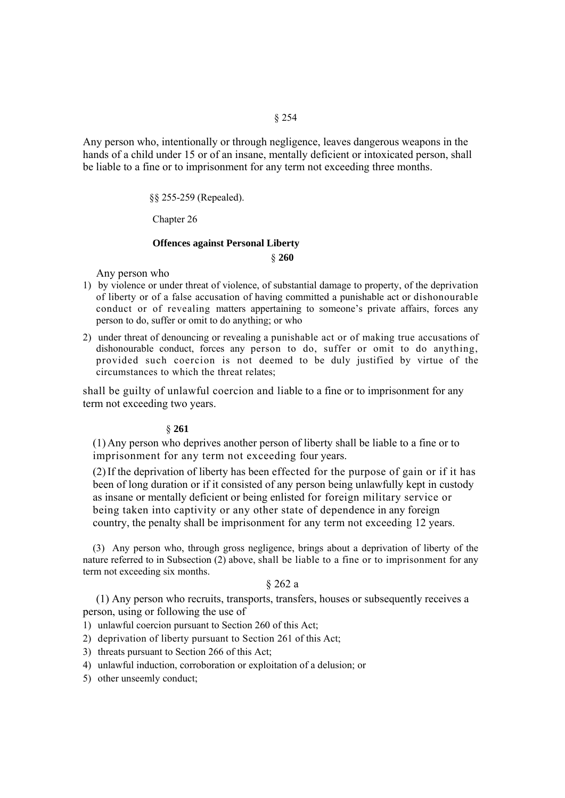§ 254

Any person who, intentionally or through negligence, leaves dangerous weapons in the hands of a child under 15 or of an insane, mentally deficient or intoxicated person, shall be liable to a fine or to imprisonment for any term not exceeding three months.

§§ 255-259 (Repealed).

Chapter 26

# **Offences against Personal Liberty**

§ **260** 

Any person who

- 1) by violence or under threat of violence, of substantial damage to property, of the deprivation of liberty or of a false accusation of having committed a punishable act or dishonourable conduct or of revealing matters appertaining to someone's private affairs, forces any person to do, suffer or omit to do anything; or who
- 2) under threat of denouncing or revealing a punishable act or of making true accusations of dishonourable conduct, forces any person to do, suffer or omit to do anything, provided such coercion is not deemed to be duly justified by virtue of the circumstances to which the threat relates;

shall be guilty of unlawful coercion and liable to a fine or to imprisonment for any term not exceeding two years.

# § **261**

(1) Any person who deprives another person of liberty shall be liable to a fine or to imprisonment for any term not exceeding four years.

(2)If the deprivation of liberty has been effected for the purpose of gain or if it has been of long duration or if it consisted of any person being unlawfully kept in custody as insane or mentally deficient or being enlisted for foreign military service or being taken into captivity or any other state of dependence in any foreign country, the penalty shall be imprisonment for any term not exceeding 12 years.

(3) Any person who, through gross negligence, brings about a deprivation of liberty of the nature referred to in Subsection (2) above, shall be liable to a fine or to imprisonment for any term not exceeding six months.

# § 262 a

(1) Any person who recruits, transports, transfers, houses or subsequently receives a person, using or following the use of

1) unlawful coercion pursuant to Section 260 of this Act;

2) deprivation of liberty pursuant to Section 261 of this Act;

- 3) threats pursuant to Section 266 of this Act;
- 4) unlawful induction, corroboration or exploitation of a delusion; or
- 5) other unseemly conduct;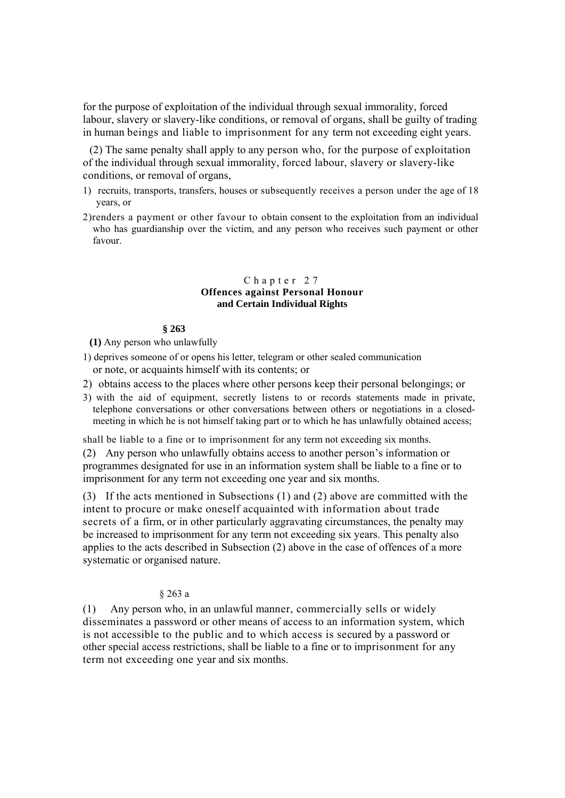for the purpose of exploitation of the individual through sexual immorality, forced labour, slavery or slavery-like conditions, or removal of organs, shall be guilty of trading in human beings and liable to imprisonment for any term not exceeding eight years.

(2) The same penalty shall apply to any person who, for the purpose of exploitation of the individual through sexual immorality, forced labour, slavery or slavery-like conditions, or removal of organs,

- 1) recruits, transports, transfers, houses or subsequently receives a person under the age of 18 years, or
- 2)renders a payment or other favour to obtain consent to the exploitation from an individual who has guardianship over the victim, and any person who receives such payment or other favour.

# Chapter 27 **Offences against Personal Honour and Certain Individual Rights**

## **§ 263**

**(1)** Any person who unlawfully

1) deprives someone of or opens his letter, telegram or other sealed communication or note, or acquaints himself with its contents; or

- 2) obtains access to the places where other persons keep their personal belongings; or
- 3) with the aid of equipment, secretly listens to or records statements made in private, telephone conversations or other conversations between others or negotiations in a closedmeeting in which he is not himself taking part or to which he has unlawfully obtained access;

shall be liable to a fine or to imprisonment for any term not exceeding six months.

(2) Any person who unlawfully obtains access to another person's information or programmes designated for use in an information system shall be liable to a fine or to imprisonment for any term not exceeding one year and six months.

(3) If the acts mentioned in Subsections (1) and (2) above are committed with the intent to procure or make oneself acquainted with information about trade secrets of a firm, or in other particularly aggravating circumstances, the penalty may be increased to imprisonment for any term not exceeding six years. This penalty also applies to the acts described in Subsection (2) above in the case of offences of a more systematic or organised nature.

# § 263 a

(1) Any person who, in an unlawful manner, commercially sells or widely disseminates a password or other means of access to an information system, which is not accessible to the public and to which access is secured by a password or other special access restrictions, shall be liable to a fine or to imprisonment for any term not exceeding one year and six months.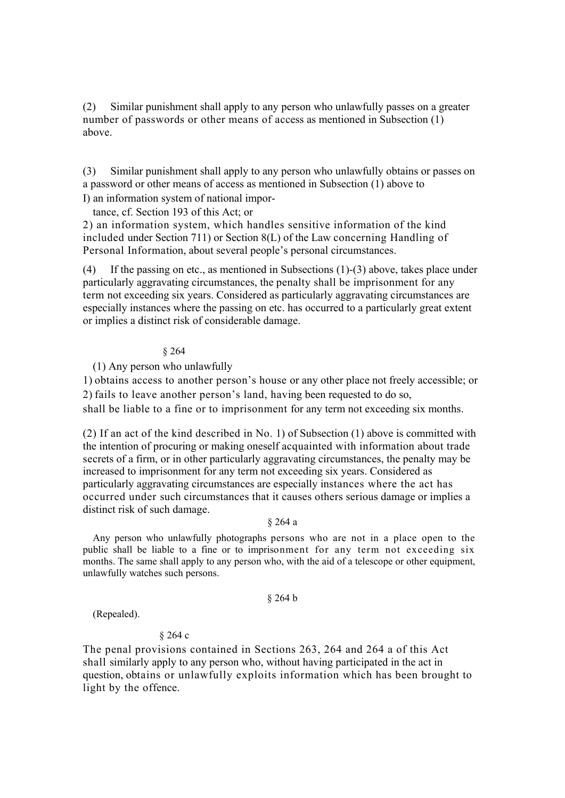(2) Similar punishment shall apply to any person who unlawfully passes on a greater number of passwords or other means of access as mentioned in Subsection (1) above.

(3) Similar punishment shall apply to any person who unlawfully obtains or passes on a password or other means of access as mentioned in Subsection (1) above to I) an information system of national impor-

tance, cf. Section 193 of this Act; or

2) an information system, which handles sensitive information of the kind included under Section 711) or Section 8(L) of the Law concerning Handling of Personal Information, about several people's personal circumstances.

(4) If the passing on etc., as mentioned in Subsections (1)-(3) above, takes place under particularly aggravating circumstances, the penalty shall be imprisonment for any term not exceeding six years. Considered as particularly aggravating circumstances are especially instances where the passing on etc. has occurred to a particularly great extent or implies a distinct risk of considerable damage.

# § 264

(1) Any person who unlawfully

1) obtains access to another person's house or any other place not freely accessible; or 2) fails to leave another person's land, having been requested to do so,

shall be liable to a fine or to imprisonment for any term not exceeding six months.

(2) If an act of the kind described in No. 1) of Subsection (1) above is committed with the intention of procuring or making oneself acquainted with information about trade secrets of a firm, or in other particularly aggravating circumstances, the penalty may be increased to imprisonment for any term not exceeding six years. Considered as particularly aggravating circumstances are especially instances where the act has occurred under such circumstances that it causes others serious damage or implies a distinct risk of such damage.

# § 264 a

Any person who unlawfully photographs persons who are not in a place open to the public shall be liable to a fine or to imprisonment for any term not exceeding six months. The same shall apply to any person who, with the aid of a telescope or other equipment, unlawfully watches such persons.

# § 264 b

(Repealed).

# § 264 c

The penal provisions contained in Sections 263, 264 and 264 a of this Act shall similarly apply to any person who, without having participated in the act in question, obtains or unlawfully exploits information which has been brought to light by the offence.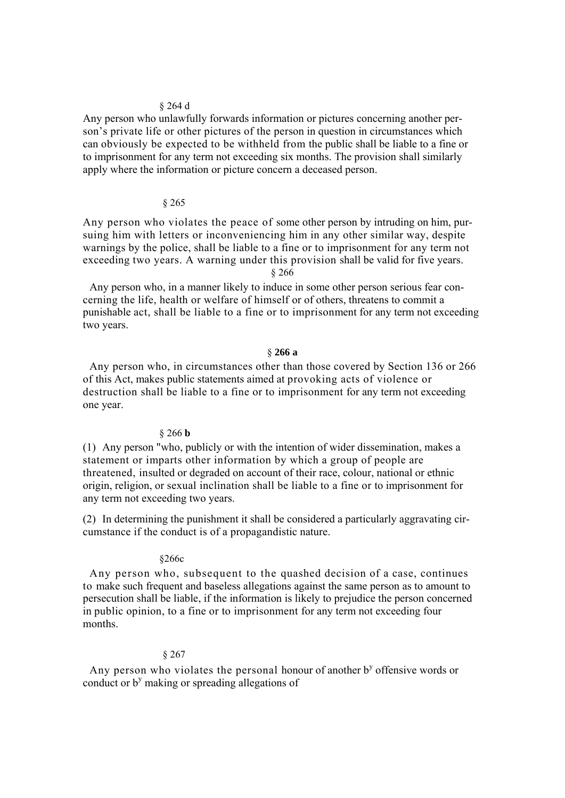### § 264 d

Any person who unlawfully forwards information or pictures concerning another person's private life or other pictures of the person in question in circumstances which can obviously be expected to be withheld from the public shall be liable to a fine or to imprisonment for any term not exceeding six months. The provision shall similarly apply where the information or picture concern a deceased person.

## § 265

Any person who violates the peace of some other person by intruding on him, pursuing him with letters or inconveniencing him in any other similar way, despite warnings by the police, shall be liable to a fine or to imprisonment for any term not exceeding two years. A warning under this provision shall be valid for five years.

§ 266

Any person who, in a manner likely to induce in some other person serious fear concerning the life, health or welfare of himself or of others, threatens to commit a punishable act, shall be liable to a fine or to imprisonment for any term not exceeding two years.

## § **266 a**

Any person who, in circumstances other than those covered by Section 136 or 266 of this Act, makes public statements aimed at provoking acts of violence or destruction shall be liable to a fine or to imprisonment for any term not exceeding one year.

# § 266 **b**

(1) Any person "who, publicly or with the intention of wider dissemination, makes a statement or imparts other information by which a group of people are threatened, insulted or degraded on account of their race, colour, national or ethnic origin, religion, or sexual inclination shall be liable to a fine or to imprisonment for any term not exceeding two years.

(2) In determining the punishment it shall be considered a particularly aggravating circumstance if the conduct is of a propagandistic nature.

### §266c

Any person who, subsequent to the quashed decision of a case, continues to make such frequent and baseless allegations against the same person as to amount to persecution shall be liable, if the information is likely to prejudice the person concerned in public opinion, to a fine or to imprisonment for any term not exceeding four months.

### § 267

Any person who violates the personal honour of another  $b<sup>y</sup>$  offensive words or conduct or b<sup>y</sup> making or spreading allegations of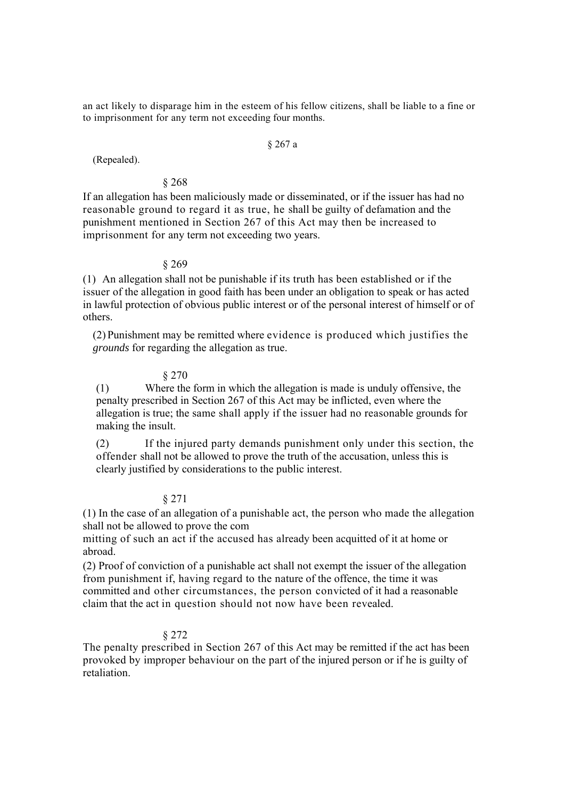an act likely to disparage him in the esteem of his fellow citizens, shall be liable to a fine or to imprisonment for any term not exceeding four months.

### § 267 a

(Repealed).

# § 268

If an allegation has been maliciously made or disseminated, or if the issuer has had no reasonable ground to regard it as true, he shall be guilty of defamation and the punishment mentioned in Section 267 of this Act may then be increased to imprisonment for any term not exceeding two years.

# § 269

(1) An allegation shall not be punishable if its truth has been established or if the issuer of the allegation in good faith has been under an obligation to speak or has acted in lawful protection of obvious public interest or of the personal interest of himself or of others.

(2) Punishment may be remitted where evidence is produced which justifies the *grounds* for regarding the allegation as true.

## § 270

(1) Where the form in which the allegation is made is unduly offensive, the penalty prescribed in Section 267 of this Act may be inflicted, even where the allegation is true; the same shall apply if the issuer had no reasonable grounds for making the insult.

(2) If the injured party demands punishment only under this section, the offender shall not be allowed to prove the truth of the accusation, unless this is clearly justified by considerations to the public interest.

## § 271

(1) In the case of an allegation of a punishable act, the person who made the allegation shall not be allowed to prove the com

mitting of such an act if the accused has already been acquitted of it at home or abroad.

(2) Proof of conviction of a punishable act shall not exempt the issuer of the allegation from punishment if, having regard to the nature of the offence, the time it was committed and other circumstances, the person convicted of it had a reasonable claim that the act in question should not now have been revealed.

# § 272

The penalty prescribed in Section 267 of this Act may be remitted if the act has been provoked by improper behaviour on the part of the injured person or if he is guilty of retaliation.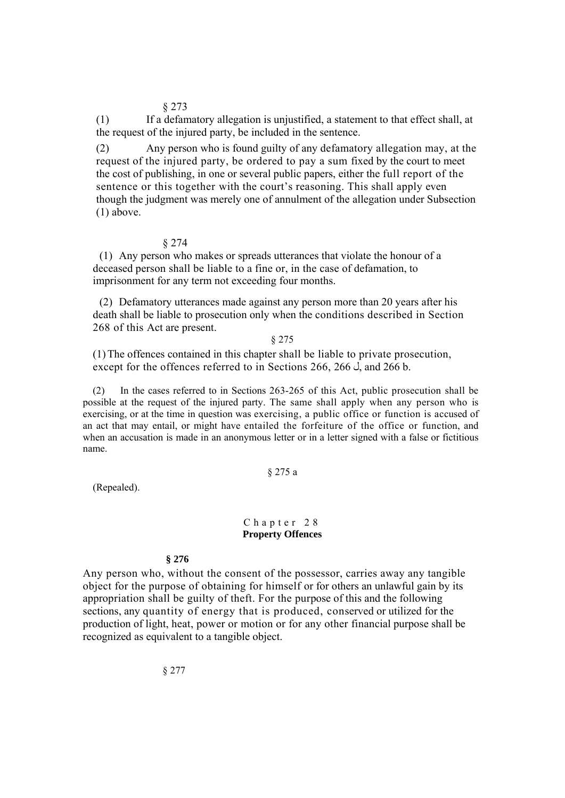§ 273

(1) If a defamatory allegation is unjustified, a statement to that effect shall, at the request of the injured party, be included in the sentence.

(2) Any person who is found guilty of any defamatory allegation may, at the request of the injured party, be ordered to pay a sum fixed by the court to meet the cost of publishing, in one or several public papers, either the full report of the sentence or this together with the court's reasoning. This shall apply even though the judgment was merely one of annulment of the allegation under Subsection (1) above.

## § 274

(1) Any person who makes or spreads utterances that violate the honour of a deceased person shall be liable to a fine or, in the case of defamation, to imprisonment for any term not exceeding four months.

(2) Defamatory utterances made against any person more than 20 years after his death shall be liable to prosecution only when the conditions described in Section 268 of this Act are present.

## § 275

(1)The offences contained in this chapter shall be liable to private prosecution, except for the offences referred to in Sections 266, 266  $\dot{\circ}$ , and 266 b.

(2) In the cases referred to in Sections 263-265 of this Act, public prosecution shall be possible at the request of the injured party. The same shall apply when any person who is exercising, or at the time in question was exercising, a public office or function is accused of an act that may entail, or might have entailed the forfeiture of the office or function, and when an accusation is made in an anonymous letter or in a letter signed with a false or fictitious name.

# § 275 a

(Repealed).

# Chapter 28 **Property Offences**

## **§ 276**

Any person who, without the consent of the possessor, carries away any tangible object for the purpose of obtaining for himself or for others an unlawful gain by its appropriation shall be guilty of theft. For the purpose of this and the following sections, any quantity of energy that is produced, conserved or utilized for the production of light, heat, power or motion or for any other financial purpose shall be recognized as equivalent to a tangible object.

§ 277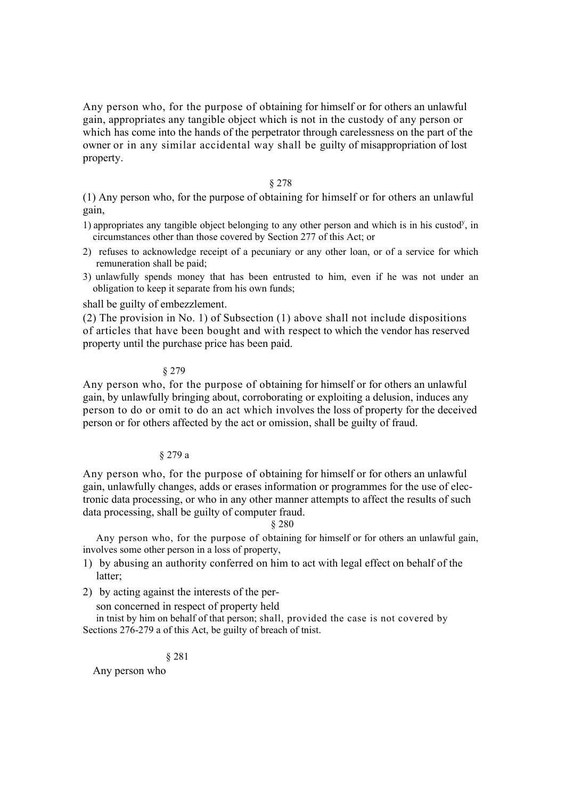Any person who, for the purpose of obtaining for himself or for others an unlawful gain, appropriates any tangible object which is not in the custody of any person or which has come into the hands of the perpetrator through carelessness on the part of the owner or in any similar accidental way shall be guilty of misappropriation of lost property.

## § 278

(1) Any person who, for the purpose of obtaining for himself or for others an unlawful gain,

- 1) appropriates any tangible object belonging to any other person and which is in his custod<sup>y</sup>, in circumstances other than those covered by Section 277 of this Act; or
- 2) refuses to acknowledge receipt of a pecuniary or any other loan, or of a service for which remuneration shall be paid;
- 3) unlawfully spends money that has been entrusted to him, even if he was not under an obligation to keep it separate from his own funds;

shall be guilty of embezzlement.

(2) The provision in No. 1) of Subsection (1) above shall not include dispositions of articles that have been bought and with respect to which the vendor has reserved property until the purchase price has been paid.

§ 279

Any person who, for the purpose of obtaining for himself or for others an unlawful gain, by unlawfully bringing about, corroborating or exploiting a delusion, induces any person to do or omit to do an act which involves the loss of property for the deceived person or for others affected by the act or omission, shall be guilty of fraud.

# § 279 a

Any person who, for the purpose of obtaining for himself or for others an unlawful gain, unlawfully changes, adds or erases information or programmes for the use of electronic data processing, or who in any other manner attempts to affect the results of such data processing, shall be guilty of computer fraud.

§ 280

Any person who, for the purpose of obtaining for himself or for others an unlawful gain, involves some other person in a loss of property,

- 1) by abusing an authority conferred on him to act with legal effect on behalf of the latter;
- 2) by acting against the interests of the per-

son concerned in respect of property held

in tnist by him on behalf of that person; shall, provided the case is not covered by Sections 276-279 a of this Act, be guilty of breach of tnist.

§ 281

Any person who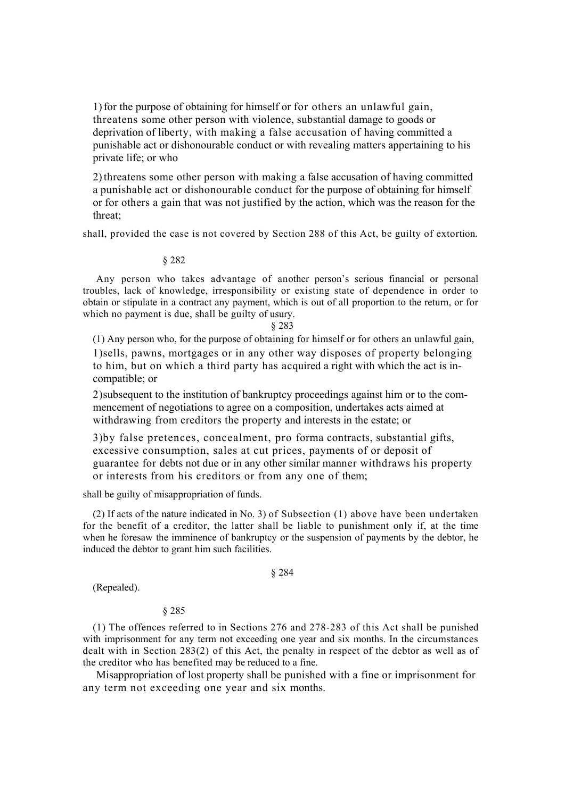1) for the purpose of obtaining for himself or for others an unlawful gain, threatens some other person with violence, substantial damage to goods or deprivation of liberty, with making a false accusation of having committed a punishable act or dishonourable conduct or with revealing matters appertaining to his private life; or who

2)threatens some other person with making a false accusation of having committed a punishable act or dishonourable conduct for the purpose of obtaining for himself or for others a gain that was not justified by the action, which was the reason for the threat;

shall, provided the case is not covered by Section 288 of this Act, be guilty of extortion.

### § 282

Any person who takes advantage of another person's serious financial or personal troubles, lack of knowledge, irresponsibility or existing state of dependence in order to obtain or stipulate in a contract any payment, which is out of all proportion to the return, or for which no payment is due, shall be guilty of usury.

#### § 283

(1) Any person who, for the purpose of obtaining for himself or for others an unlawful gain, 1)sells, pawns, mortgages or in any other way disposes of property belonging to him, but on which a third party has acquired a right with which the act is incompatible; or

2)subsequent to the institution of bankruptcy proceedings against him or to the commencement of negotiations to agree on a composition, undertakes acts aimed at withdrawing from creditors the property and interests in the estate; or

3)by false pretences, concealment, pro forma contracts, substantial gifts, excessive consumption, sales at cut prices, payments of or deposit of guarantee for debts not due or in any other similar manner withdraws his property or interests from his creditors or from any one of them;

shall be guilty of misappropriation of funds.

(2) If acts of the nature indicated in No. 3) of Subsection (1) above have been undertaken for the benefit of a creditor, the latter shall be liable to punishment only if, at the time when he foresaw the imminence of bankruptcy or the suspension of payments by the debtor, he induced the debtor to grant him such facilities.

#### § 284

(Repealed).

## § 285

(1) The offences referred to in Sections 276 and 278-283 of this Act shall be punished with imprisonment for any term not exceeding one year and six months. In the circumstances dealt with in Section 283(2) of this Act, the penalty in respect of the debtor as well as of the creditor who has benefited may be reduced to a fine.

Misappropriation of lost property shall be punished with a fine or imprisonment for any term not exceeding one year and six months.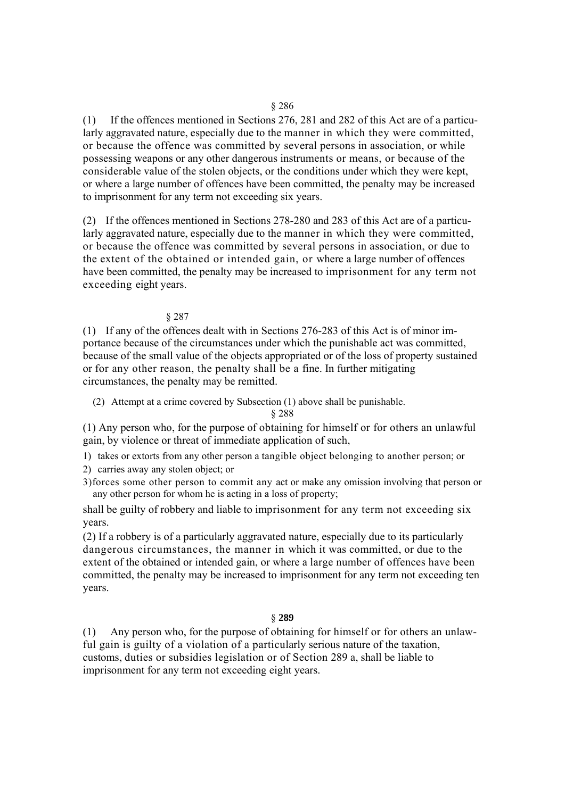(1) If the offences mentioned in Sections 276, 281 and 282 of this Act are of a particularly aggravated nature, especially due to the manner in which they were committed, or because the offence was committed by several persons in association, or while possessing weapons or any other dangerous instruments or means, or because of the considerable value of the stolen objects, or the conditions under which they were kept, or where a large number of offences have been committed, the penalty may be increased to imprisonment for any term not exceeding six years.

(2) If the offences mentioned in Sections 278-280 and 283 of this Act are of a particularly aggravated nature, especially due to the manner in which they were committed, or because the offence was committed by several persons in association, or due to the extent of the obtained or intended gain, or where a large number of offences have been committed, the penalty may be increased to imprisonment for any term not exceeding eight years.

## § 287

(1) If any of the offences dealt with in Sections 276-283 of this Act is of minor importance because of the circumstances under which the punishable act was committed, because of the small value of the objects appropriated or of the loss of property sustained or for any other reason, the penalty shall be a fine. In further mitigating circumstances, the penalty may be remitted.

(2) Attempt at a crime covered by Subsection (1) above shall be punishable.

§ 288

(1) Any person who, for the purpose of obtaining for himself or for others an unlawful gain, by violence or threat of immediate application of such,

1) takes or extorts from any other person a tangible object belonging to another person; or

2) carries away any stolen object; or

3)forces some other person to commit any act or make any omission involving that person or any other person for whom he is acting in a loss of property;

shall be guilty of robbery and liable to imprisonment for any term not exceeding six years.

(2) If a robbery is of a particularly aggravated nature, especially due to its particularly dangerous circumstances, the manner in which it was committed, or due to the extent of the obtained or intended gain, or where a large number of offences have been committed, the penalty may be increased to imprisonment for any term not exceeding ten years.

# § **289**

(1) Any person who, for the purpose of obtaining for himself or for others an unlawful gain is guilty of a violation of a particularly serious nature of the taxation, customs, duties or subsidies legislation or of Section 289 a, shall be liable to imprisonment for any term not exceeding eight years.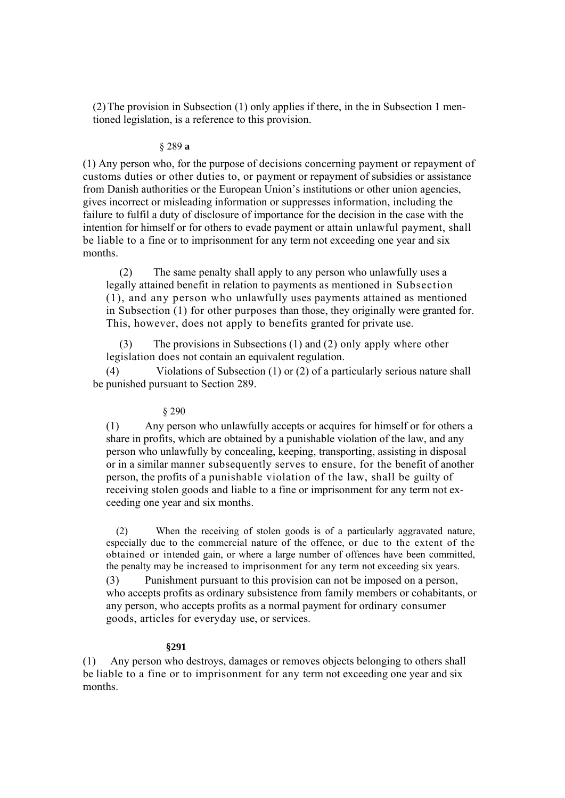(2)The provision in Subsection (1) only applies if there, in the in Subsection 1 mentioned legislation, is a reference to this provision.

### § 289 **a**

(1) Any person who, for the purpose of decisions concerning payment or repayment of customs duties or other duties to, or payment or repayment of subsidies or assistance from Danish authorities or the European Union's institutions or other union agencies, gives incorrect or misleading information or suppresses information, including the failure to fulfil a duty of disclosure of importance for the decision in the case with the intention for himself or for others to evade payment or attain unlawful payment, shall be liable to a fine or to imprisonment for any term not exceeding one year and six months.

(2) The same penalty shall apply to any person who unlawfully uses a legally attained benefit in relation to payments as mentioned in Subsection (1), and any person who unlawfully uses payments attained as mentioned in Subsection (1) for other purposes than those, they originally were granted for. This, however, does not apply to benefits granted for private use.

(3) The provisions in Subsections (1) and (2) only apply where other legislation does not contain an equivalent regulation.

(4) Violations of Subsection (1) or (2) of a particularly serious nature shall be punished pursuant to Section 289.

# § 290

(1) Any person who unlawfully accepts or acquires for himself or for others a share in profits, which are obtained by a punishable violation of the law, and any person who unlawfully by concealing, keeping, transporting, assisting in disposal or in a similar manner subsequently serves to ensure, for the benefit of another person, the profits of a punishable violation of the law, shall be guilty of receiving stolen goods and liable to a fine or imprisonment for any term not exceeding one year and six months.

(2) When the receiving of stolen goods is of a particularly aggravated nature, especially due to the commercial nature of the offence, or due to the extent of the obtained or intended gain, or where a large number of offences have been committed, the penalty may be increased to imprisonment for any term not exceeding six years. (3) Punishment pursuant to this provision can not be imposed on a person, who accepts profits as ordinary subsistence from family members or cohabitants, or any person, who accepts profits as a normal payment for ordinary consumer goods, articles for everyday use, or services.

### **§291**

(1) Any person who destroys, damages or removes objects belonging to others shall be liable to a fine or to imprisonment for any term not exceeding one year and six months.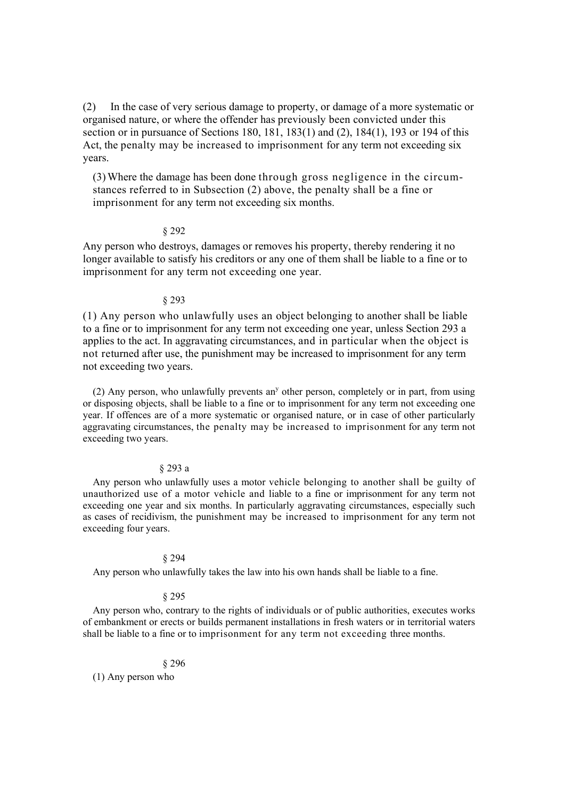(2) In the case of very serious damage to property, or damage of a more systematic or organised nature, or where the offender has previously been convicted under this section or in pursuance of Sections 180, 181, 183(1) and (2), 184(1), 193 or 194 of this Act, the penalty may be increased to imprisonment for any term not exceeding six years.

(3)Where the damage has been done through gross negligence in the circumstances referred to in Subsection (2) above, the penalty shall be a fine or imprisonment for any term not exceeding six months.

### § 292

Any person who destroys, damages or removes his property, thereby rendering it no longer available to satisfy his creditors or any one of them shall be liable to a fine or to imprisonment for any term not exceeding one year.

### § 293

(1) Any person who unlawfully uses an object belonging to another shall be liable to a fine or to imprisonment for any term not exceeding one year, unless Section 293 a applies to the act. In aggravating circumstances, and in particular when the object is not returned after use, the punishment may be increased to imprisonment for any term not exceeding two years.

 $(2)$  Any person, who unlawfully prevents an<sup>y</sup> other person, completely or in part, from using or disposing objects, shall be liable to a fine or to imprisonment for any term not exceeding one year. If offences are of a more systematic or organised nature, or in case of other particularly aggravating circumstances, the penalty may be increased to imprisonment for any term not exceeding two years.

### § 293 a

Any person who unlawfully uses a motor vehicle belonging to another shall be guilty of unauthorized use of a motor vehicle and liable to a fine or imprisonment for any term not exceeding one year and six months. In particularly aggravating circumstances, especially such as cases of recidivism, the punishment may be increased to imprisonment for any term not exceeding four years.

#### § 294

Any person who unlawfully takes the law into his own hands shall be liable to a fine.

### § 295

Any person who, contrary to the rights of individuals or of public authorities, executes works of embankment or erects or builds permanent installations in fresh waters or in territorial waters shall be liable to a fine or to imprisonment for any term not exceeding three months.

#### § 296

(1) Any person who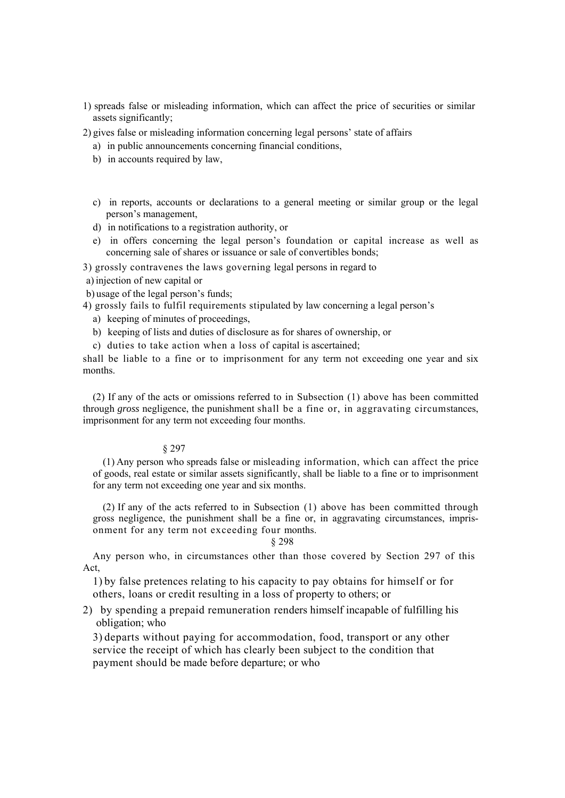- 1) spreads false or misleading information, which can affect the price of securities or similar assets significantly;
- 2) gives false or misleading information concerning legal persons' state of affairs
	- a) in public announcements concerning financial conditions,
	- b) in accounts required by law,
	- c) in reports, accounts or declarations to a general meeting or similar group or the legal person's management,
	- d) in notifications to a registration authority, or
	- e) in offers concerning the legal person's foundation or capital increase as well as concerning sale of shares or issuance or sale of convertibles bonds;

3) grossly contravenes the laws governing legal persons in regard to

a)injection of new capital or

b) usage of the legal person's funds;

4) grossly fails to fulfil requirements stipulated by law concerning a legal person's

- a) keeping of minutes of proceedings,
- b) keeping of lists and duties of disclosure as for shares of ownership, or
- c) duties to take action when a loss of capital is ascertained;

shall be liable to a fine or to imprisonment for any term not exceeding one year and six months.

(2) If any of the acts or omissions referred to in Subsection (1) above has been committed through *gross* negligence, the punishment shall be a fine or, in aggravating circumstances, imprisonment for any term not exceeding four months.

## § 297

(1) Any person who spreads false or misleading information, which can affect the price of goods, real estate or similar assets significantly, shall be liable to a fine or to imprisonment for any term not exceeding one year and six months.

(2) If any of the acts referred to in Subsection (1) above has been committed through gross negligence, the punishment shall be a fine or, in aggravating circumstances, imprisonment for any term not exceeding four months.

### § 298

Any person who, in circumstances other than those covered by Section 297 of this Act,

1) by false pretences relating to his capacity to pay obtains for himself or for others, loans or credit resulting in a loss of property to others; or

2) by spending a prepaid remuneration renders himself incapable of fulfilling his obligation; who

3) departs without paying for accommodation, food, transport or any other service the receipt of which has clearly been subject to the condition that payment should be made before departure; or who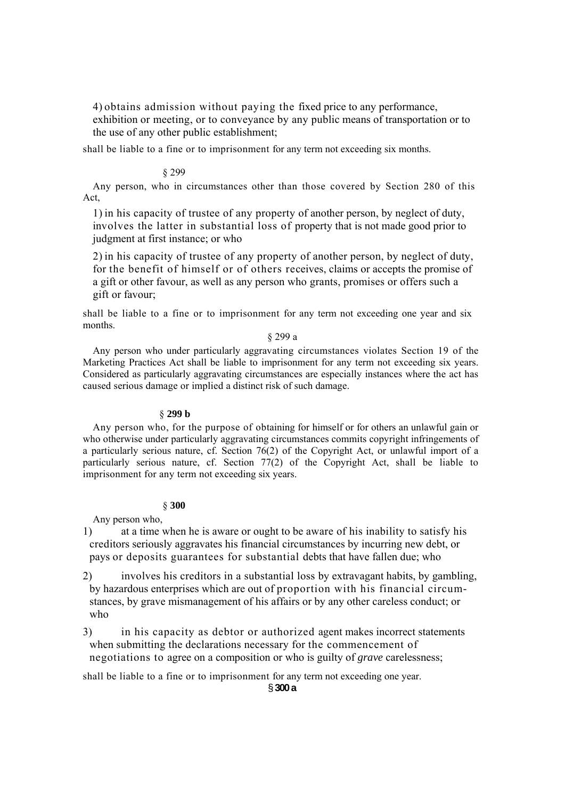4) obtains admission without paying the fixed price to any performance, exhibition or meeting, or to conveyance by any public means of transportation or to the use of any other public establishment;

shall be liable to a fine or to imprisonment for any term not exceeding six months.

### § 299

Any person, who in circumstances other than those covered by Section 280 of this Act,

1) in his capacity of trustee of any property of another person, by neglect of duty, involves the latter in substantial loss of property that is not made good prior to judgment at first instance; or who

2) in his capacity of trustee of any property of another person, by neglect of duty, for the benefit of himself or of others receives, claims or accepts the promise of a gift or other favour, as well as any person who grants, promises or offers such a gift or favour;

shall be liable to a fine or to imprisonment for any term not exceeding one year and six months.

# § 299 a

Any person who under particularly aggravating circumstances violates Section 19 of the Marketing Practices Act shall be liable to imprisonment for any term not exceeding six years. Considered as particularly aggravating circumstances are especially instances where the act has caused serious damage or implied a distinct risk of such damage.

# § **299 b**

Any person who, for the purpose of obtaining for himself or for others an unlawful gain or who otherwise under particularly aggravating circumstances commits copyright infringements of a particularly serious nature, cf. Section 76(2) of the Copyright Act, or unlawful import of a particularly serious nature, cf. Section 77(2) of the Copyright Act, shall be liable to imprisonment for any term not exceeding six years.

### § **300**

Any person who,

1) at a time when he is aware or ought to be aware of his inability to satisfy his creditors seriously aggravates his financial circumstances by incurring new debt, or pays or deposits guarantees for substantial debts that have fallen due; who

2) involves his creditors in a substantial loss by extravagant habits, by gambling, by hazardous enterprises which are out of proportion with his financial circumstances, by grave mismanagement of his affairs or by any other careless conduct; or who

3) in his capacity as debtor or authorized agent makes incorrect statements when submitting the declarations necessary for the commencement of negotiations to agree on a composition or who is guilty of *grave* carelessness;

shall be liable to a fine or to imprisonment for any term not exceeding one year.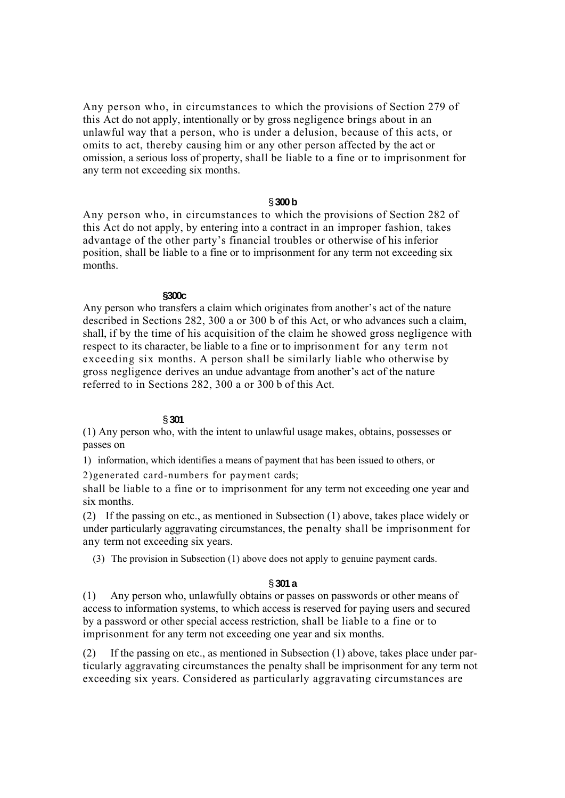Any person who, in circumstances to which the provisions of Section 279 of this Act do not apply, intentionally or by gross negligence brings about in an unlawful way that a person, who is under a delusion, because of this acts, or omits to act, thereby causing him or any other person affected by the act or omission, a serious loss of property, shall be liable to a fine or to imprisonment for any term not exceeding six months.

# § **300 b**

Any person who, in circumstances to which the provisions of Section 282 of this Act do not apply, by entering into a contract in an improper fashion, takes advantage of the other party's financial troubles or otherwise of his inferior position, shall be liable to a fine or to imprisonment for any term not exceeding six months.

## **§300c**

Any person who transfers a claim which originates from another's act of the nature described in Sections 282, 300 a or 300 b of this Act, or who advances such a claim, shall, if by the time of his acquisition of the claim he showed gross negligence with respect to its character, be liable to a fine or to imprisonment for any term not exceeding six months. A person shall be similarly liable who otherwise by gross negligence derives an undue advantage from another's act of the nature referred to in Sections 282, 300 a or 300 b of this Act.

## § **301**

(1) Any person who, with the intent to unlawful usage makes, obtains, possesses or passes on

1) information, which identifies a means of payment that has been issued to others, or

2)generated card-numbers for payment cards;

shall be liable to a fine or to imprisonment for any term not exceeding one year and six months.

(2) If the passing on etc., as mentioned in Subsection (1) above, takes place widely or under particularly aggravating circumstances, the penalty shall be imprisonment for any term not exceeding six years.

(3) The provision in Subsection (1) above does not apply to genuine payment cards.

## § **301 a**

(1) Any person who, unlawfully obtains or passes on passwords or other means of access to information systems, to which access is reserved for paying users and secured by a password or other special access restriction, shall be liable to a fine or to imprisonment for any term not exceeding one year and six months.

(2) If the passing on etc., as mentioned in Subsection (1) above, takes place under particularly aggravating circumstances the penalty shall be imprisonment for any term not exceeding six years. Considered as particularly aggravating circumstances are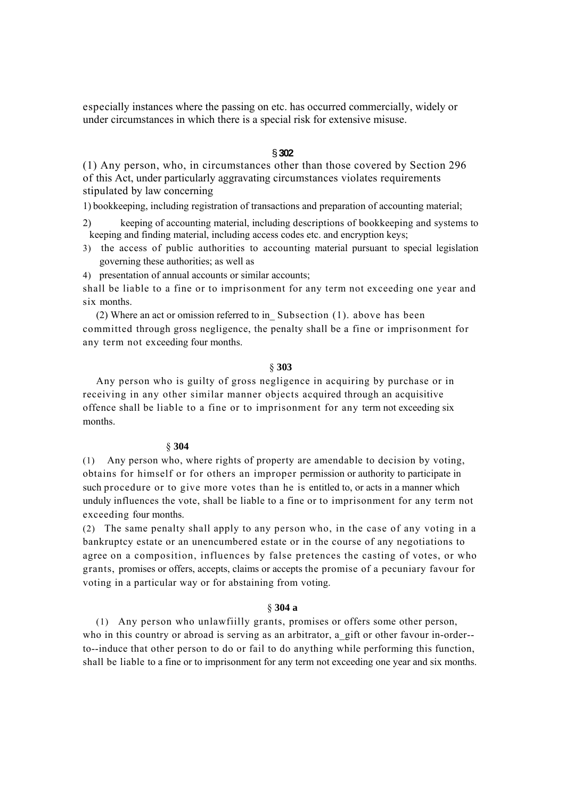especially instances where the passing on etc. has occurred commercially, widely or under circumstances in which there is a special risk for extensive misuse.

# § **302**

(1) Any person, who, in circumstances other than those covered by Section 296 of this Act, under particularly aggravating circumstances violates requirements stipulated by law concerning

1) bookkeeping, including registration of transactions and preparation of accounting material;

- 2) keeping of accounting material, including descriptions of bookkeeping and systems to keeping and finding material, including access codes etc. and encryption keys;
- 3) the access of public authorities to accounting material pursuant to special legislation governing these authorities; as well as
- 4) presentation of annual accounts or similar accounts;

shall be liable to a fine or to imprisonment for any term not exceeding one year and six months.

(2) Where an act or omission referred to in\_ Subsection (1). above has been committed through gross negligence, the penalty shall be a fine or imprisonment for any term not exceeding four months.

## § **303**

Any person who is guilty of gross negligence in acquiring by purchase or in receiving in any other similar manner objects acquired through an acquisitive offence shall be liable to a fine or to imprisonment for any term not exceeding six months.

#### § **304**

(1) Any person who, where rights of property are amendable to decision by voting, obtains for himself or for others an improper permission or authority to participate in such procedure or to give more votes than he is entitled to, or acts in a manner which unduly influences the vote, shall be liable to a fine or to imprisonment for any term not exceeding four months.

(2) The same penalty shall apply to any person who, in the case of any voting in a bankruptcy estate or an unencumbered estate or in the course of any negotiations to agree on a composition, influences by false pretences the casting of votes, or who grants, promises or offers, accepts, claims or accepts the promise of a pecuniary favour for voting in a particular way or for abstaining from voting.

# § **304 a**

(1) Any person who unlawfiilly grants, promises or offers some other person, who in this country or abroad is serving as an arbitrator, a gift or other favour in-order-to--induce that other person to do or fail to do anything while performing this function, shall be liable to a fine or to imprisonment for any term not exceeding one year and six months.